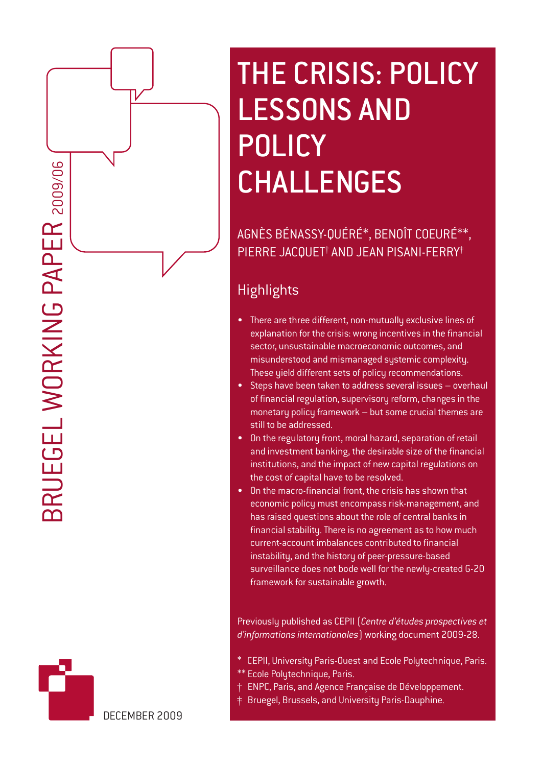# THE CRISIS: POLICY LESSONS AND POLICY CHALLENGES

AGNÈS BÉNASSY-QUÉRÉ\*, BENOÎT COEURÉ\*\*, PIERRE JACQUET<sup>†</sup> AND JEAN PISANI-FERRY<sup>‡</sup>

# **Highlights**

- There are three different, non-mutually exclusive lines of explanation for the crisis: wrong incentives in the financial sector, unsustainable macroeconomic outcomes, and misunderstood and mismanaged systemic complexity. These yield different sets of policy recommendations.
- Steps have been taken to address several issues overhaul of financial regulation, supervisory reform, changes in the monetary policy framework – but some crucial themes are still to be addressed.
- On the regulatory front, moral hazard, separation of retail and investment banking, the desirable size of the financial institutions, and the impact of new capital regulations on the cost of capital have to be resolved.
- On the macro-financial front, the crisis has shown that economic policy must encompass risk-management, and has raised questions about the role of central banks in financial stability. There is no agreement as to how much current-account imbalances contributed to financial instability, and the history of peer-pressure-based surveillance does not bode well for the newly-created G-20 framework for sustainable growth.

Previously published as CEPII (*Centre d'études prospectives et d'informations internationales*) working document 2009-28.

- \* CEPII, University Paris-Ouest and Ecole Polytechnique, Paris.
- \*\* Ecole Polytechnique, Paris.
- † ENPC, Paris, and Agence Française de Développement.
- ‡ Bruegel, Brussels, and University Paris-Dauphine.

**3RUEGEL WORKING PAPER 2009/06** BRUEGEL WORKING PAPER 2009/06



DECEMBER 2009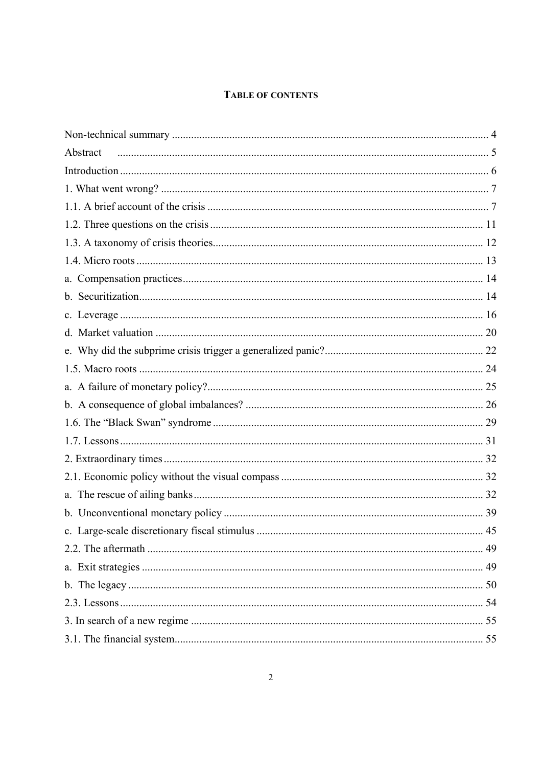# **TABLE OF CONTENTS**

| Abstract |  |
|----------|--|
|          |  |
|          |  |
|          |  |
|          |  |
|          |  |
|          |  |
|          |  |
|          |  |
|          |  |
|          |  |
|          |  |
|          |  |
|          |  |
|          |  |
|          |  |
|          |  |
|          |  |
|          |  |
|          |  |
|          |  |
|          |  |
|          |  |
|          |  |
|          |  |
|          |  |
|          |  |
|          |  |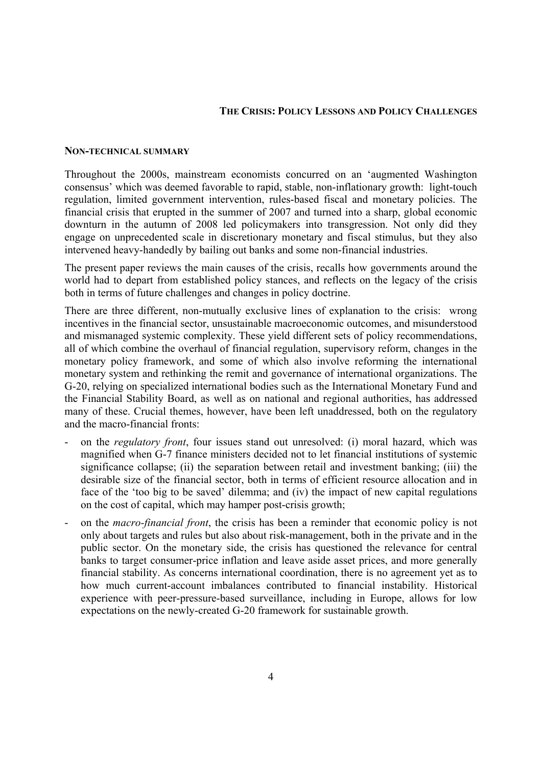# **THE CRISIS: POLICY LESSONS AND POLICY CHALLENGES**

# **NON-TECHNICAL SUMMARY**

Throughout the 2000s, mainstream economists concurred on an 'augmented Washington consensus' which was deemed favorable to rapid, stable, non-inflationary growth: light-touch regulation, limited government intervention, rules-based fiscal and monetary policies. The financial crisis that erupted in the summer of 2007 and turned into a sharp, global economic downturn in the autumn of 2008 led policymakers into transgression. Not only did they engage on unprecedented scale in discretionary monetary and fiscal stimulus, but they also intervened heavy-handedly by bailing out banks and some non-financial industries.

The present paper reviews the main causes of the crisis, recalls how governments around the world had to depart from established policy stances, and reflects on the legacy of the crisis both in terms of future challenges and changes in policy doctrine.

There are three different, non-mutually exclusive lines of explanation to the crisis: wrong incentives in the financial sector, unsustainable macroeconomic outcomes, and misunderstood and mismanaged systemic complexity. These yield different sets of policy recommendations, all of which combine the overhaul of financial regulation, supervisory reform, changes in the monetary policy framework, and some of which also involve reforming the international monetary system and rethinking the remit and governance of international organizations. The G-20, relying on specialized international bodies such as the International Monetary Fund and the Financial Stability Board, as well as on national and regional authorities, has addressed many of these. Crucial themes, however, have been left unaddressed, both on the regulatory and the macro-financial fronts:

- on the *regulatory front*, four issues stand out unresolved: (i) moral hazard, which was magnified when G-7 finance ministers decided not to let financial institutions of systemic significance collapse; (ii) the separation between retail and investment banking; (iii) the desirable size of the financial sector, both in terms of efficient resource allocation and in face of the 'too big to be saved' dilemma; and (iv) the impact of new capital regulations on the cost of capital, which may hamper post-crisis growth;
- on the *macro-financial front*, the crisis has been a reminder that economic policy is not only about targets and rules but also about risk-management, both in the private and in the public sector. On the monetary side, the crisis has questioned the relevance for central banks to target consumer-price inflation and leave aside asset prices, and more generally financial stability. As concerns international coordination, there is no agreement yet as to how much current-account imbalances contributed to financial instability. Historical experience with peer-pressure-based surveillance, including in Europe, allows for low expectations on the newly-created G-20 framework for sustainable growth.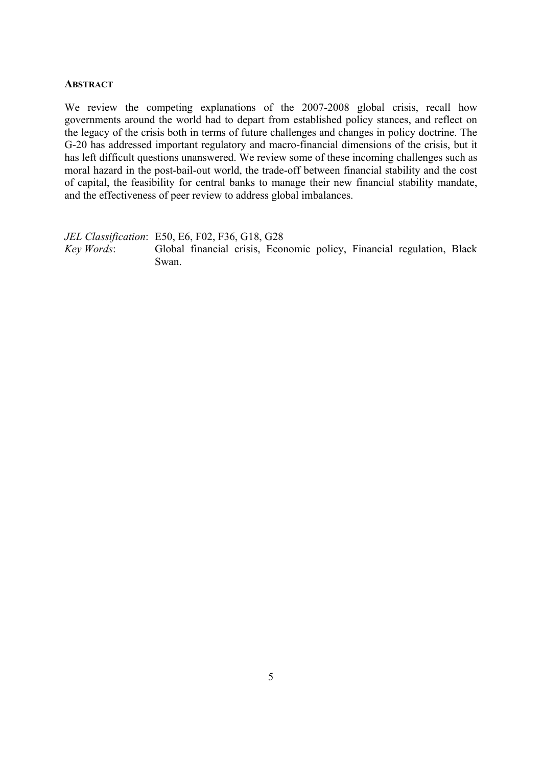#### **ABSTRACT**

We review the competing explanations of the 2007-2008 global crisis, recall how governments around the world had to depart from established policy stances, and reflect on the legacy of the crisis both in terms of future challenges and changes in policy doctrine. The G-20 has addressed important regulatory and macro-financial dimensions of the crisis, but it has left difficult questions unanswered. We review some of these incoming challenges such as moral hazard in the post-bail-out world, the trade-off between financial stability and the cost of capital, the feasibility for central banks to manage their new financial stability mandate, and the effectiveness of peer review to address global imbalances.

*JEL Classification*: E50, E6, F02, F36, G18, G28

*Key Words*: Global financial crisis, Economic policy, Financial regulation, Black Swan.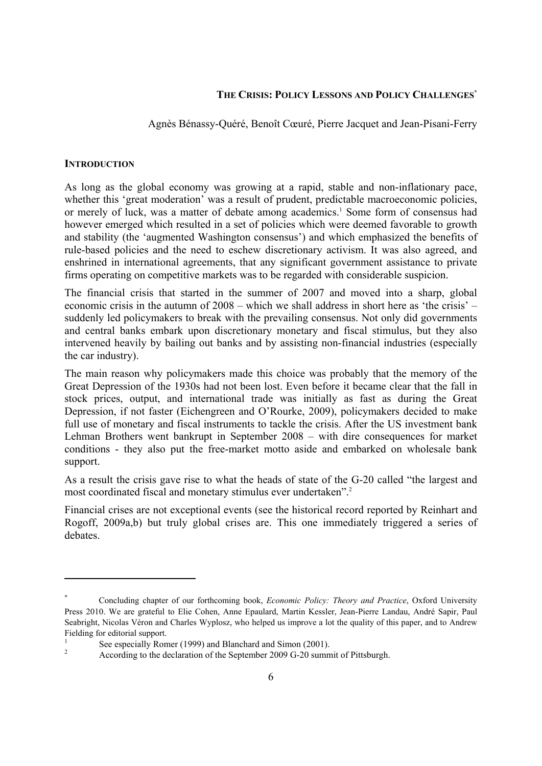# **THE CRISIS: POLICY LESSONS AND POLICY CHALLENGES\***

Agnès Bénassy-Quéré, Benoît Cœuré, Pierre Jacquet and Jean-Pisani-Ferry

# **INTRODUCTION**

1

As long as the global economy was growing at a rapid, stable and non-inflationary pace, whether this 'great moderation' was a result of prudent, predictable macroeconomic policies, or merely of luck, was a matter of debate among academics.<sup>1</sup> Some form of consensus had however emerged which resulted in a set of policies which were deemed favorable to growth and stability (the 'augmented Washington consensus') and which emphasized the benefits of rule-based policies and the need to eschew discretionary activism. It was also agreed, and enshrined in international agreements, that any significant government assistance to private firms operating on competitive markets was to be regarded with considerable suspicion.

The financial crisis that started in the summer of 2007 and moved into a sharp, global economic crisis in the autumn of 2008 – which we shall address in short here as 'the crisis' – suddenly led policymakers to break with the prevailing consensus. Not only did governments and central banks embark upon discretionary monetary and fiscal stimulus, but they also intervened heavily by bailing out banks and by assisting non-financial industries (especially the car industry).

The main reason why policymakers made this choice was probably that the memory of the Great Depression of the 1930s had not been lost. Even before it became clear that the fall in stock prices, output, and international trade was initially as fast as during the Great Depression, if not faster (Eichengreen and O'Rourke, 2009), policymakers decided to make full use of monetary and fiscal instruments to tackle the crisis. After the US investment bank Lehman Brothers went bankrupt in September 2008 – with dire consequences for market conditions - they also put the free-market motto aside and embarked on wholesale bank support.

As a result the crisis gave rise to what the heads of state of the G-20 called "the largest and most coordinated fiscal and monetary stimulus ever undertaken".2

Financial crises are not exceptional events (see the historical record reported by Reinhart and Rogoff, 2009a,b) but truly global crises are. This one immediately triggered a series of debates.

<sup>\*</sup> Concluding chapter of our forthcoming book, *Economic Policy: Theory and Practice*, Oxford University Press 2010. We are grateful to Elie Cohen, Anne Epaulard, Martin Kessler, Jean-Pierre Landau, André Sapir, Paul Seabright, Nicolas Véron and Charles Wyplosz, who helped us improve a lot the quality of this paper, and to Andrew Fielding for editorial support.

<sup>1</sup> See especially Romer (1999) and Blanchard and Simon (2001).

According to the declaration of the September 2009 G-20 summit of Pittsburgh.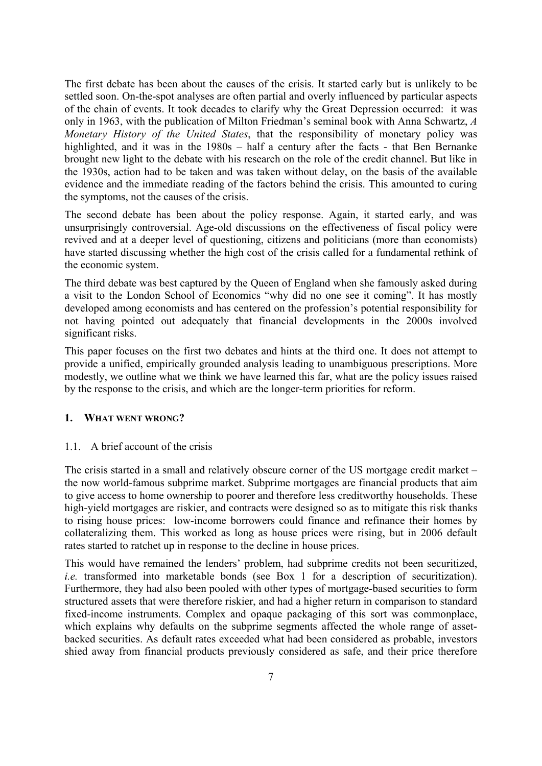The first debate has been about the causes of the crisis. It started early but is unlikely to be settled soon. On-the-spot analyses are often partial and overly influenced by particular aspects of the chain of events. It took decades to clarify why the Great Depression occurred: it was only in 1963, with the publication of Milton Friedman's seminal book with Anna Schwartz, *A Monetary History of the United States*, that the responsibility of monetary policy was highlighted, and it was in the 1980s – half a century after the facts - that Ben Bernanke brought new light to the debate with his research on the role of the credit channel. But like in the 1930s, action had to be taken and was taken without delay, on the basis of the available evidence and the immediate reading of the factors behind the crisis. This amounted to curing the symptoms, not the causes of the crisis.

The second debate has been about the policy response. Again, it started early, and was unsurprisingly controversial. Age-old discussions on the effectiveness of fiscal policy were revived and at a deeper level of questioning, citizens and politicians (more than economists) have started discussing whether the high cost of the crisis called for a fundamental rethink of the economic system.

The third debate was best captured by the Queen of England when she famously asked during a visit to the London School of Economics "why did no one see it coming". It has mostly developed among economists and has centered on the profession's potential responsibility for not having pointed out adequately that financial developments in the 2000s involved significant risks.

This paper focuses on the first two debates and hints at the third one. It does not attempt to provide a unified, empirically grounded analysis leading to unambiguous prescriptions. More modestly, we outline what we think we have learned this far, what are the policy issues raised by the response to the crisis, and which are the longer-term priorities for reform.

# **1. WHAT WENT WRONG?**

# 1.1. A brief account of the crisis

The crisis started in a small and relatively obscure corner of the US mortgage credit market – the now world-famous subprime market. Subprime mortgages are financial products that aim to give access to home ownership to poorer and therefore less creditworthy households. These high-yield mortgages are riskier, and contracts were designed so as to mitigate this risk thanks to rising house prices: low-income borrowers could finance and refinance their homes by collateralizing them. This worked as long as house prices were rising, but in 2006 default rates started to ratchet up in response to the decline in house prices.

This would have remained the lenders' problem, had subprime credits not been securitized, *i.e.* transformed into marketable bonds (see Box 1 for a description of securitization). Furthermore, they had also been pooled with other types of mortgage-based securities to form structured assets that were therefore riskier, and had a higher return in comparison to standard fixed-income instruments. Complex and opaque packaging of this sort was commonplace, which explains why defaults on the subprime segments affected the whole range of assetbacked securities. As default rates exceeded what had been considered as probable, investors shied away from financial products previously considered as safe, and their price therefore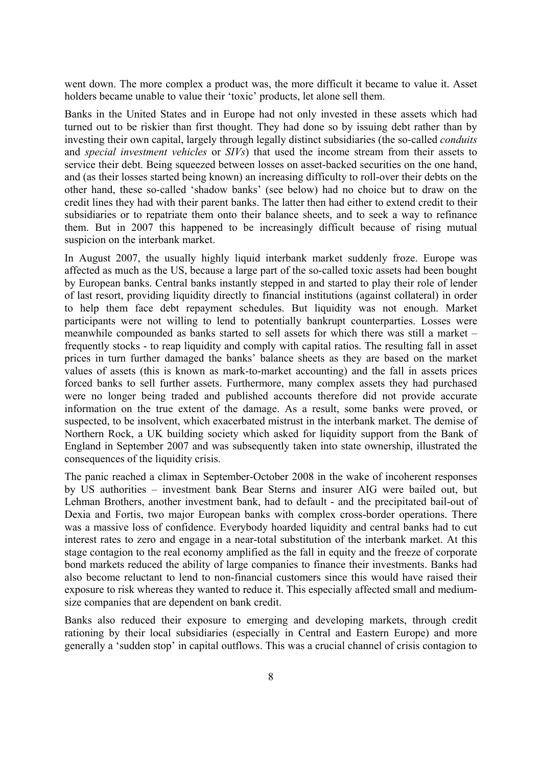went down. The more complex a product was, the more difficult it became to value it. Asset holders became unable to value their 'toxic' products, let alone sell them.

Banks in the United States and in Europe had not only invested in these assets which had turned out to be riskier than first thought. They had done so by issuing debt rather than by investing their own capital, largely through legally distinct subsidiaries (the so-called *conduits*  and *special investment vehicles* or *SIVs*) that used the income stream from their assets to service their debt. Being squeezed between losses on asset-backed securities on the one hand, and (as their losses started being known) an increasing difficulty to roll-over their debts on the other hand, these so-called 'shadow banks' (see below) had no choice but to draw on the credit lines they had with their parent banks. The latter then had either to extend credit to their subsidiaries or to repatriate them onto their balance sheets, and to seek a way to refinance them. But in 2007 this happened to be increasingly difficult because of rising mutual suspicion on the interbank market.

In August 2007, the usually highly liquid interbank market suddenly froze. Europe was affected as much as the US, because a large part of the so-called toxic assets had been bought by European banks. Central banks instantly stepped in and started to play their role of lender of last resort, providing liquidity directly to financial institutions (against collateral) in order to help them face debt repayment schedules. But liquidity was not enough. Market participants were not willing to lend to potentially bankrupt counterparties. Losses were meanwhile compounded as banks started to sell assets for which there was still a market – frequently stocks - to reap liquidity and comply with capital ratios. The resulting fall in asset prices in turn further damaged the banks' balance sheets as they are based on the market values of assets (this is known as mark-to-market accounting) and the fall in assets prices forced banks to sell further assets. Furthermore, many complex assets they had purchased were no longer being traded and published accounts therefore did not provide accurate information on the true extent of the damage. As a result, some banks were proved, or suspected, to be insolvent, which exacerbated mistrust in the interbank market. The demise of Northern Rock, a UK building society which asked for liquidity support from the Bank of England in September 2007 and was subsequently taken into state ownership, illustrated the consequences of the liquidity crisis.

The panic reached a climax in September-October 2008 in the wake of incoherent responses by US authorities – investment bank Bear Sterns and insurer AIG were bailed out, but Lehman Brothers, another investment bank, had to default - and the precipitated bail-out of Dexia and Fortis, two major European banks with complex cross-border operations. There was a massive loss of confidence. Everybody hoarded liquidity and central banks had to cut interest rates to zero and engage in a near-total substitution of the interbank market. At this stage contagion to the real economy amplified as the fall in equity and the freeze of corporate bond markets reduced the ability of large companies to finance their investments. Banks had also become reluctant to lend to non-financial customers since this would have raised their exposure to risk whereas they wanted to reduce it. This especially affected small and mediumsize companies that are dependent on bank credit.

Banks also reduced their exposure to emerging and developing markets, through credit rationing by their local subsidiaries (especially in Central and Eastern Europe) and more generally a 'sudden stop' in capital outflows. This was a crucial channel of crisis contagion to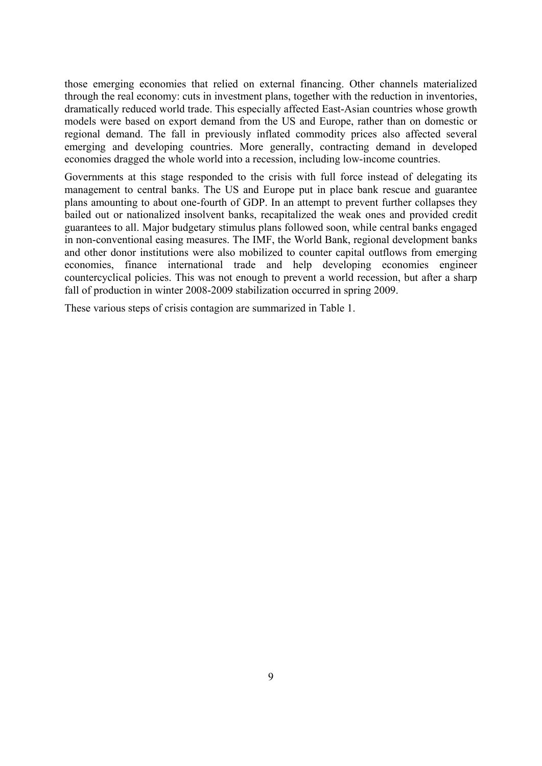those emerging economies that relied on external financing. Other channels materialized through the real economy: cuts in investment plans, together with the reduction in inventories, dramatically reduced world trade. This especially affected East-Asian countries whose growth models were based on export demand from the US and Europe, rather than on domestic or regional demand. The fall in previously inflated commodity prices also affected several emerging and developing countries. More generally, contracting demand in developed economies dragged the whole world into a recession, including low-income countries.

Governments at this stage responded to the crisis with full force instead of delegating its management to central banks. The US and Europe put in place bank rescue and guarantee plans amounting to about one-fourth of GDP. In an attempt to prevent further collapses they bailed out or nationalized insolvent banks, recapitalized the weak ones and provided credit guarantees to all. Major budgetary stimulus plans followed soon, while central banks engaged in non-conventional easing measures. The IMF, the World Bank, regional development banks and other donor institutions were also mobilized to counter capital outflows from emerging economies, finance international trade and help developing economies engineer countercyclical policies. This was not enough to prevent a world recession, but after a sharp fall of production in winter 2008-2009 stabilization occurred in spring 2009.

These various steps of crisis contagion are summarized in Table 1.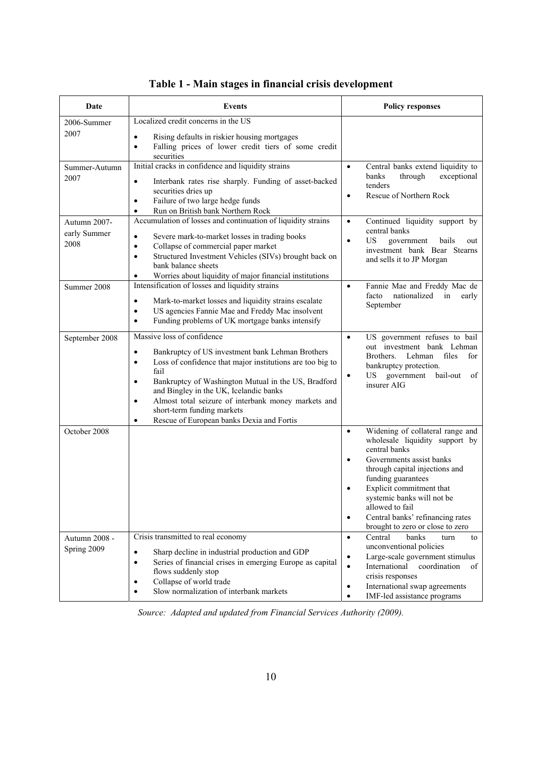| Date                  | <b>Events</b>                                                                                                                                                                                                                                                                                                                                                                                                             | <b>Policy responses</b>                                                                                                                                                                                                                                         |
|-----------------------|---------------------------------------------------------------------------------------------------------------------------------------------------------------------------------------------------------------------------------------------------------------------------------------------------------------------------------------------------------------------------------------------------------------------------|-----------------------------------------------------------------------------------------------------------------------------------------------------------------------------------------------------------------------------------------------------------------|
| 2006-Summer           | Localized credit concerns in the US                                                                                                                                                                                                                                                                                                                                                                                       |                                                                                                                                                                                                                                                                 |
| 2007                  | Rising defaults in riskier housing mortgages<br>$\bullet$<br>Falling prices of lower credit tiers of some credit<br>$\bullet$<br>securities                                                                                                                                                                                                                                                                               |                                                                                                                                                                                                                                                                 |
| Summer-Autumn<br>2007 | Initial cracks in confidence and liquidity strains<br>Interbank rates rise sharply. Funding of asset-backed<br>$\bullet$<br>securities dries up<br>Failure of two large hedge funds<br>$\bullet$<br>Run on British bank Northern Rock<br>$\bullet$                                                                                                                                                                        | Central banks extend liquidity to<br>$\bullet$<br>banks<br>through<br>exceptional<br>tenders<br>Rescue of Northern Rock<br>$\bullet$                                                                                                                            |
| Autumn 2007-          | Accumulation of losses and continuation of liquidity strains                                                                                                                                                                                                                                                                                                                                                              | Continued liquidity support by<br>$\bullet$                                                                                                                                                                                                                     |
| early Summer<br>2008  | Severe mark-to-market losses in trading books<br>$\bullet$<br>Collapse of commercial paper market<br>$\bullet$<br>Structured Investment Vehicles (SIVs) brought back on<br>$\bullet$<br>bank balance sheets<br>Worries about liquidity of major financial institutions<br>$\bullet$                                                                                                                                       | central banks<br>US<br>bails<br>government<br>$\bullet$<br>out<br>investment bank Bear Stearns<br>and sells it to JP Morgan                                                                                                                                     |
| Summer 2008           | Intensification of losses and liquidity strains                                                                                                                                                                                                                                                                                                                                                                           | Fannie Mae and Freddy Mac de<br>$\bullet$                                                                                                                                                                                                                       |
|                       | Mark-to-market losses and liquidity strains escalate<br>$\bullet$<br>US agencies Fannie Mae and Freddy Mac insolvent<br>$\bullet$<br>Funding problems of UK mortgage banks intensify<br>$\bullet$                                                                                                                                                                                                                         | nationalized<br>facto<br>in<br>early<br>September                                                                                                                                                                                                               |
| September 2008        | Massive loss of confidence                                                                                                                                                                                                                                                                                                                                                                                                | US government refuses to bail<br>$\bullet$                                                                                                                                                                                                                      |
|                       | Bankruptcy of US investment bank Lehman Brothers<br>$\bullet$<br>Loss of confidence that major institutions are too big to<br>$\bullet$<br>fail<br>Bankruptcy of Washington Mutual in the US, Bradford<br>$\bullet$<br>and Bingley in the UK, Icelandic banks<br>Almost total seizure of interbank money markets and<br>$\bullet$<br>short-term funding markets<br>Rescue of European banks Dexia and Fortis<br>$\bullet$ | out investment bank Lehman<br>Brothers. Lehman<br>files<br>for<br>bankruptcy protection.<br>US.<br>government<br>bail-out<br>of<br>$\bullet$<br>insurer AIG                                                                                                     |
| October 2008          |                                                                                                                                                                                                                                                                                                                                                                                                                           | Widening of collateral range and<br>$\bullet$<br>wholesale liquidity support by<br>central banks                                                                                                                                                                |
|                       |                                                                                                                                                                                                                                                                                                                                                                                                                           | Governments assist banks<br>$\bullet$<br>through capital injections and<br>funding guarantees<br>Explicit commitment that<br>systemic banks will not be<br>allowed to fail<br>Central banks' refinancing rates<br>$\bullet$<br>brought to zero or close to zero |
| Autumn 2008 -         | Crisis transmitted to real economy                                                                                                                                                                                                                                                                                                                                                                                        | Central<br>banks<br>turn<br>$\bullet$<br>to                                                                                                                                                                                                                     |
| Spring 2009           | Sharp decline in industrial production and GDP<br>$\bullet$<br>Series of financial crises in emerging Europe as capital<br>$\bullet$<br>flows suddenly stop<br>Collapse of world trade<br>$\bullet$<br>Slow normalization of interbank markets                                                                                                                                                                            | unconventional policies<br>Large-scale government stimulus<br>$\bullet$<br>International coordination<br>$\bullet$<br>of<br>crisis responses<br>International swap agreements<br>$\bullet$<br>IMF-led assistance programs<br>$\bullet$                          |

**Table 1 - Main stages in financial crisis development** 

*Source: Adapted and updated from Financial Services Authority (2009).*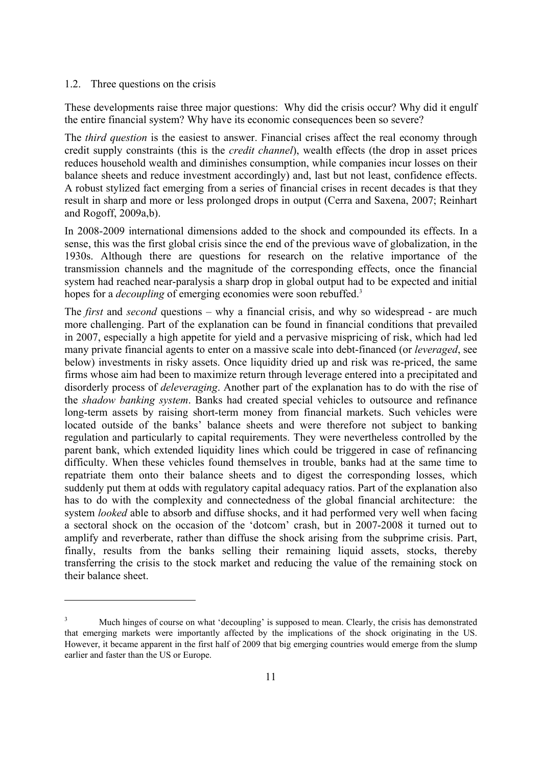#### 1.2. Three questions on the crisis

1

These developments raise three major questions: Why did the crisis occur? Why did it engulf the entire financial system? Why have its economic consequences been so severe?

The *third question* is the easiest to answer. Financial crises affect the real economy through credit supply constraints (this is the *credit channel*), wealth effects (the drop in asset prices reduces household wealth and diminishes consumption, while companies incur losses on their balance sheets and reduce investment accordingly) and, last but not least, confidence effects. A robust stylized fact emerging from a series of financial crises in recent decades is that they result in sharp and more or less prolonged drops in output (Cerra and Saxena, 2007; Reinhart and Rogoff, 2009a,b).

In 2008-2009 international dimensions added to the shock and compounded its effects. In a sense, this was the first global crisis since the end of the previous wave of globalization, in the 1930s. Although there are questions for research on the relative importance of the transmission channels and the magnitude of the corresponding effects, once the financial system had reached near-paralysis a sharp drop in global output had to be expected and initial hopes for a *decoupling* of emerging economies were soon rebuffed.<sup>3</sup>

The *first* and *second* questions – why a financial crisis, and why so widespread - are much more challenging. Part of the explanation can be found in financial conditions that prevailed in 2007, especially a high appetite for yield and a pervasive mispricing of risk, which had led many private financial agents to enter on a massive scale into debt-financed (or *leveraged*, see below) investments in risky assets. Once liquidity dried up and risk was re-priced, the same firms whose aim had been to maximize return through leverage entered into a precipitated and disorderly process of *deleveraging*. Another part of the explanation has to do with the rise of the *shadow banking system*. Banks had created special vehicles to outsource and refinance long-term assets by raising short-term money from financial markets. Such vehicles were located outside of the banks' balance sheets and were therefore not subject to banking regulation and particularly to capital requirements. They were nevertheless controlled by the parent bank, which extended liquidity lines which could be triggered in case of refinancing difficulty. When these vehicles found themselves in trouble, banks had at the same time to repatriate them onto their balance sheets and to digest the corresponding losses, which suddenly put them at odds with regulatory capital adequacy ratios. Part of the explanation also has to do with the complexity and connectedness of the global financial architecture: the system *looked* able to absorb and diffuse shocks, and it had performed very well when facing a sectoral shock on the occasion of the 'dotcom' crash, but in 2007-2008 it turned out to amplify and reverberate, rather than diffuse the shock arising from the subprime crisis. Part, finally, results from the banks selling their remaining liquid assets, stocks, thereby transferring the crisis to the stock market and reducing the value of the remaining stock on their balance sheet.

<sup>3</sup> Much hinges of course on what 'decoupling' is supposed to mean. Clearly, the crisis has demonstrated that emerging markets were importantly affected by the implications of the shock originating in the US. However, it became apparent in the first half of 2009 that big emerging countries would emerge from the slump earlier and faster than the US or Europe.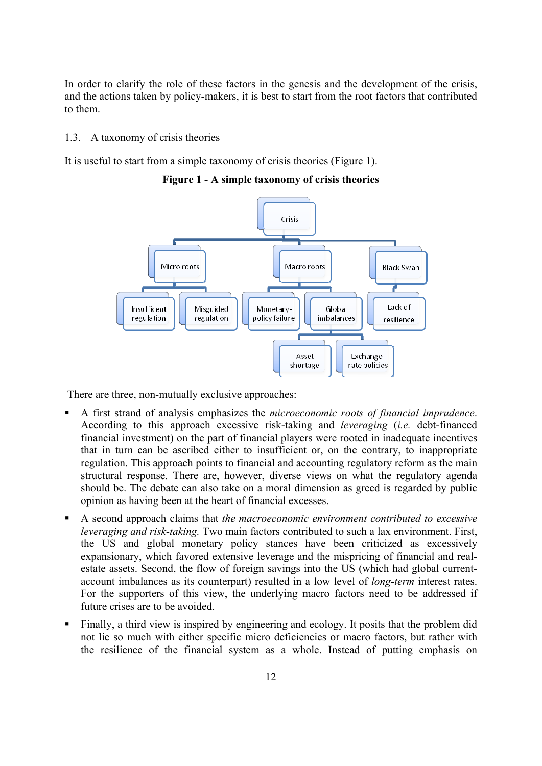In order to clarify the role of these factors in the genesis and the development of the crisis, and the actions taken by policy-makers, it is best to start from the root factors that contributed to them.

1.3. A taxonomy of crisis theories

It is useful to start from a simple taxonomy of crisis theories (Figure 1).

**Figure 1 - A simple taxonomy of crisis theories** 



There are three, non-mutually exclusive approaches:

- A first strand of analysis emphasizes the *microeconomic roots of financial imprudence*. According to this approach excessive risk-taking and *leveraging* (*i.e.* debt-financed financial investment) on the part of financial players were rooted in inadequate incentives that in turn can be ascribed either to insufficient or, on the contrary, to inappropriate regulation. This approach points to financial and accounting regulatory reform as the main structural response. There are, however, diverse views on what the regulatory agenda should be. The debate can also take on a moral dimension as greed is regarded by public opinion as having been at the heart of financial excesses.
- A second approach claims that *the macroeconomic environment contributed to excessive leveraging and risk-taking.* Two main factors contributed to such a lax environment. First, the US and global monetary policy stances have been criticized as excessively expansionary, which favored extensive leverage and the mispricing of financial and realestate assets. Second, the flow of foreign savings into the US (which had global currentaccount imbalances as its counterpart) resulted in a low level of *long-term* interest rates. For the supporters of this view, the underlying macro factors need to be addressed if future crises are to be avoided.
- Finally, a third view is inspired by engineering and ecology. It posits that the problem did not lie so much with either specific micro deficiencies or macro factors, but rather with the resilience of the financial system as a whole. Instead of putting emphasis on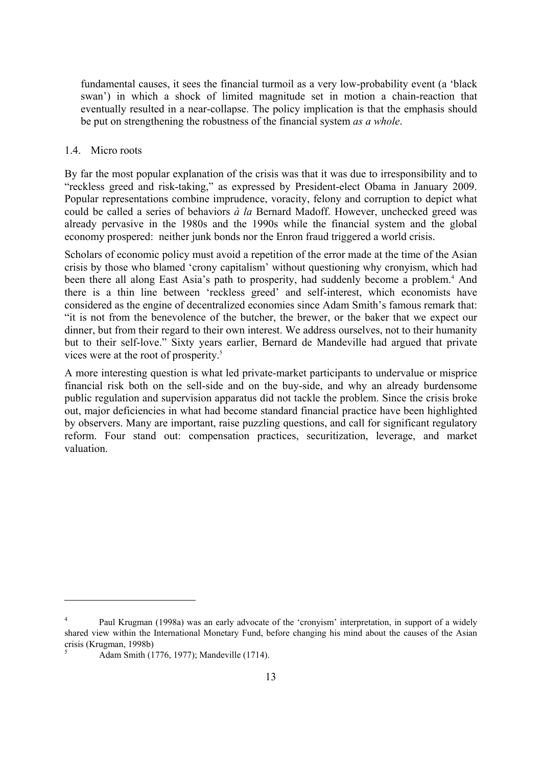fundamental causes, it sees the financial turmoil as a very low-probability event (a 'black swan') in which a shock of limited magnitude set in motion a chain-reaction that eventually resulted in a near-collapse. The policy implication is that the emphasis should be put on strengthening the robustness of the financial system *as a whole*.

# 1.4. Micro roots

By far the most popular explanation of the crisis was that it was due to irresponsibility and to "reckless greed and risk-taking," as expressed by President-elect Obama in January 2009. Popular representations combine imprudence, voracity, felony and corruption to depict what could be called a series of behaviors *à la* Bernard Madoff. However, unchecked greed was already pervasive in the 1980s and the 1990s while the financial system and the global economy prospered: neither junk bonds nor the Enron fraud triggered a world crisis.

Scholars of economic policy must avoid a repetition of the error made at the time of the Asian crisis by those who blamed 'crony capitalism' without questioning why cronyism, which had been there all along East Asia's path to prosperity, had suddenly become a problem.<sup>4</sup> And there is a thin line between 'reckless greed' and self-interest, which economists have considered as the engine of decentralized economies since Adam Smith's famous remark that: "it is not from the benevolence of the butcher, the brewer, or the baker that we expect our dinner, but from their regard to their own interest. We address ourselves, not to their humanity but to their self-love." Sixty years earlier, Bernard de Mandeville had argued that private vices were at the root of prosperity.<sup>5</sup>

A more interesting question is what led private-market participants to undervalue or misprice financial risk both on the sell-side and on the buy-side, and why an already burdensome public regulation and supervision apparatus did not tackle the problem. Since the crisis broke out, major deficiencies in what had become standard financial practice have been highlighted by observers. Many are important, raise puzzling questions, and call for significant regulatory reform. Four stand out: compensation practices, securitization, leverage, and market valuation.

<sup>4</sup> Paul Krugman (1998a) was an early advocate of the 'cronyism' interpretation, in support of a widely shared view within the International Monetary Fund, before changing his mind about the causes of the Asian crisis (Krugman, 1998b) 5

Adam Smith (1776, 1977); Mandeville (1714).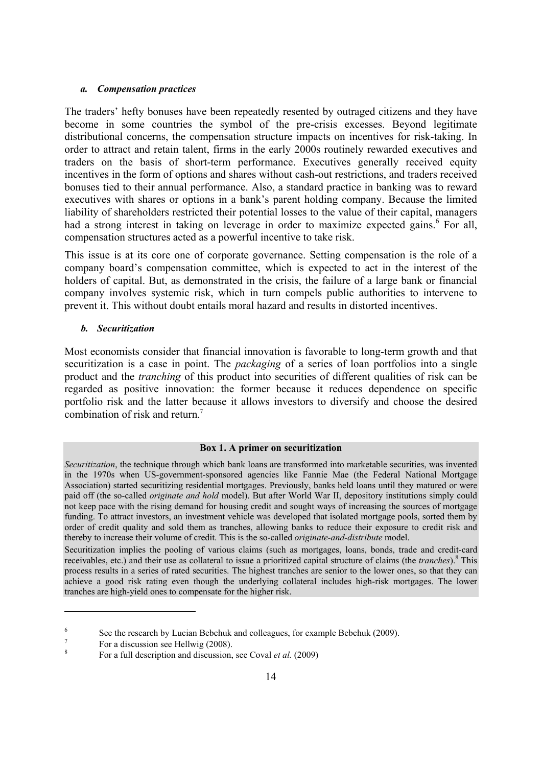# *a. Compensation practices*

The traders' hefty bonuses have been repeatedly resented by outraged citizens and they have become in some countries the symbol of the pre-crisis excesses. Beyond legitimate distributional concerns, the compensation structure impacts on incentives for risk-taking. In order to attract and retain talent, firms in the early 2000s routinely rewarded executives and traders on the basis of short-term performance. Executives generally received equity incentives in the form of options and shares without cash-out restrictions, and traders received bonuses tied to their annual performance. Also, a standard practice in banking was to reward executives with shares or options in a bank's parent holding company. Because the limited liability of shareholders restricted their potential losses to the value of their capital, managers had a strong interest in taking on leverage in order to maximize expected gains.<sup>6</sup> For all, compensation structures acted as a powerful incentive to take risk.

This issue is at its core one of corporate governance. Setting compensation is the role of a company board's compensation committee, which is expected to act in the interest of the holders of capital. But, as demonstrated in the crisis, the failure of a large bank or financial company involves systemic risk, which in turn compels public authorities to intervene to prevent it. This without doubt entails moral hazard and results in distorted incentives.

# *b. Securitization*

Most economists consider that financial innovation is favorable to long-term growth and that securitization is a case in point. The *packaging* of a series of loan portfolios into a single product and the *tranching* of this product into securities of different qualities of risk can be regarded as positive innovation: the former because it reduces dependence on specific portfolio risk and the latter because it allows investors to diversify and choose the desired combination of risk and return.<sup>7</sup>

#### **Box 1. A primer on securitization**

*Securitization*, the technique through which bank loans are transformed into marketable securities, was invented in the 1970s when US-government-sponsored agencies like Fannie Mae (the Federal National Mortgage Association) started securitizing residential mortgages. Previously, banks held loans until they matured or were paid off (the so-called *originate and hold* model). But after World War II, depository institutions simply could not keep pace with the rising demand for housing credit and sought ways of increasing the sources of mortgage funding. To attract investors, an investment vehicle was developed that isolated mortgage pools, sorted them by order of credit quality and sold them as tranches, allowing banks to reduce their exposure to credit risk and thereby to increase their volume of credit. This is the so-called *originate-and-distribute* model.

Securitization implies the pooling of various claims (such as mortgages, loans, bonds, trade and credit-card receivables, etc.) and their use as collateral to issue a prioritized capital structure of claims (the *tranches*).<sup>8</sup> This process results in a series of rated securities. The highest tranches are senior to the lower ones, so that they can achieve a good risk rating even though the underlying collateral includes high-risk mortgages. The lower tranches are high-yield ones to compensate for the higher risk.

<sup>6</sup> See the research by Lucian Bebchuk and colleagues, for example Bebchuk (2009).

For a discussion see Hellwig (2008).

<sup>8</sup> For a full description and discussion, see Coval *et al.* (2009)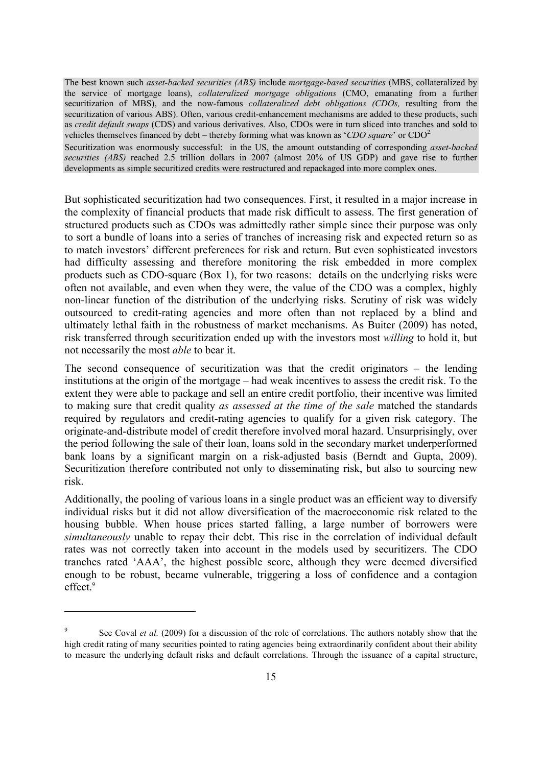The best known such *asset-backed securities (ABS)* include *mortgage-based securities* (MBS, collateralized by the service of mortgage loans), *collateralized mortgage obligations* (CMO, emanating from a further securitization of MBS), and the now-famous *collateralized debt obligations (CDOs,* resulting from the securitization of various ABS). Often, various credit-enhancement mechanisms are added to these products, such as *credit default swaps* (CDS) and various derivatives. Also, CDOs were in turn sliced into tranches and sold to vehicles themselves financed by debt – thereby forming what was known as '*CDO square*' or CDO2. Securitization was enormously successful: in the US, the amount outstanding of corresponding *asset-backed* 

*securities (ABS)* reached 2.5 trillion dollars in 2007 (almost 20% of US GDP) and gave rise to further developments as simple securitized credits were restructured and repackaged into more complex ones.

But sophisticated securitization had two consequences. First, it resulted in a major increase in the complexity of financial products that made risk difficult to assess. The first generation of structured products such as CDOs was admittedly rather simple since their purpose was only to sort a bundle of loans into a series of tranches of increasing risk and expected return so as to match investors' different preferences for risk and return. But even sophisticated investors had difficulty assessing and therefore monitoring the risk embedded in more complex products such as CDO-square (Box 1), for two reasons: details on the underlying risks were often not available, and even when they were, the value of the CDO was a complex, highly non-linear function of the distribution of the underlying risks. Scrutiny of risk was widely outsourced to credit-rating agencies and more often than not replaced by a blind and ultimately lethal faith in the robustness of market mechanisms. As Buiter (2009) has noted, risk transferred through securitization ended up with the investors most *willing* to hold it, but not necessarily the most *able* to bear it.

The second consequence of securitization was that the credit originators – the lending institutions at the origin of the mortgage – had weak incentives to assess the credit risk. To the extent they were able to package and sell an entire credit portfolio, their incentive was limited to making sure that credit quality *as assessed at the time of the sale* matched the standards required by regulators and credit-rating agencies to qualify for a given risk category. The originate-and-distribute model of credit therefore involved moral hazard. Unsurprisingly, over the period following the sale of their loan, loans sold in the secondary market underperformed bank loans by a significant margin on a risk-adjusted basis (Berndt and Gupta, 2009). Securitization therefore contributed not only to disseminating risk, but also to sourcing new risk.

Additionally, the pooling of various loans in a single product was an efficient way to diversify individual risks but it did not allow diversification of the macroeconomic risk related to the housing bubble. When house prices started falling, a large number of borrowers were *simultaneously* unable to repay their debt. This rise in the correlation of individual default rates was not correctly taken into account in the models used by securitizers. The CDO tranches rated 'AAA', the highest possible score, although they were deemed diversified enough to be robust, became vulnerable, triggering a loss of confidence and a contagion effect.<sup>9</sup>

<sup>9</sup> See Coval *et al.* (2009) for a discussion of the role of correlations. The authors notably show that the high credit rating of many securities pointed to rating agencies being extraordinarily confident about their ability to measure the underlying default risks and default correlations. Through the issuance of a capital structure,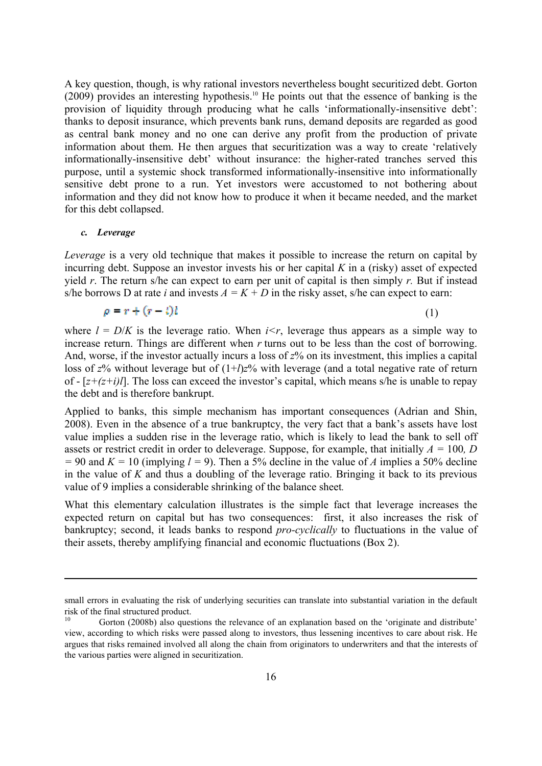A key question, though, is why rational investors nevertheless bought securitized debt. Gorton (2009) provides an interesting hypothesis.10 He points out that the essence of banking is the provision of liquidity through producing what he calls 'informationally-insensitive debt': thanks to deposit insurance, which prevents bank runs, demand deposits are regarded as good as central bank money and no one can derive any profit from the production of private information about them. He then argues that securitization was a way to create 'relatively informationally-insensitive debt' without insurance: the higher-rated tranches served this purpose, until a systemic shock transformed informationally-insensitive into informationally sensitive debt prone to a run. Yet investors were accustomed to not bothering about information and they did not know how to produce it when it became needed, and the market for this debt collapsed.

#### *c. Leverage*

1

*Leverage* is a very old technique that makes it possible to increase the return on capital by incurring debt. Suppose an investor invests his or her capital *K* in a (risky) asset of expected yield *r*. The return s/he can expect to earn per unit of capital is then simply *r.* But if instead s/he borrows D at rate *i* and invests  $A = K + D$  in the risky asset, s/he can expect to earn:

$$
\rho = r + (r - t)l \tag{1}
$$

where  $l = D/K$  is the leverage ratio. When  $i \le r$ , leverage thus appears as a simple way to increase return. Things are different when *r* turns out to be less than the cost of borrowing. And, worse, if the investor actually incurs a loss of *z*% on its investment, this implies a capital loss of *z*% without leverage but of (1+*l*)*z*% with leverage (and a total negative rate of return of  $-[z+(z+i)l]$ . The loss can exceed the investor's capital, which means s/he is unable to repay the debt and is therefore bankrupt.

Applied to banks, this simple mechanism has important consequences (Adrian and Shin, 2008). Even in the absence of a true bankruptcy, the very fact that a bank's assets have lost value implies a sudden rise in the leverage ratio, which is likely to lead the bank to sell off assets or restrict credit in order to deleverage. Suppose, for example, that initially *A =* 100*, D*   $= 90$  and  $K = 10$  (implying  $l = 9$ ). Then a 5% decline in the value of *A* implies a 50% decline in the value of *K* and thus a doubling of the leverage ratio. Bringing it back to its previous value of 9 implies a considerable shrinking of the balance sheet*.* 

What this elementary calculation illustrates is the simple fact that leverage increases the expected return on capital but has two consequences: first, it also increases the risk of bankruptcy; second, it leads banks to respond *pro-cyclically* to fluctuations in the value of their assets, thereby amplifying financial and economic fluctuations (Box 2).

small errors in evaluating the risk of underlying securities can translate into substantial variation in the default risk of the final structured product.

<sup>10</sup> Gorton (2008b) also questions the relevance of an explanation based on the 'originate and distribute' view, according to which risks were passed along to investors, thus lessening incentives to care about risk. He argues that risks remained involved all along the chain from originators to underwriters and that the interests of the various parties were aligned in securitization.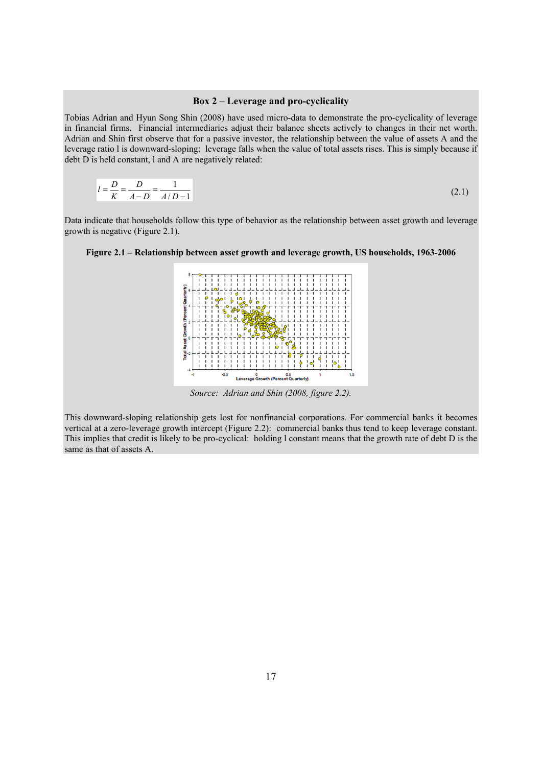#### **Box 2 – Leverage and pro-cyclicality**

Tobias Adrian and Hyun Song Shin (2008) have used micro-data to demonstrate the pro-cyclicality of leverage in financial firms. Financial intermediaries adjust their balance sheets actively to changes in their net worth. Adrian and Shin first observe that for a passive investor, the relationship between the value of assets A and the leverage ratio l is downward-sloping: leverage falls when the value of total assets rises. This is simply because if debt D is held constant, l and A are negatively related:

$$
l = \frac{D}{K} = \frac{D}{A - D} = \frac{1}{A/D - 1}
$$
\n(2.1)

Data indicate that households follow this type of behavior as the relationship between asset growth and leverage growth is negative (Figure 2.1).



**Figure 2.1 – Relationship between asset growth and leverage growth, US households, 1963-2006** 

*Source: Adrian and Shin (2008, figure 2.2).* 

This downward-sloping relationship gets lost for nonfinancial corporations. For commercial banks it becomes vertical at a zero-leverage growth intercept (Figure 2.2): commercial banks thus tend to keep leverage constant. This implies that credit is likely to be pro-cyclical: holding l constant means that the growth rate of debt D is the same as that of assets A.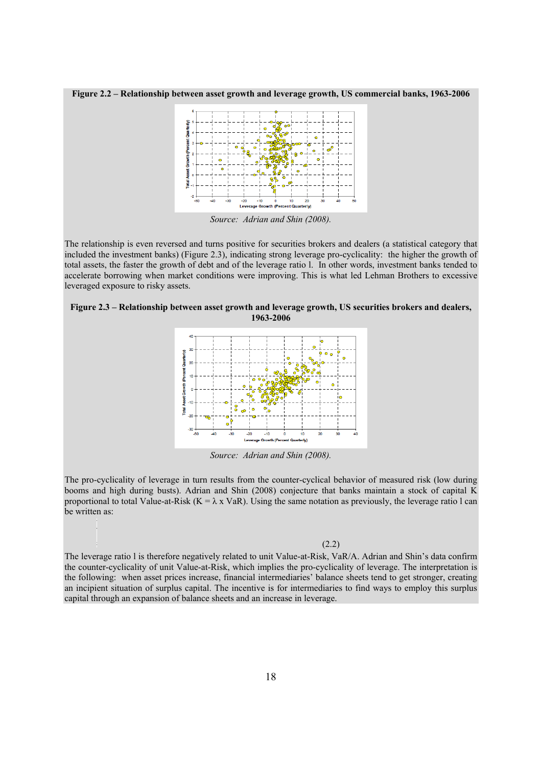**Figure 2.2 – Relationship between asset growth and leverage growth, US commercial banks, 1963-2006** 



*Source: Adrian and Shin (2008).* 

The relationship is even reversed and turns positive for securities brokers and dealers (a statistical category that included the investment banks) (Figure 2.3), indicating strong leverage pro-cyclicality: the higher the growth of total assets, the faster the growth of debt and of the leverage ratio l. In other words, investment banks tended to accelerate borrowing when market conditions were improving. This is what led Lehman Brothers to excessive leveraged exposure to risky assets.

**Figure 2.3 – Relationship between asset growth and leverage growth, US securities brokers and dealers, 1963-2006** 



*Source: Adrian and Shin (2008).* 

The pro-cyclicality of leverage in turn results from the counter-cyclical behavior of measured risk (low during booms and high during busts). Adrian and Shin (2008) conjecture that banks maintain a stock of capital K proportional to total Value-at-Risk (K =  $\lambda$  x VaR). Using the same notation as previously, the leverage ratio l can be written as:

#### $(2.2)$

The leverage ratio l is therefore negatively related to unit Value-at-Risk, VaR/A. Adrian and Shin's data confirm the counter-cyclicality of unit Value-at-Risk, which implies the pro-cyclicality of leverage. The interpretation is the following: when asset prices increase, financial intermediaries' balance sheets tend to get stronger, creating an incipient situation of surplus capital. The incentive is for intermediaries to find ways to employ this surplus capital through an expansion of balance sheets and an increase in leverage.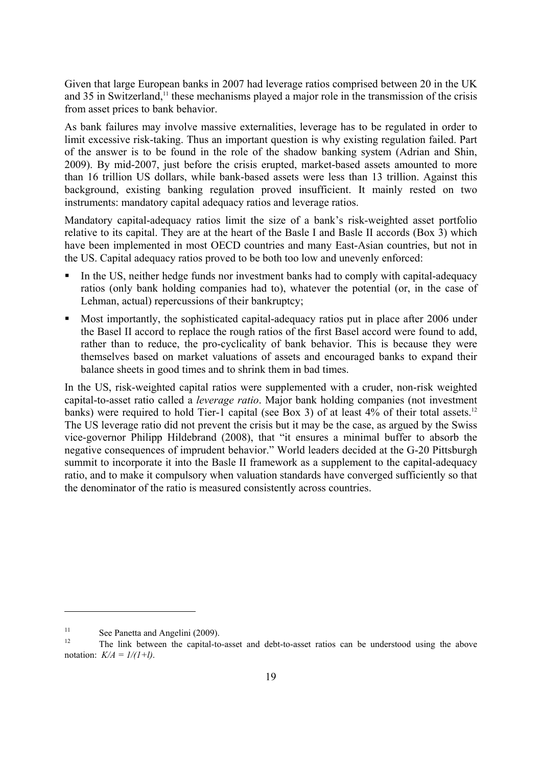Given that large European banks in 2007 had leverage ratios comprised between 20 in the UK and 35 in Switzerland,<sup>11</sup> these mechanisms played a major role in the transmission of the crisis from asset prices to bank behavior.

As bank failures may involve massive externalities, leverage has to be regulated in order to limit excessive risk-taking. Thus an important question is why existing regulation failed. Part of the answer is to be found in the role of the shadow banking system (Adrian and Shin, 2009). By mid-2007, just before the crisis erupted, market-based assets amounted to more than 16 trillion US dollars, while bank-based assets were less than 13 trillion. Against this background, existing banking regulation proved insufficient. It mainly rested on two instruments: mandatory capital adequacy ratios and leverage ratios.

Mandatory capital-adequacy ratios limit the size of a bank's risk-weighted asset portfolio relative to its capital. They are at the heart of the Basle I and Basle II accords (Box 3) which have been implemented in most OECD countries and many East-Asian countries, but not in the US. Capital adequacy ratios proved to be both too low and unevenly enforced:

- In the US, neither hedge funds nor investment banks had to comply with capital-adequacy ratios (only bank holding companies had to), whatever the potential (or, in the case of Lehman, actual) repercussions of their bankruptcy;
- Most importantly, the sophisticated capital-adequacy ratios put in place after 2006 under the Basel II accord to replace the rough ratios of the first Basel accord were found to add, rather than to reduce, the pro-cyclicality of bank behavior. This is because they were themselves based on market valuations of assets and encouraged banks to expand their balance sheets in good times and to shrink them in bad times.

In the US, risk-weighted capital ratios were supplemented with a cruder, non-risk weighted capital-to-asset ratio called a *leverage ratio*. Major bank holding companies (not investment banks) were required to hold Tier-1 capital (see Box 3) of at least 4% of their total assets.<sup>12</sup> The US leverage ratio did not prevent the crisis but it may be the case, as argued by the Swiss vice-governor Philipp Hildebrand (2008), that "it ensures a minimal buffer to absorb the negative consequences of imprudent behavior." World leaders decided at the G-20 Pittsburgh summit to incorporate it into the Basle II framework as a supplement to the capital-adequacy ratio, and to make it compulsory when valuation standards have converged sufficiently so that the denominator of the ratio is measured consistently across countries.

<sup>&</sup>lt;sup>11</sup> See Panetta and Angelini (2009).

<sup>12</sup> The link between the capital-to-asset and debt-to-asset ratios can be understood using the above notation:  $K/A = 1/(1+l)$ .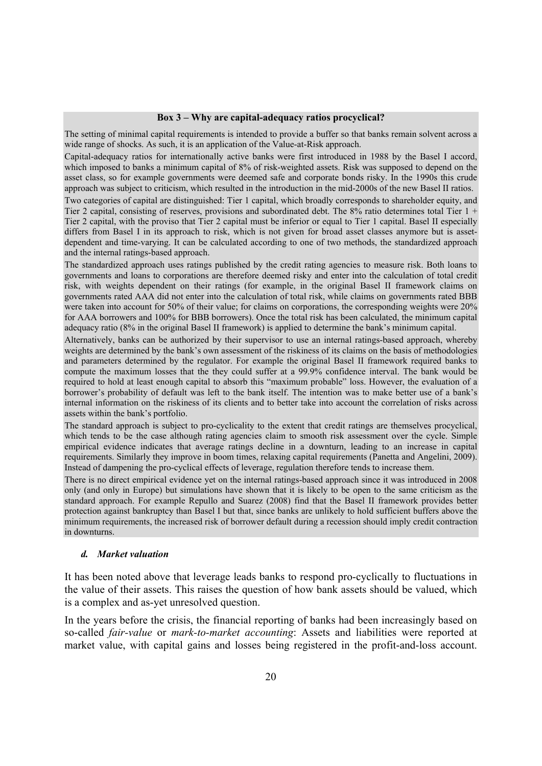#### **Box 3 – Why are capital-adequacy ratios procyclical?**

The setting of minimal capital requirements is intended to provide a buffer so that banks remain solvent across a wide range of shocks. As such, it is an application of the Value-at-Risk approach.

Capital-adequacy ratios for internationally active banks were first introduced in 1988 by the Basel I accord, which imposed to banks a minimum capital of 8% of risk-weighted assets. Risk was supposed to depend on the asset class, so for example governments were deemed safe and corporate bonds risky. In the 1990s this crude approach was subject to criticism, which resulted in the introduction in the mid-2000s of the new Basel II ratios.

Two categories of capital are distinguished: Tier 1 capital, which broadly corresponds to shareholder equity, and Tier 2 capital, consisting of reserves, provisions and subordinated debt. The 8% ratio determines total Tier 1 + Tier 2 capital, with the proviso that Tier 2 capital must be inferior or equal to Tier 1 capital. Basel II especially differs from Basel I in its approach to risk, which is not given for broad asset classes anymore but is assetdependent and time-varying. It can be calculated according to one of two methods, the standardized approach and the internal ratings-based approach.

The standardized approach uses ratings published by the credit rating agencies to measure risk. Both loans to governments and loans to corporations are therefore deemed risky and enter into the calculation of total credit risk, with weights dependent on their ratings (for example, in the original Basel II framework claims on governments rated AAA did not enter into the calculation of total risk, while claims on governments rated BBB were taken into account for 50% of their value; for claims on corporations, the corresponding weights were 20% for AAA borrowers and 100% for BBB borrowers). Once the total risk has been calculated, the minimum capital adequacy ratio (8% in the original Basel II framework) is applied to determine the bank's minimum capital.

Alternatively, banks can be authorized by their supervisor to use an internal ratings-based approach, whereby weights are determined by the bank's own assessment of the riskiness of its claims on the basis of methodologies and parameters determined by the regulator. For example the original Basel II framework required banks to compute the maximum losses that the they could suffer at a 99.9% confidence interval. The bank would be required to hold at least enough capital to absorb this "maximum probable" loss. However, the evaluation of a borrower's probability of default was left to the bank itself. The intention was to make better use of a bank's internal information on the riskiness of its clients and to better take into account the correlation of risks across assets within the bank's portfolio.

The standard approach is subject to pro-cyclicality to the extent that credit ratings are themselves procyclical, which tends to be the case although rating agencies claim to smooth risk assessment over the cycle. Simple empirical evidence indicates that average ratings decline in a downturn, leading to an increase in capital requirements. Similarly they improve in boom times, relaxing capital requirements (Panetta and Angelini, 2009). Instead of dampening the pro-cyclical effects of leverage, regulation therefore tends to increase them.

There is no direct empirical evidence yet on the internal ratings-based approach since it was introduced in 2008 only (and only in Europe) but simulations have shown that it is likely to be open to the same criticism as the standard approach. For example Repullo and Suarez (2008) find that the Basel II framework provides better protection against bankruptcy than Basel I but that, since banks are unlikely to hold sufficient buffers above the minimum requirements, the increased risk of borrower default during a recession should imply credit contraction in downturns.

#### *d. Market valuation*

It has been noted above that leverage leads banks to respond pro-cyclically to fluctuations in the value of their assets. This raises the question of how bank assets should be valued, which is a complex and as-yet unresolved question.

In the years before the crisis, the financial reporting of banks had been increasingly based on so-called *fair-value* or *mark-to-market accounting*: Assets and liabilities were reported at market value, with capital gains and losses being registered in the profit-and-loss account.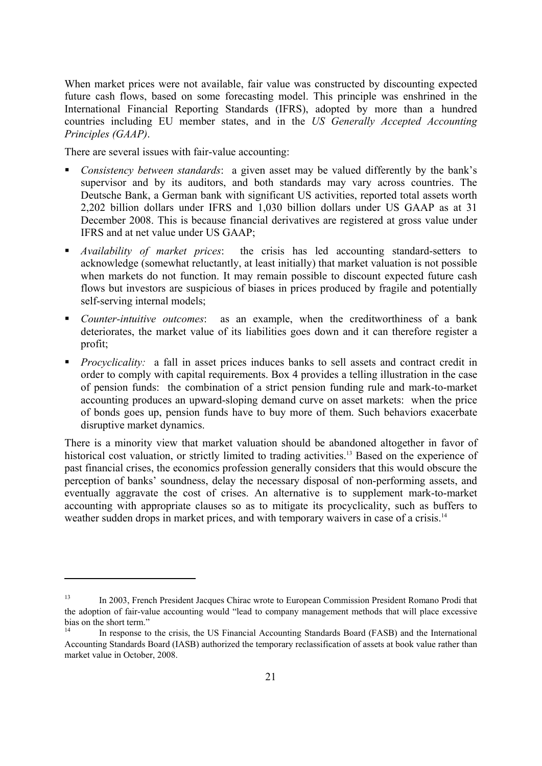When market prices were not available, fair value was constructed by discounting expected future cash flows, based on some forecasting model. This principle was enshrined in the International Financial Reporting Standards (IFRS), adopted by more than a hundred countries including EU member states, and in the *US Generally Accepted Accounting Principles (GAAP)*.

There are several issues with fair-value accounting:

1

- *Consistency between standards*: a given asset may be valued differently by the bank's supervisor and by its auditors, and both standards may vary across countries. The Deutsche Bank, a German bank with significant US activities, reported total assets worth 2,202 billion dollars under IFRS and 1,030 billion dollars under US GAAP as at 31 December 2008. This is because financial derivatives are registered at gross value under IFRS and at net value under US GAAP;
- *Availability of market prices*: the crisis has led accounting standard-setters to acknowledge (somewhat reluctantly, at least initially) that market valuation is not possible when markets do not function. It may remain possible to discount expected future cash flows but investors are suspicious of biases in prices produced by fragile and potentially self-serving internal models;
- *Counter-intuitive outcomes*: as an example, when the creditworthiness of a bank deteriorates, the market value of its liabilities goes down and it can therefore register a profit;
- **Procyclicality:** a fall in asset prices induces banks to sell assets and contract credit in order to comply with capital requirements. Box 4 provides a telling illustration in the case of pension funds: the combination of a strict pension funding rule and mark-to-market accounting produces an upward-sloping demand curve on asset markets: when the price of bonds goes up, pension funds have to buy more of them. Such behaviors exacerbate disruptive market dynamics.

There is a minority view that market valuation should be abandoned altogether in favor of historical cost valuation, or strictly limited to trading activities.<sup>13</sup> Based on the experience of past financial crises, the economics profession generally considers that this would obscure the perception of banks' soundness, delay the necessary disposal of non-performing assets, and eventually aggravate the cost of crises. An alternative is to supplement mark-to-market accounting with appropriate clauses so as to mitigate its procyclicality, such as buffers to weather sudden drops in market prices, and with temporary waivers in case of a crisis.<sup>14</sup>

<sup>&</sup>lt;sup>13</sup> In 2003, French President Jacques Chirac wrote to European Commission President Romano Prodi that the adoption of fair-value accounting would "lead to company management methods that will place excessive bias on the short term."

<sup>14</sup> In response to the crisis, the US Financial Accounting Standards Board (FASB) and the International Accounting Standards Board (IASB) authorized the temporary reclassification of assets at book value rather than market value in October, 2008.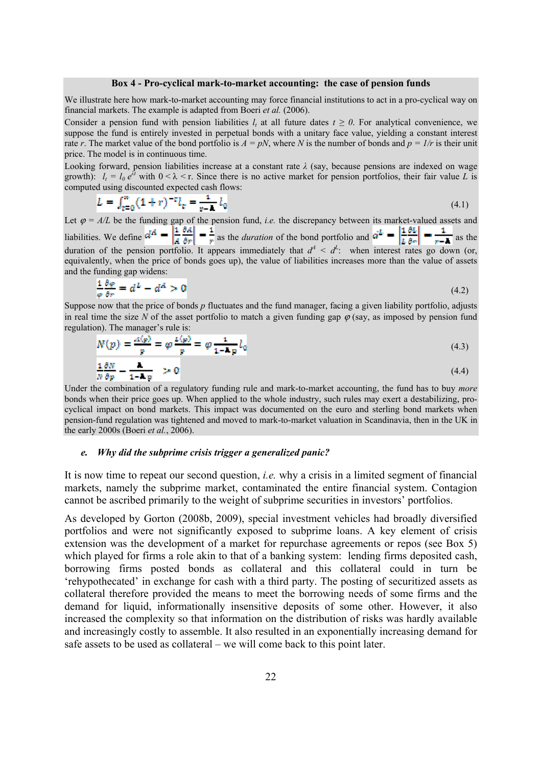#### **Box 4 - Pro-cyclical mark-to-market accounting: the case of pension funds**

We illustrate here how mark-to-market accounting may force financial institutions to act in a pro-cyclical way on financial markets. The example is adapted from Boeri *et al.* (2006).

Consider a pension fund with pension liabilities *l<sub>t</sub>* at all future dates  $t \ge 0$ . For analytical convenience, we suppose the fund is entirely invested in perpetual bonds with a unitary face value, yielding a constant interest rate *r*. The market value of the bond portfolio is  $A = pN$ , where *N* is the number of bonds and  $p = 1/r$  is their unit price. The model is in continuous time.

Looking forward, pension liabilities increase at a constant rate *λ* (say, because pensions are indexed on wage growth):  $l_t = l_0 e^{i\lambda t}$  with  $0 < \lambda < r$ . Since there is no active market for pension portfolios, their fair value *L* is computed using discounted expected cash flows:

$$
L = \int_{t=0}^{\infty} (1+r)^{-\epsilon} l_{\epsilon} = \frac{1}{r-1} l_0
$$
\n(4.1)

Let  $\varphi = A/L$  be the funding gap of the pension fund, *i.e.* the discrepancy between its market-valued assets and liabilities. We define  $\alpha^{44} = \frac{1}{\alpha} \frac{1}{\alpha} = \frac{1}{\alpha}$  as the *duration* of the bond portfolio and  $\alpha^2 = \frac{1}{\alpha} \frac{1}{\alpha} \frac{1}{\alpha} = \frac{1}{\alpha - 1}$  as the duration of the pension portfolio. It appears immediately that  $d^4 < d^2$ : when interest rates go down (or, equivalently, when the price of bonds goes up), the value of liabilities increases more than the value of assets and the funding gap widens:

$$
\frac{1}{\varphi} \frac{\partial \varphi}{\partial r} = d^L - d^A > 0 \tag{4.2}
$$

Suppose now that the price of bonds *p* fluctuates and the fund manager, facing a given liability portfolio, adjusts in real time the size *N* of the asset portfolio to match a given funding gap  $\varphi$  (say, as imposed by pension fund regulation). The manager's rule is:

$$
N(p) = \frac{A(p)}{p} = \varphi \frac{L(p)}{p} = \varphi \frac{1}{1 - np} l_0
$$
\n(4.3)

$$
\frac{1}{N}\frac{\partial N}{\partial p} - \frac{1}{1 - \lambda p} \ge 0 \tag{4.4}
$$

Under the combination of a regulatory funding rule and mark-to-market accounting, the fund has to buy *more* bonds when their price goes up. When applied to the whole industry, such rules may exert a destabilizing, procyclical impact on bond markets. This impact was documented on the euro and sterling bond markets when pension-fund regulation was tightened and moved to mark-to-market valuation in Scandinavia, then in the UK in the early 2000s (Boeri *et al.*, 2006).

# *e. Why did the subprime crisis trigger a generalized panic?*

It is now time to repeat our second question, *i.e.* why a crisis in a limited segment of financial markets, namely the subprime market, contaminated the entire financial system. Contagion cannot be ascribed primarily to the weight of subprime securities in investors' portfolios.

As developed by Gorton (2008b, 2009), special investment vehicles had broadly diversified portfolios and were not significantly exposed to subprime loans. A key element of crisis extension was the development of a market for repurchase agreements or repos (see Box 5) which played for firms a role akin to that of a banking system: lending firms deposited cash, borrowing firms posted bonds as collateral and this collateral could in turn be 'rehypothecated' in exchange for cash with a third party. The posting of securitized assets as collateral therefore provided the means to meet the borrowing needs of some firms and the demand for liquid, informationally insensitive deposits of some other. However, it also increased the complexity so that information on the distribution of risks was hardly available and increasingly costly to assemble. It also resulted in an exponentially increasing demand for safe assets to be used as collateral – we will come back to this point later.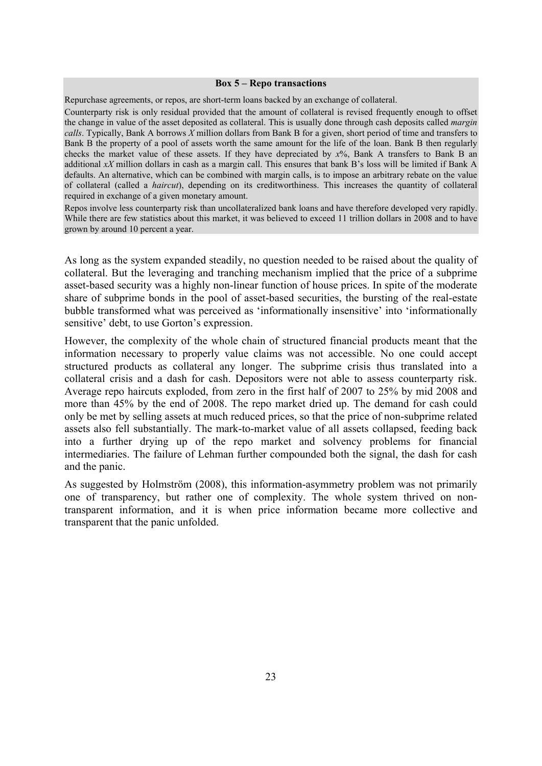#### **Box 5 – Repo transactions**

Repurchase agreements, or repos, are short-term loans backed by an exchange of collateral.

Counterparty risk is only residual provided that the amount of collateral is revised frequently enough to offset the change in value of the asset deposited as collateral. This is usually done through cash deposits called *margin calls*. Typically, Bank A borrows *X* million dollars from Bank B for a given, short period of time and transfers to Bank B the property of a pool of assets worth the same amount for the life of the loan. Bank B then regularly checks the market value of these assets. If they have depreciated by *x*%, Bank A transfers to Bank B an additional *xX* million dollars in cash as a margin call. This ensures that bank B's loss will be limited if Bank A defaults. An alternative, which can be combined with margin calls, is to impose an arbitrary rebate on the value of collateral (called a *haircut*), depending on its creditworthiness. This increases the quantity of collateral required in exchange of a given monetary amount.

Repos involve less counterparty risk than uncollateralized bank loans and have therefore developed very rapidly. While there are few statistics about this market, it was believed to exceed 11 trillion dollars in 2008 and to have grown by around 10 percent a year.

As long as the system expanded steadily, no question needed to be raised about the quality of collateral. But the leveraging and tranching mechanism implied that the price of a subprime asset-based security was a highly non-linear function of house prices. In spite of the moderate share of subprime bonds in the pool of asset-based securities, the bursting of the real-estate bubble transformed what was perceived as 'informationally insensitive' into 'informationally sensitive' debt, to use Gorton's expression.

However, the complexity of the whole chain of structured financial products meant that the information necessary to properly value claims was not accessible. No one could accept structured products as collateral any longer. The subprime crisis thus translated into a collateral crisis and a dash for cash. Depositors were not able to assess counterparty risk. Average repo haircuts exploded, from zero in the first half of 2007 to 25% by mid 2008 and more than 45% by the end of 2008. The repo market dried up. The demand for cash could only be met by selling assets at much reduced prices, so that the price of non-subprime related assets also fell substantially. The mark-to-market value of all assets collapsed, feeding back into a further drying up of the repo market and solvency problems for financial intermediaries. The failure of Lehman further compounded both the signal, the dash for cash and the panic.

As suggested by Holmström (2008), this information-asymmetry problem was not primarily one of transparency, but rather one of complexity. The whole system thrived on nontransparent information, and it is when price information became more collective and transparent that the panic unfolded.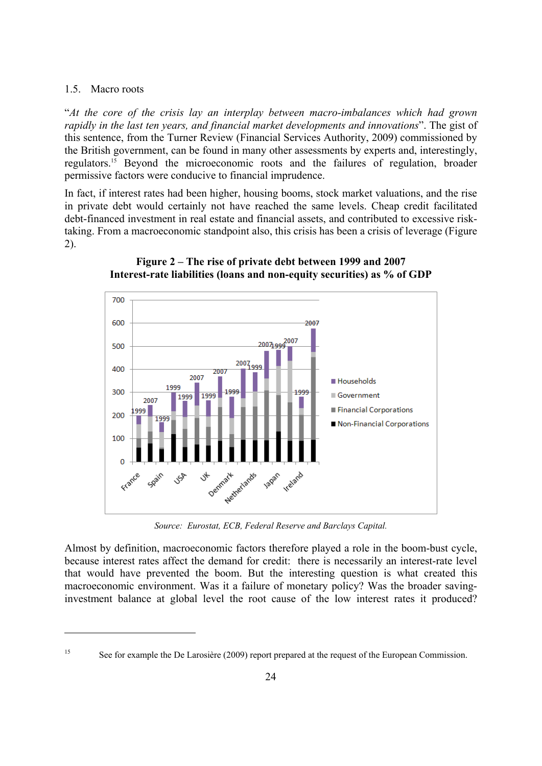# 1.5. Macro roots

"*At the core of the crisis lay an interplay between macro-imbalances which had grown rapidly in the last ten years, and financial market developments and innovations*". The gist of this sentence, from the Turner Review (Financial Services Authority, 2009) commissioned by the British government, can be found in many other assessments by experts and, interestingly, regulators.15 Beyond the microeconomic roots and the failures of regulation, broader permissive factors were conducive to financial imprudence.

In fact, if interest rates had been higher, housing booms, stock market valuations, and the rise in private debt would certainly not have reached the same levels. Cheap credit facilitated debt-financed investment in real estate and financial assets, and contributed to excessive risktaking. From a macroeconomic standpoint also, this crisis has been a crisis of leverage (Figure 2).



# **Figure 2 – The rise of private debt between 1999 and 2007 Interest-rate liabilities (loans and non-equity securities) as % of GDP**

*Source: Eurostat, ECB, Federal Reserve and Barclays Capital.* 

Almost by definition, macroeconomic factors therefore played a role in the boom-bust cycle, because interest rates affect the demand for credit: there is necessarily an interest-rate level that would have prevented the boom. But the interesting question is what created this macroeconomic environment. Was it a failure of monetary policy? Was the broader savinginvestment balance at global level the root cause of the low interest rates it produced?

<sup>&</sup>lt;sup>15</sup> See for example the De Larosière (2009) report prepared at the request of the European Commission.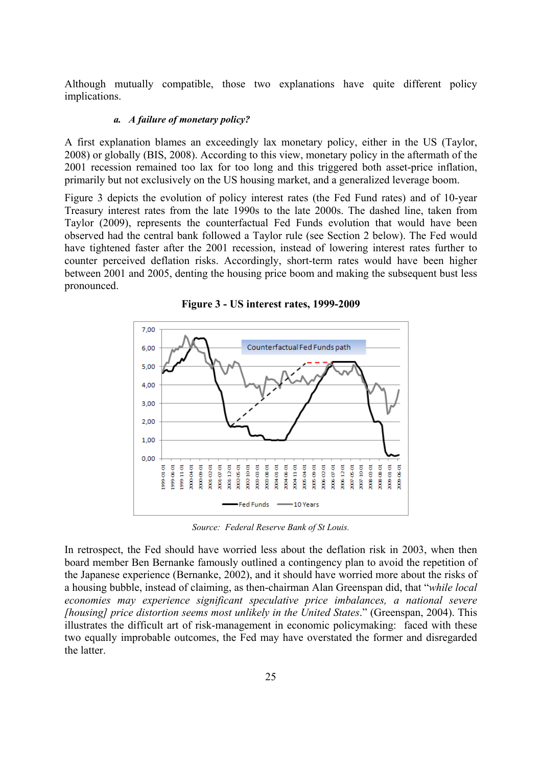Although mutually compatible, those two explanations have quite different policy implications.

#### *a. A failure of monetary policy?*

A first explanation blames an exceedingly lax monetary policy, either in the US (Taylor, 2008) or globally (BIS, 2008). According to this view, monetary policy in the aftermath of the 2001 recession remained too lax for too long and this triggered both asset-price inflation, primarily but not exclusively on the US housing market, and a generalized leverage boom.

Figure 3 depicts the evolution of policy interest rates (the Fed Fund rates) and of 10-year Treasury interest rates from the late 1990s to the late 2000s. The dashed line, taken from Taylor (2009), represents the counterfactual Fed Funds evolution that would have been observed had the central bank followed a Taylor rule (see Section 2 below). The Fed would have tightened faster after the 2001 recession, instead of lowering interest rates further to counter perceived deflation risks. Accordingly, short-term rates would have been higher between 2001 and 2005, denting the housing price boom and making the subsequent bust less pronounced.

**Figure 3 - US interest rates, 1999-2009** 



*Source: Federal Reserve Bank of St Louis.* 

In retrospect, the Fed should have worried less about the deflation risk in 2003, when then board member Ben Bernanke famously outlined a contingency plan to avoid the repetition of the Japanese experience (Bernanke, 2002), and it should have worried more about the risks of a housing bubble, instead of claiming, as then-chairman Alan Greenspan did, that "*while local economies may experience significant speculative price imbalances, a national severe [housing] price distortion seems most unlikely in the United States*." (Greenspan, 2004). This illustrates the difficult art of risk-management in economic policymaking: faced with these two equally improbable outcomes, the Fed may have overstated the former and disregarded the latter.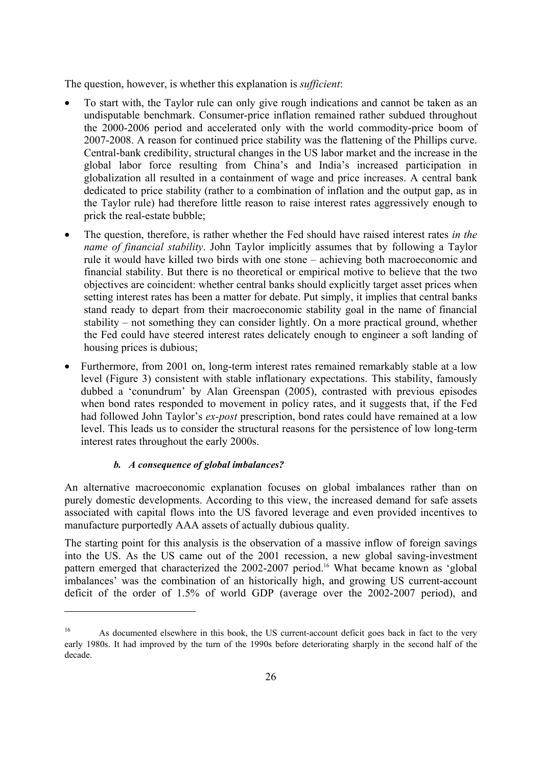The question, however, is whether this explanation is *sufficient*:

- To start with, the Taylor rule can only give rough indications and cannot be taken as an undisputable benchmark. Consumer-price inflation remained rather subdued throughout the 2000-2006 period and accelerated only with the world commodity-price boom of 2007-2008. A reason for continued price stability was the flattening of the Phillips curve. Central-bank credibility, structural changes in the US labor market and the increase in the global labor force resulting from China's and India's increased participation in globalization all resulted in a containment of wage and price increases. A central bank dedicated to price stability (rather to a combination of inflation and the output gap, as in the Taylor rule) had therefore little reason to raise interest rates aggressively enough to prick the real-estate bubble;
- The question, therefore, is rather whether the Fed should have raised interest rates *in the name of financial stability*. John Taylor implicitly assumes that by following a Taylor rule it would have killed two birds with one stone – achieving both macroeconomic and financial stability. But there is no theoretical or empirical motive to believe that the two objectives are coincident: whether central banks should explicitly target asset prices when setting interest rates has been a matter for debate. Put simply, it implies that central banks stand ready to depart from their macroeconomic stability goal in the name of financial stability – not something they can consider lightly. On a more practical ground, whether the Fed could have steered interest rates delicately enough to engineer a soft landing of housing prices is dubious;
- Furthermore, from 2001 on, long-term interest rates remained remarkably stable at a low level (Figure 3) consistent with stable inflationary expectations. This stability, famously dubbed a 'conundrum' by Alan Greenspan (2005), contrasted with previous episodes when bond rates responded to movement in policy rates, and it suggests that, if the Fed had followed John Taylor's *ex-post* prescription, bond rates could have remained at a low level. This leads us to consider the structural reasons for the persistence of low long-term interest rates throughout the early 2000s.

# *b. A consequence of global imbalances?*

1

An alternative macroeconomic explanation focuses on global imbalances rather than on purely domestic developments. According to this view, the increased demand for safe assets associated with capital flows into the US favored leverage and even provided incentives to manufacture purportedly AAA assets of actually dubious quality.

The starting point for this analysis is the observation of a massive inflow of foreign savings into the US. As the US came out of the 2001 recession, a new global saving-investment pattern emerged that characterized the 2002-2007 period.<sup>16</sup> What became known as 'global imbalances' was the combination of an historically high, and growing US current-account deficit of the order of 1.5% of world GDP (average over the 2002-2007 period), and

<sup>16</sup> As documented elsewhere in this book, the US current-account deficit goes back in fact to the very early 1980s. It had improved by the turn of the 1990s before deteriorating sharply in the second half of the decade.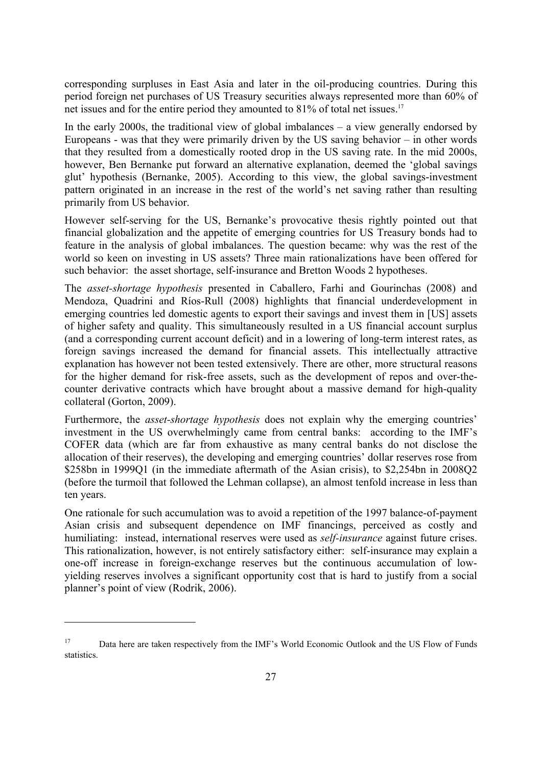corresponding surpluses in East Asia and later in the oil-producing countries. During this period foreign net purchases of US Treasury securities always represented more than 60% of net issues and for the entire period they amounted to 81% of total net issues.<sup>17</sup>

In the early 2000s, the traditional view of global imbalances  $-$  a view generally endorsed by Europeans - was that they were primarily driven by the US saving behavior – in other words that they resulted from a domestically rooted drop in the US saving rate. In the mid 2000s, however, Ben Bernanke put forward an alternative explanation, deemed the 'global savings glut' hypothesis (Bernanke, 2005). According to this view, the global savings-investment pattern originated in an increase in the rest of the world's net saving rather than resulting primarily from US behavior.

However self-serving for the US, Bernanke's provocative thesis rightly pointed out that financial globalization and the appetite of emerging countries for US Treasury bonds had to feature in the analysis of global imbalances. The question became: why was the rest of the world so keen on investing in US assets? Three main rationalizations have been offered for such behavior: the asset shortage, self-insurance and Bretton Woods 2 hypotheses.

The *asset-shortage hypothesis* presented in Caballero, Farhi and Gourinchas (2008) and Mendoza, Quadrini and Ríos-Rull (2008) highlights that financial underdevelopment in emerging countries led domestic agents to export their savings and invest them in [US] assets of higher safety and quality. This simultaneously resulted in a US financial account surplus (and a corresponding current account deficit) and in a lowering of long-term interest rates, as foreign savings increased the demand for financial assets. This intellectually attractive explanation has however not been tested extensively. There are other, more structural reasons for the higher demand for risk-free assets, such as the development of repos and over-thecounter derivative contracts which have brought about a massive demand for high-quality collateral (Gorton, 2009).

Furthermore, the *asset-shortage hypothesis* does not explain why the emerging countries' investment in the US overwhelmingly came from central banks: according to the IMF's COFER data (which are far from exhaustive as many central banks do not disclose the allocation of their reserves), the developing and emerging countries' dollar reserves rose from \$258bn in 1999O1 (in the immediate aftermath of the Asian crisis), to \$2,254bn in 2008O2 (before the turmoil that followed the Lehman collapse), an almost tenfold increase in less than ten years.

One rationale for such accumulation was to avoid a repetition of the 1997 balance-of-payment Asian crisis and subsequent dependence on IMF financings, perceived as costly and humiliating: instead, international reserves were used as *self-insurance* against future crises. This rationalization, however, is not entirely satisfactory either: self-insurance may explain a one-off increase in foreign-exchange reserves but the continuous accumulation of lowyielding reserves involves a significant opportunity cost that is hard to justify from a social planner's point of view (Rodrik, 2006).

<sup>&</sup>lt;sup>17</sup> Data here are taken respectively from the IMF's World Economic Outlook and the US Flow of Funds statistics.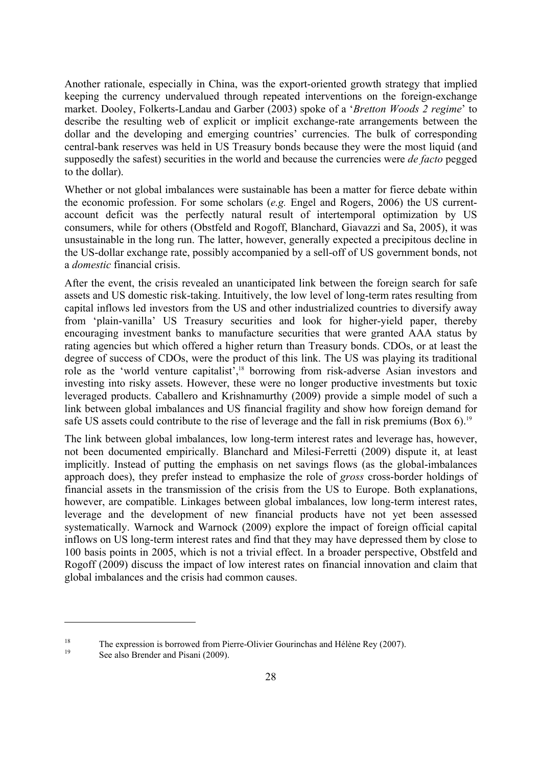Another rationale, especially in China, was the export-oriented growth strategy that implied keeping the currency undervalued through repeated interventions on the foreign-exchange market. Dooley, Folkerts-Landau and Garber (2003) spoke of a '*Bretton Woods 2 regime*' to describe the resulting web of explicit or implicit exchange-rate arrangements between the dollar and the developing and emerging countries' currencies. The bulk of corresponding central-bank reserves was held in US Treasury bonds because they were the most liquid (and supposedly the safest) securities in the world and because the currencies were *de facto* pegged to the dollar).

Whether or not global imbalances were sustainable has been a matter for fierce debate within the economic profession. For some scholars (*e.g.* Engel and Rogers, 2006) the US currentaccount deficit was the perfectly natural result of intertemporal optimization by US consumers, while for others (Obstfeld and Rogoff, Blanchard, Giavazzi and Sa, 2005), it was unsustainable in the long run. The latter, however, generally expected a precipitous decline in the US-dollar exchange rate, possibly accompanied by a sell-off of US government bonds, not a *domestic* financial crisis.

After the event, the crisis revealed an unanticipated link between the foreign search for safe assets and US domestic risk-taking. Intuitively, the low level of long-term rates resulting from capital inflows led investors from the US and other industrialized countries to diversify away from 'plain-vanilla' US Treasury securities and look for higher-yield paper, thereby encouraging investment banks to manufacture securities that were granted AAA status by rating agencies but which offered a higher return than Treasury bonds. CDOs, or at least the degree of success of CDOs, were the product of this link. The US was playing its traditional role as the 'world venture capitalist',<sup>18</sup> borrowing from risk-adverse Asian investors and investing into risky assets. However, these were no longer productive investments but toxic leveraged products. Caballero and Krishnamurthy (2009) provide a simple model of such a link between global imbalances and US financial fragility and show how foreign demand for safe US assets could contribute to the rise of leverage and the fall in risk premiums (Box 6).<sup>19</sup>

The link between global imbalances, low long-term interest rates and leverage has, however, not been documented empirically. Blanchard and Milesi-Ferretti (2009) dispute it, at least implicitly. Instead of putting the emphasis on net savings flows (as the global-imbalances approach does), they prefer instead to emphasize the role of *gross* cross-border holdings of financial assets in the transmission of the crisis from the US to Europe. Both explanations, however, are compatible. Linkages between global imbalances, low long-term interest rates, leverage and the development of new financial products have not yet been assessed systematically. Warnock and Warnock (2009) explore the impact of foreign official capital inflows on US long-term interest rates and find that they may have depressed them by close to 100 basis points in 2005, which is not a trivial effect. In a broader perspective, Obstfeld and Rogoff (2009) discuss the impact of low interest rates on financial innovation and claim that global imbalances and the crisis had common causes.

<sup>&</sup>lt;sup>18</sup> The expression is borrowed from Pierre-Olivier Gourinchas and Hélène Rey (2007).

See also Brender and Pisani (2009).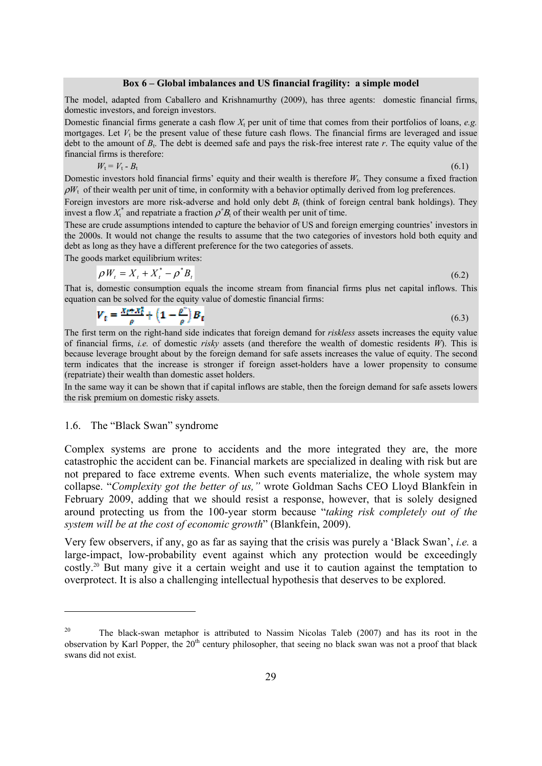#### **Box 6 – Global imbalances and US financial fragility: a simple model**

The model, adapted from Caballero and Krishnamurthy (2009), has three agents: domestic financial firms, domestic investors, and foreign investors.

Domestic financial firms generate a cash flow  $X_t$  per unit of time that comes from their portfolios of loans, *e.g.* mortgages. Let  $V_t$  be the present value of these future cash flows. The financial firms are leveraged and issue debt to the amount of  $B_t$ . The debt is deemed safe and pays the risk-free interest rate  $r$ . The equity value of the financial firms is therefore:

$$
W_{t} = V_{t} - B_{t} \tag{6.1}
$$

Domestic investors hold financial firms' equity and their wealth is therefore *W*t. They consume a fixed fraction  $\rho W_t$ , of their wealth per unit of time, in conformity with a behavior optimally derived from log preferences.

Foreign investors are more risk-adverse and hold only debt *B*<sub>t</sub> (think of foreign central bank holdings). They invest a flow  $X_t^*$  and repatriate a fraction  $\rho^*B_t$  of their wealth per unit of time.

These are crude assumptions intended to capture the behavior of US and foreign emerging countries' investors in the 2000s. It would not change the results to assume that the two categories of investors hold both equity and debt as long as they have a different preference for the two categories of assets.

The goods market equilibrium writes:

$$
\rho W_t = X_t + X_t^* - \rho^* B_t \tag{6.2}
$$

That is, domestic consumption equals the income stream from financial firms plus net capital inflows. This equation can be solved for the equity value of domestic financial firms:

$$
V_t = \frac{X_t + X_t}{\rho} + \left(1 - \frac{\rho}{\rho}\right) B_t \tag{6.3}
$$

The first term on the right-hand side indicates that foreign demand for *riskless* assets increases the equity value of financial firms, *i.e.* of domestic *risky* assets (and therefore the wealth of domestic residents *W*). This is because leverage brought about by the foreign demand for safe assets increases the value of equity. The second term indicates that the increase is stronger if foreign asset-holders have a lower propensity to consume (repatriate) their wealth than domestic asset holders.

In the same way it can be shown that if capital inflows are stable, then the foreign demand for safe assets lowers the risk premium on domestic risky assets.

#### 1.6. The "Black Swan" syndrome

1

Complex systems are prone to accidents and the more integrated they are, the more catastrophic the accident can be. Financial markets are specialized in dealing with risk but are not prepared to face extreme events. When such events materialize, the whole system may collapse. "*Complexity got the better of us,"* wrote Goldman Sachs CEO Lloyd Blankfein in February 2009, adding that we should resist a response, however, that is solely designed around protecting us from the 100-year storm because "*taking risk completely out of the system will be at the cost of economic growth*" (Blankfein, 2009).

Very few observers, if any, go as far as saying that the crisis was purely a 'Black Swan', *i.e.* a large-impact, low-probability event against which any protection would be exceedingly costly.20 But many give it a certain weight and use it to caution against the temptation to overprotect. It is also a challenging intellectual hypothesis that deserves to be explored.

<sup>&</sup>lt;sup>20</sup> The black-swan metaphor is attributed to Nassim Nicolas Taleb (2007) and has its root in the observation by Karl Popper, the 20<sup>th</sup> century philosopher, that seeing no black swan was not a proof that black swans did not exist.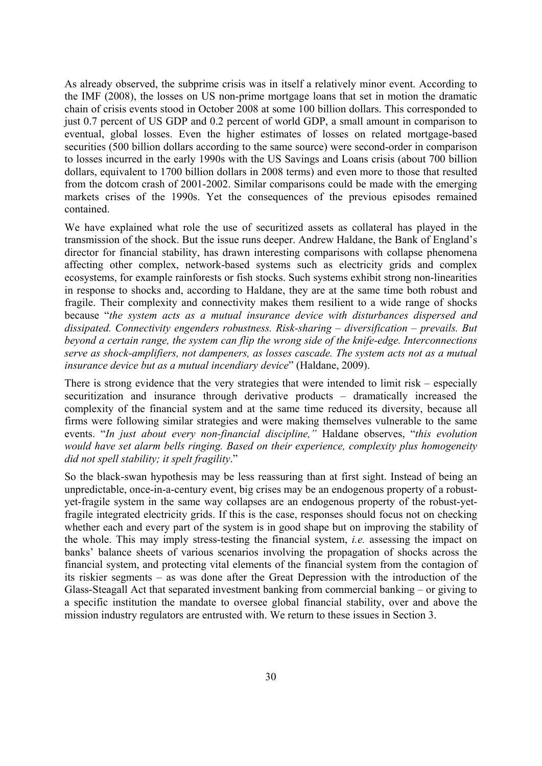As already observed, the subprime crisis was in itself a relatively minor event. According to the IMF (2008), the losses on US non-prime mortgage loans that set in motion the dramatic chain of crisis events stood in October 2008 at some 100 billion dollars. This corresponded to just 0.7 percent of US GDP and 0.2 percent of world GDP, a small amount in comparison to eventual, global losses. Even the higher estimates of losses on related mortgage-based securities (500 billion dollars according to the same source) were second-order in comparison to losses incurred in the early 1990s with the US Savings and Loans crisis (about 700 billion dollars, equivalent to 1700 billion dollars in 2008 terms) and even more to those that resulted from the dotcom crash of 2001-2002. Similar comparisons could be made with the emerging markets crises of the 1990s. Yet the consequences of the previous episodes remained contained.

We have explained what role the use of securitized assets as collateral has played in the transmission of the shock. But the issue runs deeper. Andrew Haldane, the Bank of England's director for financial stability, has drawn interesting comparisons with collapse phenomena affecting other complex, network-based systems such as electricity grids and complex ecosystems, for example rainforests or fish stocks. Such systems exhibit strong non-linearities in response to shocks and, according to Haldane, they are at the same time both robust and fragile. Their complexity and connectivity makes them resilient to a wide range of shocks because "*the system acts as a mutual insurance device with disturbances dispersed and dissipated. Connectivity engenders robustness. Risk-sharing – diversification – prevails. But beyond a certain range, the system can flip the wrong side of the knife-edge. Interconnections serve as shock-amplifiers, not dampeners, as losses cascade. The system acts not as a mutual insurance device but as a mutual incendiary device*" (Haldane, 2009).

There is strong evidence that the very strategies that were intended to limit risk – especially securitization and insurance through derivative products – dramatically increased the complexity of the financial system and at the same time reduced its diversity, because all firms were following similar strategies and were making themselves vulnerable to the same events. "*In just about every non-financial discipline,"* Haldane observes, "*this evolution would have set alarm bells ringing. Based on their experience, complexity plus homogeneity did not spell stability; it spelt fragility*."

So the black-swan hypothesis may be less reassuring than at first sight. Instead of being an unpredictable, once-in-a-century event, big crises may be an endogenous property of a robustyet-fragile system in the same way collapses are an endogenous property of the robust-yetfragile integrated electricity grids. If this is the case, responses should focus not on checking whether each and every part of the system is in good shape but on improving the stability of the whole. This may imply stress-testing the financial system, *i.e.* assessing the impact on banks' balance sheets of various scenarios involving the propagation of shocks across the financial system, and protecting vital elements of the financial system from the contagion of its riskier segments – as was done after the Great Depression with the introduction of the Glass-Steagall Act that separated investment banking from commercial banking – or giving to a specific institution the mandate to oversee global financial stability, over and above the mission industry regulators are entrusted with. We return to these issues in Section 3.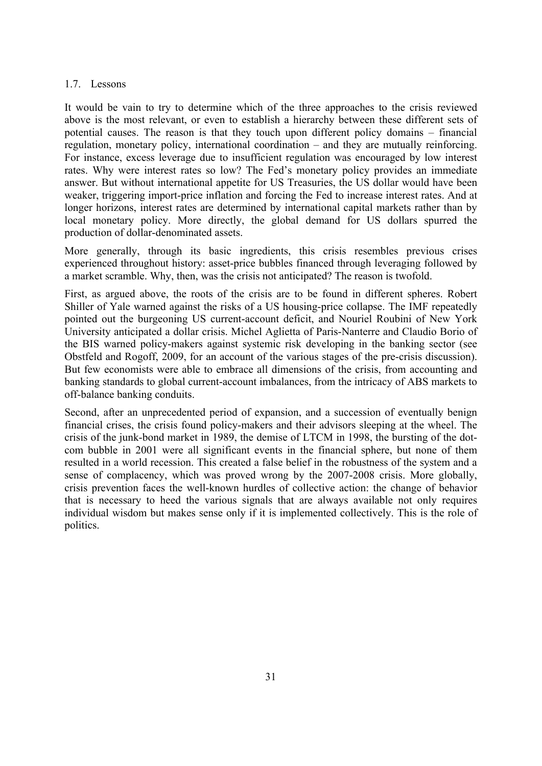#### 1.7. Lessons

It would be vain to try to determine which of the three approaches to the crisis reviewed above is the most relevant, or even to establish a hierarchy between these different sets of potential causes. The reason is that they touch upon different policy domains – financial regulation, monetary policy, international coordination – and they are mutually reinforcing. For instance, excess leverage due to insufficient regulation was encouraged by low interest rates. Why were interest rates so low? The Fed's monetary policy provides an immediate answer. But without international appetite for US Treasuries, the US dollar would have been weaker, triggering import-price inflation and forcing the Fed to increase interest rates. And at longer horizons, interest rates are determined by international capital markets rather than by local monetary policy. More directly, the global demand for US dollars spurred the production of dollar-denominated assets.

More generally, through its basic ingredients, this crisis resembles previous crises experienced throughout history: asset-price bubbles financed through leveraging followed by a market scramble. Why, then, was the crisis not anticipated? The reason is twofold.

First, as argued above, the roots of the crisis are to be found in different spheres. Robert Shiller of Yale warned against the risks of a US housing-price collapse. The IMF repeatedly pointed out the burgeoning US current-account deficit, and Nouriel Roubini of New York University anticipated a dollar crisis. Michel Aglietta of Paris-Nanterre and Claudio Borio of the BIS warned policy-makers against systemic risk developing in the banking sector (see Obstfeld and Rogoff, 2009, for an account of the various stages of the pre-crisis discussion). But few economists were able to embrace all dimensions of the crisis, from accounting and banking standards to global current-account imbalances, from the intricacy of ABS markets to off-balance banking conduits.

Second, after an unprecedented period of expansion, and a succession of eventually benign financial crises, the crisis found policy-makers and their advisors sleeping at the wheel. The crisis of the junk-bond market in 1989, the demise of LTCM in 1998, the bursting of the dotcom bubble in 2001 were all significant events in the financial sphere, but none of them resulted in a world recession. This created a false belief in the robustness of the system and a sense of complacency, which was proved wrong by the 2007-2008 crisis. More globally, crisis prevention faces the well-known hurdles of collective action: the change of behavior that is necessary to heed the various signals that are always available not only requires individual wisdom but makes sense only if it is implemented collectively. This is the role of politics.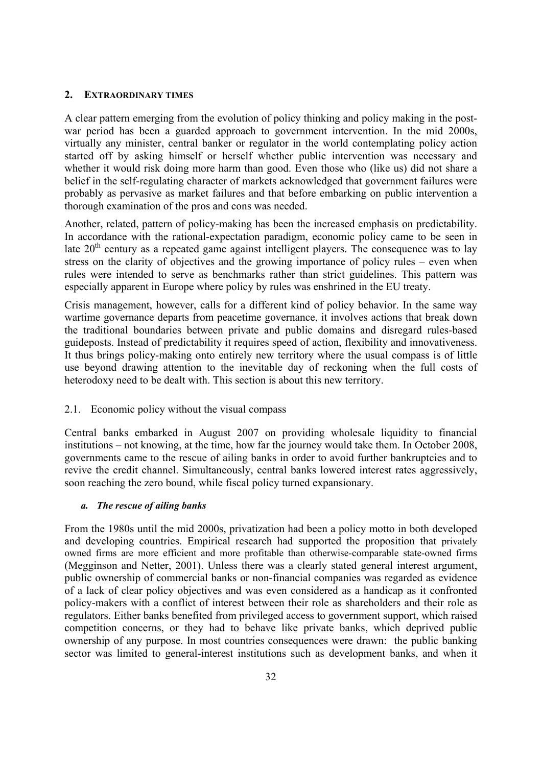# **2. EXTRAORDINARY TIMES**

A clear pattern emerging from the evolution of policy thinking and policy making in the postwar period has been a guarded approach to government intervention. In the mid 2000s, virtually any minister, central banker or regulator in the world contemplating policy action started off by asking himself or herself whether public intervention was necessary and whether it would risk doing more harm than good. Even those who (like us) did not share a belief in the self-regulating character of markets acknowledged that government failures were probably as pervasive as market failures and that before embarking on public intervention a thorough examination of the pros and cons was needed.

Another, related, pattern of policy-making has been the increased emphasis on predictability. In accordance with the rational-expectation paradigm, economic policy came to be seen in late  $20<sup>th</sup>$  century as a repeated game against intelligent players. The consequence was to lay stress on the clarity of objectives and the growing importance of policy rules – even when rules were intended to serve as benchmarks rather than strict guidelines. This pattern was especially apparent in Europe where policy by rules was enshrined in the EU treaty.

Crisis management, however, calls for a different kind of policy behavior. In the same way wartime governance departs from peacetime governance, it involves actions that break down the traditional boundaries between private and public domains and disregard rules-based guideposts. Instead of predictability it requires speed of action, flexibility and innovativeness. It thus brings policy-making onto entirely new territory where the usual compass is of little use beyond drawing attention to the inevitable day of reckoning when the full costs of heterodoxy need to be dealt with. This section is about this new territory.

# 2.1. Economic policy without the visual compass

Central banks embarked in August 2007 on providing wholesale liquidity to financial institutions – not knowing, at the time, how far the journey would take them. In October 2008, governments came to the rescue of ailing banks in order to avoid further bankruptcies and to revive the credit channel. Simultaneously, central banks lowered interest rates aggressively, soon reaching the zero bound, while fiscal policy turned expansionary.

# *a. The rescue of ailing banks*

From the 1980s until the mid 2000s, privatization had been a policy motto in both developed and developing countries. Empirical research had supported the proposition that privately owned firms are more efficient and more profitable than otherwise-comparable state-owned firms (Megginson and Netter, 2001). Unless there was a clearly stated general interest argument, public ownership of commercial banks or non-financial companies was regarded as evidence of a lack of clear policy objectives and was even considered as a handicap as it confronted policy-makers with a conflict of interest between their role as shareholders and their role as regulators. Either banks benefited from privileged access to government support, which raised competition concerns, or they had to behave like private banks, which deprived public ownership of any purpose. In most countries consequences were drawn: the public banking sector was limited to general-interest institutions such as development banks, and when it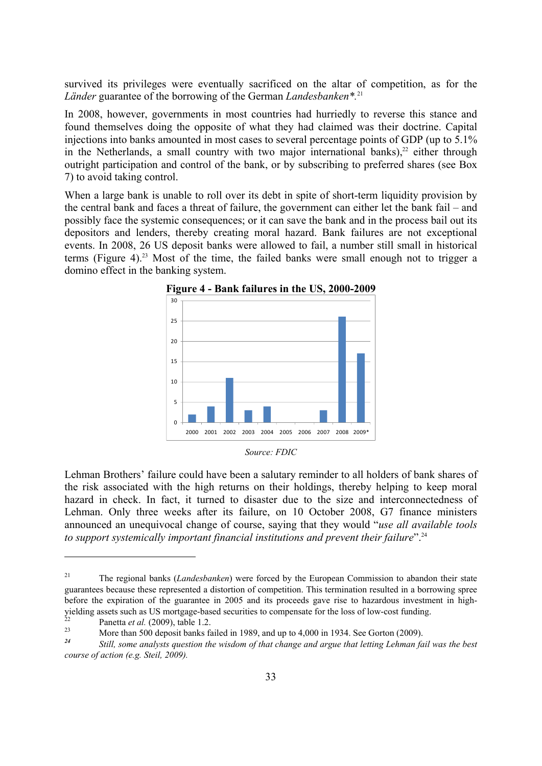survived its privileges were eventually sacrificed on the altar of competition, as for the *Länder* guarantee of the borrowing of the German *Landesbanken\*.*<sup>21</sup>

In 2008, however, governments in most countries had hurriedly to reverse this stance and found themselves doing the opposite of what they had claimed was their doctrine. Capital injections into banks amounted in most cases to several percentage points of GDP (up to 5.1% in the Netherlands, a small country with two major international banks), $22$  either through outright participation and control of the bank, or by subscribing to preferred shares (see Box 7) to avoid taking control.

When a large bank is unable to roll over its debt in spite of short-term liquidity provision by the central bank and faces a threat of failure, the government can either let the bank fail – and possibly face the systemic consequences; or it can save the bank and in the process bail out its depositors and lenders, thereby creating moral hazard. Bank failures are not exceptional events. In 2008, 26 US deposit banks were allowed to fail, a number still small in historical terms (Figure 4).23 Most of the time, the failed banks were small enough not to trigger a domino effect in the banking system.



**Figure 4 - Bank failures in the US, 2000-2009** 

*Source: FDIC* 

Lehman Brothers' failure could have been a salutary reminder to all holders of bank shares of the risk associated with the high returns on their holdings, thereby helping to keep moral hazard in check. In fact, it turned to disaster due to the size and interconnectedness of Lehman. Only three weeks after its failure, on 10 October 2008, G7 finance ministers announced an unequivocal change of course, saying that they would "*use all available tools*  to support systemically important financial institutions and prevent their failure".<sup>24</sup>

<u>.</u>

<sup>&</sup>lt;sup>21</sup> The regional banks (*Landesbanken*) were forced by the European Commission to abandon their state guarantees because these represented a distortion of competition. This termination resulted in a borrowing spree before the expiration of the guarantee in 2005 and its proceeds gave rise to hazardous investment in highyielding assets such as US mortgage-based securities to compensate for the loss of low-cost funding.<br>
Panetta *et al.* (2009), table 1.2.<br>
More than 500 deposit banks failed in 1989, and up to 4,000 in 1934. See Gorton (2

*<sup>24</sup> Still, some analysts question the wisdom of that change and argue that letting Lehman fail was the best course of action (e.g. Steil, 2009).*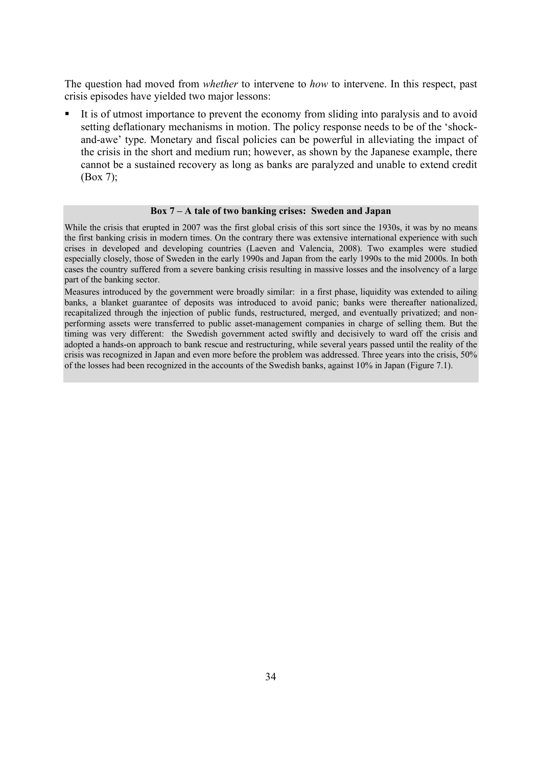The question had moved from *whether* to intervene to *how* to intervene. In this respect, past crisis episodes have yielded two major lessons:

 It is of utmost importance to prevent the economy from sliding into paralysis and to avoid setting deflationary mechanisms in motion. The policy response needs to be of the 'shockand-awe' type. Monetary and fiscal policies can be powerful in alleviating the impact of the crisis in the short and medium run; however, as shown by the Japanese example, there cannot be a sustained recovery as long as banks are paralyzed and unable to extend credit (Box 7);

#### **Box 7 – A tale of two banking crises: Sweden and Japan**

While the crisis that erupted in 2007 was the first global crisis of this sort since the 1930s, it was by no means the first banking crisis in modern times. On the contrary there was extensive international experience with such crises in developed and developing countries (Laeven and Valencia, 2008). Two examples were studied especially closely, those of Sweden in the early 1990s and Japan from the early 1990s to the mid 2000s. In both cases the country suffered from a severe banking crisis resulting in massive losses and the insolvency of a large part of the banking sector.

Measures introduced by the government were broadly similar: in a first phase, liquidity was extended to ailing banks, a blanket guarantee of deposits was introduced to avoid panic; banks were thereafter nationalized, recapitalized through the injection of public funds, restructured, merged, and eventually privatized; and nonperforming assets were transferred to public asset-management companies in charge of selling them. But the timing was very different: the Swedish government acted swiftly and decisively to ward off the crisis and adopted a hands-on approach to bank rescue and restructuring, while several years passed until the reality of the crisis was recognized in Japan and even more before the problem was addressed. Three years into the crisis, 50% of the losses had been recognized in the accounts of the Swedish banks, against 10% in Japan (Figure 7.1).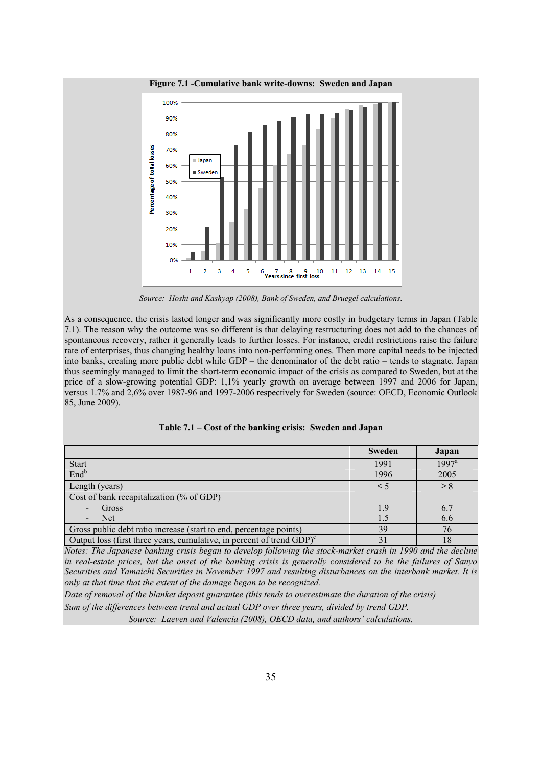

**Figure 7.1 -Cumulative bank write-downs: Sweden and Japan** 

*Source: Hoshi and Kashyap (2008), Bank of Sweden, and Bruegel calculations*.

As a consequence, the crisis lasted longer and was significantly more costly in budgetary terms in Japan (Table 7.1). The reason why the outcome was so different is that delaying restructuring does not add to the chances of spontaneous recovery, rather it generally leads to further losses. For instance, credit restrictions raise the failure rate of enterprises, thus changing healthy loans into non-performing ones. Then more capital needs to be injected into banks, creating more public debt while GDP – the denominator of the debt ratio – tends to stagnate. Japan thus seemingly managed to limit the short-term economic impact of the crisis as compared to Sweden, but at the price of a slow-growing potential GDP: 1,1% yearly growth on average between 1997 and 2006 for Japan, versus 1.7% and 2,6% over 1987-96 and 1997-2006 respectively for Sweden (source: OECD, Economic Outlook 85, June 2009).

|                                                                                      | <b>Sweden</b> | Japan             |
|--------------------------------------------------------------------------------------|---------------|-------------------|
| <b>Start</b>                                                                         | 1991          | $1997^{\text{a}}$ |
| End <sup>b</sup>                                                                     | 1996          | 2005              |
| Length (years)                                                                       | $\leq$ 5      |                   |
| Cost of bank recapitalization (% of GDP)                                             |               |                   |
| Gross                                                                                | 19            | 6.7               |
| <b>Net</b>                                                                           | 1.5           | 6.6               |
| Gross public debt ratio increase (start to end, percentage points)                   | 39            | 76                |
| Output loss (first three years, cumulative, in percent of trend $GDP$ ) <sup>c</sup> | 31            |                   |

| Table 7.1 – Cost of the banking crisis: Sweden and Japan |  |  |
|----------------------------------------------------------|--|--|
|----------------------------------------------------------|--|--|

*Notes: The Japanese banking crisis began to develop following the stock-market crash in 1990 and the decline in real-estate prices, but the onset of the banking crisis is generally considered to be the failures of Sanyo Securities and Yamaichi Securities in November 1997 and resulting disturbances on the interbank market. It is only at that time that the extent of the damage began to be recognized.* 

*Date of removal of the blanket deposit guarantee (this tends to overestimate the duration of the crisis) Sum of the differences between trend and actual GDP over three years, divided by trend GDP.* 

*Source: Laeven and Valencia (2008), OECD data, and authors' calculations.*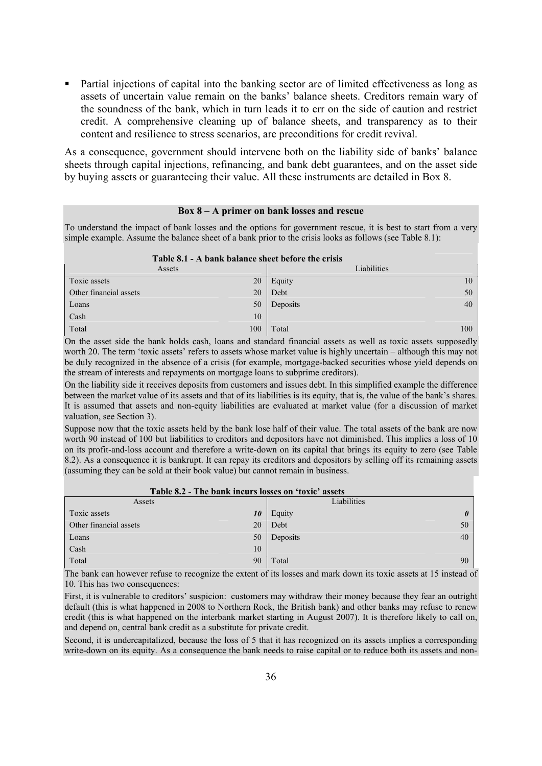Partial injections of capital into the banking sector are of limited effectiveness as long as assets of uncertain value remain on the banks' balance sheets. Creditors remain wary of the soundness of the bank, which in turn leads it to err on the side of caution and restrict credit. A comprehensive cleaning up of balance sheets, and transparency as to their content and resilience to stress scenarios, are preconditions for credit revival.

As a consequence, government should intervene both on the liability side of banks' balance sheets through capital injections, refinancing, and bank debt guarantees, and on the asset side by buying assets or guaranteeing their value. All these instruments are detailed in Box 8.

#### **Box 8 – A primer on bank losses and rescue**

To understand the impact of bank losses and the options for government rescue, it is best to start from a very simple example. Assume the balance sheet of a bank prior to the crisis looks as follows (see Table 8.1):

| Table 8.1 - A bank balance sheet before the crisis |             |  |  |
|----------------------------------------------------|-------------|--|--|
| Assets                                             | Liabilities |  |  |
| Toxic assets                                       | 10          |  |  |
| 20                                                 | Equity      |  |  |
| Other financial assets                             | Debt        |  |  |
| 20                                                 | 50          |  |  |
| 50                                                 | 40          |  |  |
| Loans                                              | Deposits    |  |  |
| Cash<br>10                                         |             |  |  |
| Total                                              | Total       |  |  |
| 100                                                | 100         |  |  |

On the asset side the bank holds cash, loans and standard financial assets as well as toxic assets supposedly worth 20. The term 'toxic assets' refers to assets whose market value is highly uncertain – although this may not be duly recognized in the absence of a crisis (for example, mortgage-backed securities whose yield depends on the stream of interests and repayments on mortgage loans to subprime creditors).

On the liability side it receives deposits from customers and issues debt. In this simplified example the difference between the market value of its assets and that of its liabilities is its equity, that is, the value of the bank's shares. It is assumed that assets and non-equity liabilities are evaluated at market value (for a discussion of market valuation, see Section 3).

Suppose now that the toxic assets held by the bank lose half of their value. The total assets of the bank are now worth 90 instead of 100 but liabilities to creditors and depositors have not diminished. This implies a loss of 10 on its profit-and-loss account and therefore a write-down on its capital that brings its equity to zero (see Table 8.2). As a consequence it is bankrupt. It can repay its creditors and depositors by selling off its remaining assets (assuming they can be sold at their book value) but cannot remain in business.

| Table 8.2 - The bank incurs losses on 'toxic' assets |           |             |    |
|------------------------------------------------------|-----------|-------------|----|
| Assets                                               |           | Liabilities |    |
| Toxic assets                                         | <i>10</i> | Equity      |    |
| Other financial assets                               | 20        | Debt        | 50 |
| Loans                                                | 50        | Deposits    | 40 |
| Cash                                                 | 10        |             |    |
| Total                                                | 90        | Total       | 90 |

The bank can however refuse to recognize the extent of its losses and mark down its toxic assets at 15 instead of 10. This has two consequences:

First, it is vulnerable to creditors' suspicion: customers may withdraw their money because they fear an outright default (this is what happened in 2008 to Northern Rock, the British bank) and other banks may refuse to renew credit (this is what happened on the interbank market starting in August 2007). It is therefore likely to call on, and depend on, central bank credit as a substitute for private credit.

Second, it is undercapitalized, because the loss of 5 that it has recognized on its assets implies a corresponding write-down on its equity. As a consequence the bank needs to raise capital or to reduce both its assets and non-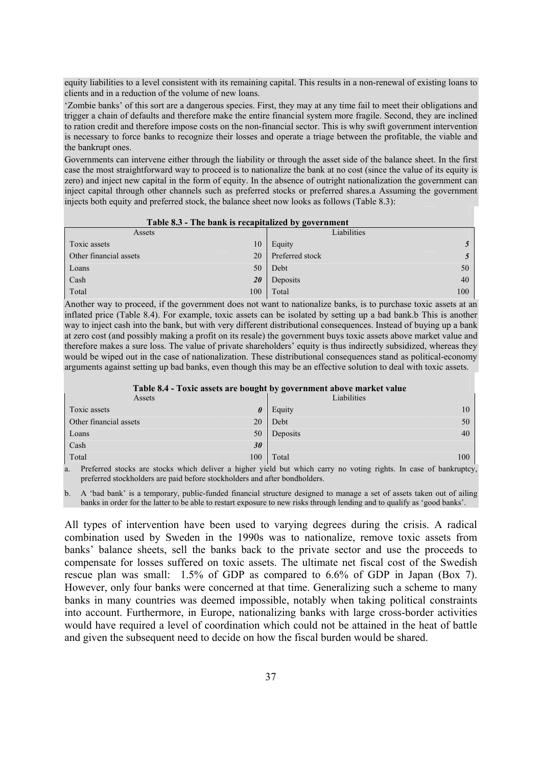equity liabilities to a level consistent with its remaining capital. This results in a non-renewal of existing loans to clients and in a reduction of the volume of new loans.

'Zombie banks' of this sort are a dangerous species. First, they may at any time fail to meet their obligations and trigger a chain of defaults and therefore make the entire financial system more fragile. Second, they are inclined to ration credit and therefore impose costs on the non-financial sector. This is why swift government intervention is necessary to force banks to recognize their losses and operate a triage between the profitable, the viable and the bankrupt ones.

Governments can intervene either through the liability or through the asset side of the balance sheet. In the first case the most straightforward way to proceed is to nationalize the bank at no cost (since the value of its equity is zero) and inject new capital in the form of equity. In the absence of outright nationalization the government can inject capital through other channels such as preferred stocks or preferred shares.a Assuming the government injects both equity and preferred stock, the balance sheet now looks as follows (Table 8.3):

#### **Table 8.3 - The bank is recapitalized by government**

| Assets                 |                 | Liabilities     |                |
|------------------------|-----------------|-----------------|----------------|
| Toxic assets           | 10              | Equity          | 5 <sup>5</sup> |
| Other financial assets | 20              | Preferred stock | 5 <sup>5</sup> |
| Loans                  | 50 <sup>1</sup> | Debt            | 50             |
| Cash                   | 20              | Deposits        | 40             |
| Total                  | 100             | Total           | 100            |

Another way to proceed, if the government does not want to nationalize banks, is to purchase toxic assets at an inflated price (Table 8.4). For example, toxic assets can be isolated by setting up a bad bank.b This is another way to inject cash into the bank, but with very different distributional consequences. Instead of buying up a bank at zero cost (and possibly making a profit on its resale) the government buys toxic assets above market value and therefore makes a sure loss. The value of private shareholders' equity is thus indirectly subsidized, whereas they would be wiped out in the case of nationalization. These distributional consequences stand as political-economy arguments against setting up bad banks, even though this may be an effective solution to deal with toxic assets.

#### **Table 8.4 - Toxic assets are bought by government above market value**

| Assets                 |     | Liabilities |     |
|------------------------|-----|-------------|-----|
| Toxic assets           | 0   | Equity      | 10  |
| Other financial assets | 20  | Debt        | 50  |
| Loans                  | 50  | Deposits    | 40  |
| Cash                   | 30  |             |     |
| Total                  | 100 | Total       | 100 |

Preferred stocks are stocks which deliver a higher yield but which carry no voting rights. In case of bankruptcy, preferred stockholders are paid before stockholders and after bondholders.

b. A 'bad bank' is a temporary, public-funded financial structure designed to manage a set of assets taken out of ailing banks in order for the latter to be able to restart exposure to new risks through lending and to qualify as 'good banks'.

All types of intervention have been used to varying degrees during the crisis. A radical combination used by Sweden in the 1990s was to nationalize, remove toxic assets from banks' balance sheets, sell the banks back to the private sector and use the proceeds to compensate for losses suffered on toxic assets. The ultimate net fiscal cost of the Swedish rescue plan was small: 1.5% of GDP as compared to 6.6% of GDP in Japan (Box 7). However, only four banks were concerned at that time. Generalizing such a scheme to many banks in many countries was deemed impossible, notably when taking political constraints into account. Furthermore, in Europe, nationalizing banks with large cross-border activities would have required a level of coordination which could not be attained in the heat of battle and given the subsequent need to decide on how the fiscal burden would be shared.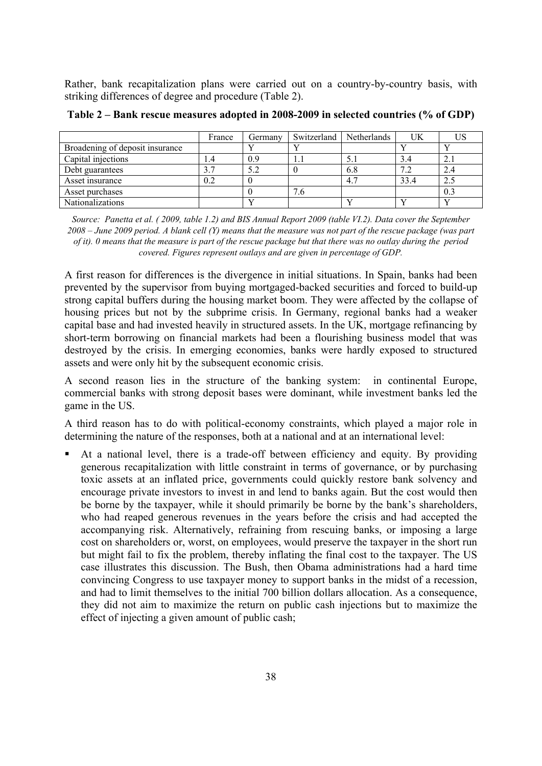Rather, bank recapitalization plans were carried out on a country-by-country basis, with striking differences of degree and procedure (Table 2).

|                                 | France | Germany | Switzerland | Netherlands | UK   |     |
|---------------------------------|--------|---------|-------------|-------------|------|-----|
| Broadening of deposit insurance |        |         |             |             |      |     |
| Capital injections              | 1.4    | 0.9     | 1.1         |             | 3.4  | 2.1 |
| Debt guarantees                 |        | 5.2     |             | 6.8         | 7.2  | 2.4 |
| Asset insurance                 | 0.2    |         |             | 4.7         | 33.4 | 2.5 |
| Asset purchases                 |        |         | 7.6         |             |      | 0.3 |
| <b>Nationalizations</b>         |        |         |             |             |      |     |

**Table 2 – Bank rescue measures adopted in 2008-2009 in selected countries (% of GDP)** 

*Source: Panetta et al. ( 2009, table 1.2) and BIS Annual Report 2009 (table VI.2). Data cover the September 2008 – June 2009 period. A blank cell (Y) means that the measure was not part of the rescue package (was part of it). 0 means that the measure is part of the rescue package but that there was no outlay during the period covered. Figures represent outlays and are given in percentage of GDP.* 

A first reason for differences is the divergence in initial situations. In Spain, banks had been prevented by the supervisor from buying mortgaged-backed securities and forced to build-up strong capital buffers during the housing market boom. They were affected by the collapse of housing prices but not by the subprime crisis. In Germany, regional banks had a weaker capital base and had invested heavily in structured assets. In the UK, mortgage refinancing by short-term borrowing on financial markets had been a flourishing business model that was destroyed by the crisis. In emerging economies, banks were hardly exposed to structured assets and were only hit by the subsequent economic crisis.

A second reason lies in the structure of the banking system: in continental Europe, commercial banks with strong deposit bases were dominant, while investment banks led the game in the US.

A third reason has to do with political-economy constraints, which played a major role in determining the nature of the responses, both at a national and at an international level:

 At a national level, there is a trade-off between efficiency and equity. By providing generous recapitalization with little constraint in terms of governance, or by purchasing toxic assets at an inflated price, governments could quickly restore bank solvency and encourage private investors to invest in and lend to banks again. But the cost would then be borne by the taxpayer, while it should primarily be borne by the bank's shareholders, who had reaped generous revenues in the years before the crisis and had accepted the accompanying risk. Alternatively, refraining from rescuing banks, or imposing a large cost on shareholders or, worst, on employees, would preserve the taxpayer in the short run but might fail to fix the problem, thereby inflating the final cost to the taxpayer. The US case illustrates this discussion. The Bush, then Obama administrations had a hard time convincing Congress to use taxpayer money to support banks in the midst of a recession, and had to limit themselves to the initial 700 billion dollars allocation. As a consequence, they did not aim to maximize the return on public cash injections but to maximize the effect of injecting a given amount of public cash;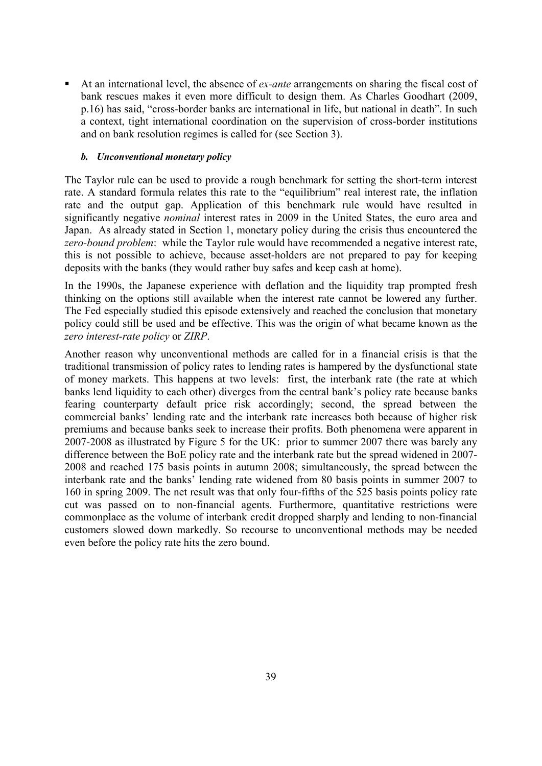At an international level, the absence of *ex-ante* arrangements on sharing the fiscal cost of bank rescues makes it even more difficult to design them. As Charles Goodhart (2009, p.16) has said, "cross-border banks are international in life, but national in death". In such a context, tight international coordination on the supervision of cross-border institutions and on bank resolution regimes is called for (see Section 3).

## *b. Unconventional monetary policy*

The Taylor rule can be used to provide a rough benchmark for setting the short-term interest rate. A standard formula relates this rate to the "equilibrium" real interest rate, the inflation rate and the output gap. Application of this benchmark rule would have resulted in significantly negative *nominal* interest rates in 2009 in the United States, the euro area and Japan. As already stated in Section 1, monetary policy during the crisis thus encountered the *zero-bound problem*: while the Taylor rule would have recommended a negative interest rate, this is not possible to achieve, because asset-holders are not prepared to pay for keeping deposits with the banks (they would rather buy safes and keep cash at home).

In the 1990s, the Japanese experience with deflation and the liquidity trap prompted fresh thinking on the options still available when the interest rate cannot be lowered any further. The Fed especially studied this episode extensively and reached the conclusion that monetary policy could still be used and be effective. This was the origin of what became known as the *zero interest-rate policy* or *ZIRP*.

Another reason why unconventional methods are called for in a financial crisis is that the traditional transmission of policy rates to lending rates is hampered by the dysfunctional state of money markets. This happens at two levels: first, the interbank rate (the rate at which banks lend liquidity to each other) diverges from the central bank's policy rate because banks fearing counterparty default price risk accordingly; second, the spread between the commercial banks' lending rate and the interbank rate increases both because of higher risk premiums and because banks seek to increase their profits. Both phenomena were apparent in 2007-2008 as illustrated by Figure 5 for the UK: prior to summer 2007 there was barely any difference between the BoE policy rate and the interbank rate but the spread widened in 2007- 2008 and reached 175 basis points in autumn 2008; simultaneously, the spread between the interbank rate and the banks' lending rate widened from 80 basis points in summer 2007 to 160 in spring 2009. The net result was that only four-fifths of the 525 basis points policy rate cut was passed on to non-financial agents. Furthermore, quantitative restrictions were commonplace as the volume of interbank credit dropped sharply and lending to non-financial customers slowed down markedly. So recourse to unconventional methods may be needed even before the policy rate hits the zero bound.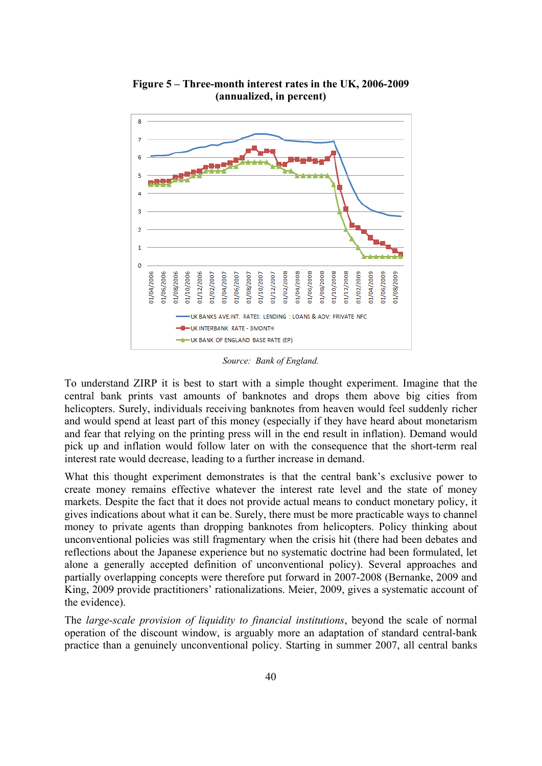

**Figure 5 – Three-month interest rates in the UK, 2006-2009 (annualized, in percent)** 

*Source: Bank of England.* 

To understand ZIRP it is best to start with a simple thought experiment. Imagine that the central bank prints vast amounts of banknotes and drops them above big cities from helicopters. Surely, individuals receiving banknotes from heaven would feel suddenly richer and would spend at least part of this money (especially if they have heard about monetarism and fear that relying on the printing press will in the end result in inflation). Demand would pick up and inflation would follow later on with the consequence that the short-term real interest rate would decrease, leading to a further increase in demand.

What this thought experiment demonstrates is that the central bank's exclusive power to create money remains effective whatever the interest rate level and the state of money markets. Despite the fact that it does not provide actual means to conduct monetary policy, it gives indications about what it can be. Surely, there must be more practicable ways to channel money to private agents than dropping banknotes from helicopters. Policy thinking about unconventional policies was still fragmentary when the crisis hit (there had been debates and reflections about the Japanese experience but no systematic doctrine had been formulated, let alone a generally accepted definition of unconventional policy). Several approaches and partially overlapping concepts were therefore put forward in 2007-2008 (Bernanke, 2009 and King, 2009 provide practitioners' rationalizations. Meier, 2009, gives a systematic account of the evidence).

The *large-scale provision of liquidity to financial institutions*, beyond the scale of normal operation of the discount window, is arguably more an adaptation of standard central-bank practice than a genuinely unconventional policy. Starting in summer 2007, all central banks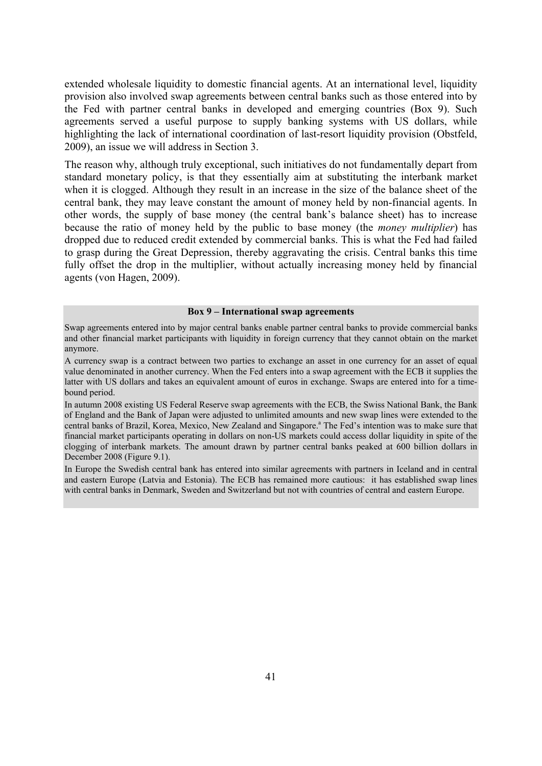extended wholesale liquidity to domestic financial agents. At an international level, liquidity provision also involved swap agreements between central banks such as those entered into by the Fed with partner central banks in developed and emerging countries (Box 9). Such agreements served a useful purpose to supply banking systems with US dollars, while highlighting the lack of international coordination of last-resort liquidity provision (Obstfeld, 2009), an issue we will address in Section 3.

The reason why, although truly exceptional, such initiatives do not fundamentally depart from standard monetary policy, is that they essentially aim at substituting the interbank market when it is clogged. Although they result in an increase in the size of the balance sheet of the central bank, they may leave constant the amount of money held by non-financial agents. In other words, the supply of base money (the central bank's balance sheet) has to increase because the ratio of money held by the public to base money (the *money multiplier*) has dropped due to reduced credit extended by commercial banks. This is what the Fed had failed to grasp during the Great Depression, thereby aggravating the crisis. Central banks this time fully offset the drop in the multiplier, without actually increasing money held by financial agents (von Hagen, 2009).

#### **Box 9 – International swap agreements**

Swap agreements entered into by major central banks enable partner central banks to provide commercial banks and other financial market participants with liquidity in foreign currency that they cannot obtain on the market anymore.

A currency swap is a contract between two parties to exchange an asset in one currency for an asset of equal value denominated in another currency. When the Fed enters into a swap agreement with the ECB it supplies the latter with US dollars and takes an equivalent amount of euros in exchange. Swaps are entered into for a timebound period.

In autumn 2008 existing US Federal Reserve swap agreements with the ECB, the Swiss National Bank, the Bank of England and the Bank of Japan were adjusted to unlimited amounts and new swap lines were extended to the central banks of Brazil, Korea, Mexico, New Zealand and Singapore.<sup>a</sup> The Fed's intention was to make sure that financial market participants operating in dollars on non-US markets could access dollar liquidity in spite of the clogging of interbank markets. The amount drawn by partner central banks peaked at 600 billion dollars in December 2008 (Figure 9.1).

In Europe the Swedish central bank has entered into similar agreements with partners in Iceland and in central and eastern Europe (Latvia and Estonia). The ECB has remained more cautious: it has established swap lines with central banks in Denmark, Sweden and Switzerland but not with countries of central and eastern Europe.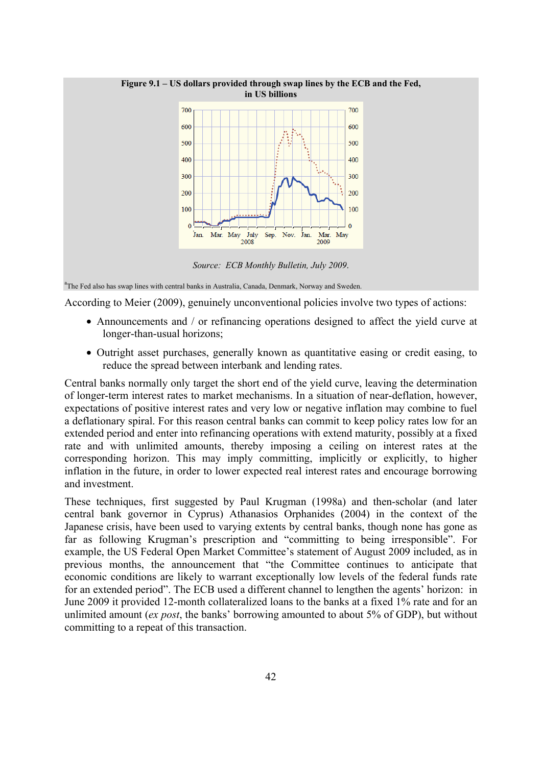

*Source: ECB Monthly Bulletin, July 2009*.

<sup>a-</sup>The Fed also has swap lines with central banks in Australia, Canada, Denmark, Norway and Sweden.

According to Meier (2009), genuinely unconventional policies involve two types of actions:

- Announcements and / or refinancing operations designed to affect the yield curve at longer-than-usual horizons;
- Outright asset purchases, generally known as quantitative easing or credit easing, to reduce the spread between interbank and lending rates.

Central banks normally only target the short end of the yield curve, leaving the determination of longer-term interest rates to market mechanisms. In a situation of near-deflation, however, expectations of positive interest rates and very low or negative inflation may combine to fuel a deflationary spiral. For this reason central banks can commit to keep policy rates low for an extended period and enter into refinancing operations with extend maturity, possibly at a fixed rate and with unlimited amounts, thereby imposing a ceiling on interest rates at the corresponding horizon. This may imply committing, implicitly or explicitly, to higher inflation in the future, in order to lower expected real interest rates and encourage borrowing and investment.

These techniques, first suggested by Paul Krugman (1998a) and then-scholar (and later central bank governor in Cyprus) Athanasios Orphanides (2004) in the context of the Japanese crisis, have been used to varying extents by central banks, though none has gone as far as following Krugman's prescription and "committing to being irresponsible". For example, the US Federal Open Market Committee's statement of August 2009 included, as in previous months, the announcement that "the Committee continues to anticipate that economic conditions are likely to warrant exceptionally low levels of the federal funds rate for an extended period". The ECB used a different channel to lengthen the agents' horizon: in June 2009 it provided 12-month collateralized loans to the banks at a fixed 1% rate and for an unlimited amount (*ex post*, the banks' borrowing amounted to about 5% of GDP), but without committing to a repeat of this transaction.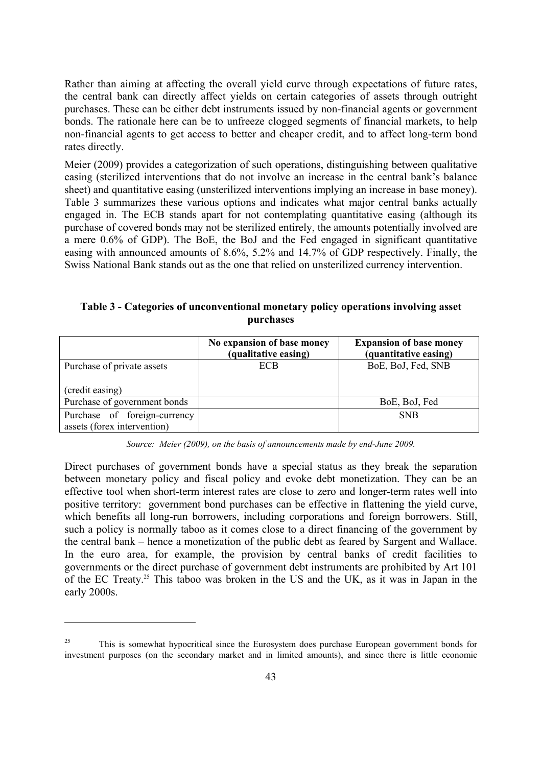Rather than aiming at affecting the overall yield curve through expectations of future rates, the central bank can directly affect yields on certain categories of assets through outright purchases. These can be either debt instruments issued by non-financial agents or government bonds. The rationale here can be to unfreeze clogged segments of financial markets, to help non-financial agents to get access to better and cheaper credit, and to affect long-term bond rates directly.

Meier (2009) provides a categorization of such operations, distinguishing between qualitative easing (sterilized interventions that do not involve an increase in the central bank's balance sheet) and quantitative easing (unsterilized interventions implying an increase in base money). Table 3 summarizes these various options and indicates what major central banks actually engaged in. The ECB stands apart for not contemplating quantitative easing (although its purchase of covered bonds may not be sterilized entirely, the amounts potentially involved are a mere 0.6% of GDP). The BoE, the BoJ and the Fed engaged in significant quantitative easing with announced amounts of 8.6%, 5.2% and 14.7% of GDP respectively. Finally, the Swiss National Bank stands out as the one that relied on unsterilized currency intervention.

**Table 3 - Categories of unconventional monetary policy operations involving asset purchases** 

|                              | No expansion of base money | <b>Expansion of base money</b> |
|------------------------------|----------------------------|--------------------------------|
|                              | (qualitative easing)       | (quantitative easing)          |
| Purchase of private assets   | <b>ECB</b>                 | BoE, BoJ, Fed, SNB             |
|                              |                            |                                |
| (credit easing)              |                            |                                |
| Purchase of government bonds |                            | BoE, BoJ, Fed                  |
| Purchase of foreign-currency |                            | <b>SNB</b>                     |
| assets (forex intervention)  |                            |                                |

*Source: Meier (2009), on the basis of announcements made by end-June 2009.* 

Direct purchases of government bonds have a special status as they break the separation between monetary policy and fiscal policy and evoke debt monetization. They can be an effective tool when short-term interest rates are close to zero and longer-term rates well into positive territory: government bond purchases can be effective in flattening the yield curve, which benefits all long-run borrowers, including corporations and foreign borrowers. Still, such a policy is normally taboo as it comes close to a direct financing of the government by the central bank – hence a monetization of the public debt as feared by Sargent and Wallace. In the euro area, for example, the provision by central banks of credit facilities to governments or the direct purchase of government debt instruments are prohibited by Art 101 of the EC Treaty.25 This taboo was broken in the US and the UK, as it was in Japan in the early 2000s.

<sup>&</sup>lt;sup>25</sup> This is somewhat hypocritical since the Eurosystem does purchase European government bonds for investment purposes (on the secondary market and in limited amounts), and since there is little economic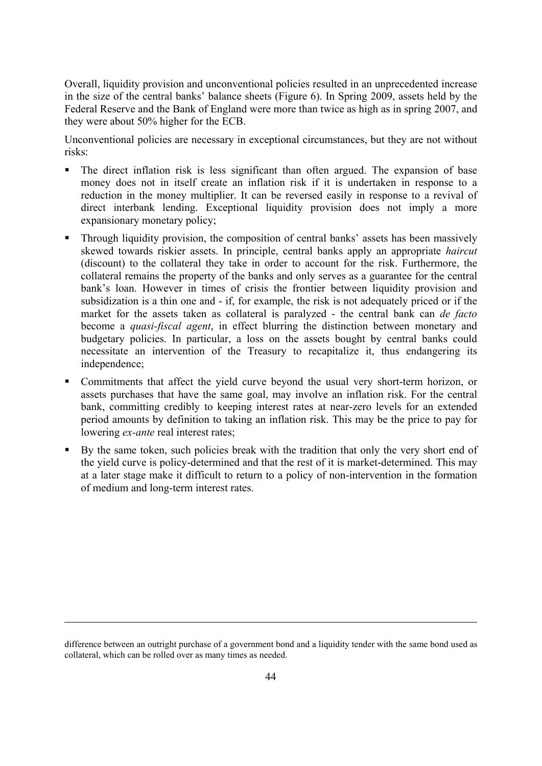Overall, liquidity provision and unconventional policies resulted in an unprecedented increase in the size of the central banks' balance sheets (Figure 6). In Spring 2009, assets held by the Federal Reserve and the Bank of England were more than twice as high as in spring 2007, and they were about 50% higher for the ECB.

Unconventional policies are necessary in exceptional circumstances, but they are not without risks:

- The direct inflation risk is less significant than often argued. The expansion of base money does not in itself create an inflation risk if it is undertaken in response to a reduction in the money multiplier. It can be reversed easily in response to a revival of direct interbank lending. Exceptional liquidity provision does not imply a more expansionary monetary policy;
- Through liquidity provision, the composition of central banks' assets has been massively skewed towards riskier assets. In principle, central banks apply an appropriate *haircut* (discount) to the collateral they take in order to account for the risk. Furthermore, the collateral remains the property of the banks and only serves as a guarantee for the central bank's loan. However in times of crisis the frontier between liquidity provision and subsidization is a thin one and - if, for example, the risk is not adequately priced or if the market for the assets taken as collateral is paralyzed - the central bank can *de facto* become a *quasi-fiscal agent*, in effect blurring the distinction between monetary and budgetary policies. In particular, a loss on the assets bought by central banks could necessitate an intervention of the Treasury to recapitalize it, thus endangering its independence;
- Commitments that affect the yield curve beyond the usual very short-term horizon, or assets purchases that have the same goal, may involve an inflation risk. For the central bank, committing credibly to keeping interest rates at near-zero levels for an extended period amounts by definition to taking an inflation risk. This may be the price to pay for lowering *ex-ante* real interest rates;
- By the same token, such policies break with the tradition that only the very short end of the yield curve is policy-determined and that the rest of it is market-determined. This may at a later stage make it difficult to return to a policy of non-intervention in the formation of medium and long-term interest rates.

difference between an outright purchase of a government bond and a liquidity tender with the same bond used as collateral, which can be rolled over as many times as needed.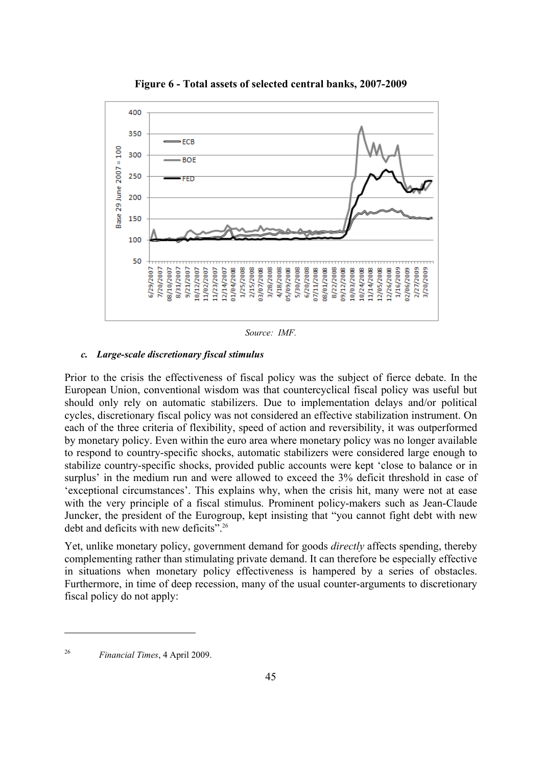

**Figure 6 - Total assets of selected central banks, 2007-2009** 

*Source: IMF.* 

## *c. Large-scale discretionary fiscal stimulus*

Prior to the crisis the effectiveness of fiscal policy was the subject of fierce debate. In the European Union, conventional wisdom was that countercyclical fiscal policy was useful but should only rely on automatic stabilizers. Due to implementation delays and/or political cycles, discretionary fiscal policy was not considered an effective stabilization instrument. On each of the three criteria of flexibility, speed of action and reversibility, it was outperformed by monetary policy. Even within the euro area where monetary policy was no longer available to respond to country-specific shocks, automatic stabilizers were considered large enough to stabilize country-specific shocks, provided public accounts were kept 'close to balance or in surplus' in the medium run and were allowed to exceed the 3% deficit threshold in case of 'exceptional circumstances'. This explains why, when the crisis hit, many were not at ease with the very principle of a fiscal stimulus. Prominent policy-makers such as Jean-Claude Juncker, the president of the Eurogroup, kept insisting that "you cannot fight debt with new debt and deficits with new deficits".26

Yet, unlike monetary policy, government demand for goods *directly* affects spending, thereby complementing rather than stimulating private demand. It can therefore be especially effective in situations when monetary policy effectiveness is hampered by a series of obstacles. Furthermore, in time of deep recession, many of the usual counter-arguments to discretionary fiscal policy do not apply:

<sup>26</sup> *Financial Times*, 4 April 2009.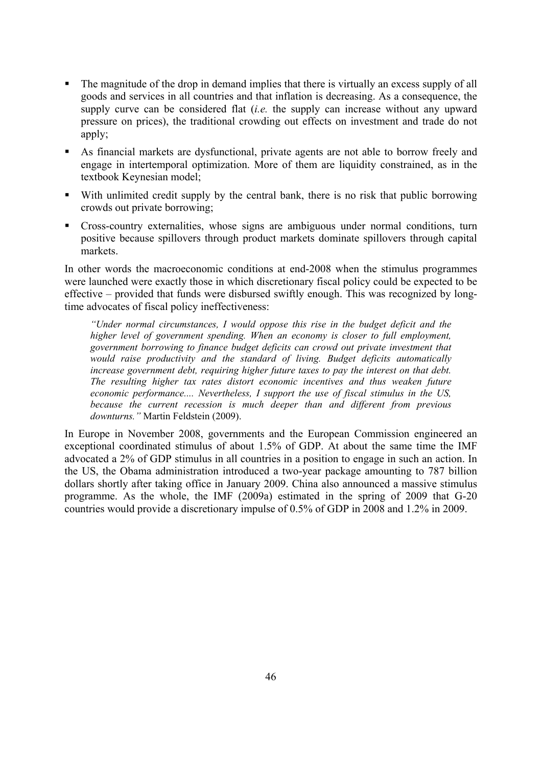- The magnitude of the drop in demand implies that there is virtually an excess supply of all goods and services in all countries and that inflation is decreasing. As a consequence, the supply curve can be considered flat (*i.e.* the supply can increase without any upward pressure on prices), the traditional crowding out effects on investment and trade do not apply;
- As financial markets are dysfunctional, private agents are not able to borrow freely and engage in intertemporal optimization. More of them are liquidity constrained, as in the textbook Keynesian model;
- With unlimited credit supply by the central bank, there is no risk that public borrowing crowds out private borrowing;
- Cross-country externalities, whose signs are ambiguous under normal conditions, turn positive because spillovers through product markets dominate spillovers through capital markets.

In other words the macroeconomic conditions at end-2008 when the stimulus programmes were launched were exactly those in which discretionary fiscal policy could be expected to be effective – provided that funds were disbursed swiftly enough. This was recognized by longtime advocates of fiscal policy ineffectiveness:

*"Under normal circumstances, I would oppose this rise in the budget deficit and the higher level of government spending. When an economy is closer to full employment, government borrowing to finance budget deficits can crowd out private investment that would raise productivity and the standard of living. Budget deficits automatically increase government debt, requiring higher future taxes to pay the interest on that debt. The resulting higher tax rates distort economic incentives and thus weaken future economic performance.... Nevertheless, I support the use of fiscal stimulus in the US, because the current recession is much deeper than and different from previous downturns."* Martin Feldstein (2009).

In Europe in November 2008, governments and the European Commission engineered an exceptional coordinated stimulus of about 1.5% of GDP. At about the same time the IMF advocated a 2% of GDP stimulus in all countries in a position to engage in such an action. In the US, the Obama administration introduced a two-year package amounting to 787 billion dollars shortly after taking office in January 2009. China also announced a massive stimulus programme. As the whole, the IMF (2009a) estimated in the spring of 2009 that G-20 countries would provide a discretionary impulse of 0.5% of GDP in 2008 and 1.2% in 2009.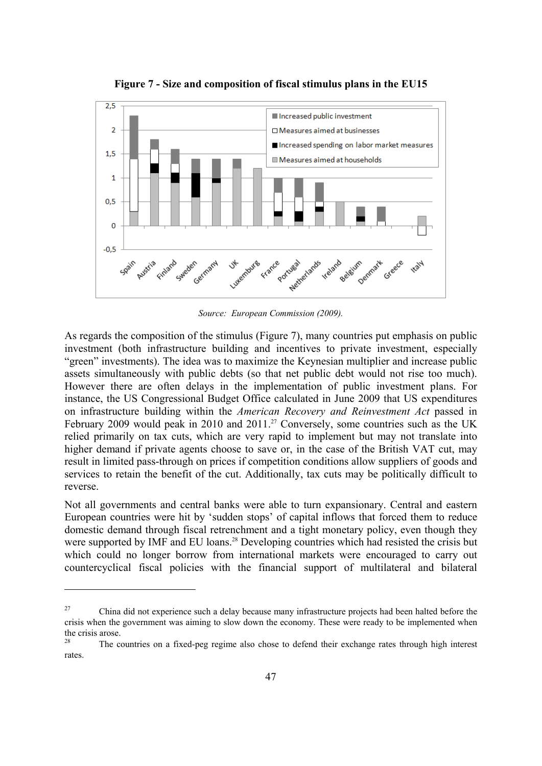

**Figure 7 - Size and composition of fiscal stimulus plans in the EU15** 

*Source: European Commission (2009).* 

As regards the composition of the stimulus (Figure 7), many countries put emphasis on public investment (both infrastructure building and incentives to private investment, especially "green" investments). The idea was to maximize the Keynesian multiplier and increase public assets simultaneously with public debts (so that net public debt would not rise too much). However there are often delays in the implementation of public investment plans. For instance, the US Congressional Budget Office calculated in June 2009 that US expenditures on infrastructure building within the *American Recovery and Reinvestment Act* passed in February 2009 would peak in 2010 and 2011.<sup>27</sup> Conversely, some countries such as the UK relied primarily on tax cuts, which are very rapid to implement but may not translate into higher demand if private agents choose to save or, in the case of the British VAT cut, may result in limited pass-through on prices if competition conditions allow suppliers of goods and services to retain the benefit of the cut. Additionally, tax cuts may be politically difficult to reverse.

Not all governments and central banks were able to turn expansionary. Central and eastern European countries were hit by 'sudden stops' of capital inflows that forced them to reduce domestic demand through fiscal retrenchment and a tight monetary policy, even though they were supported by IMF and EU loans.<sup>28</sup> Developing countries which had resisted the crisis but which could no longer borrow from international markets were encouraged to carry out countercyclical fiscal policies with the financial support of multilateral and bilateral

<sup>&</sup>lt;sup>27</sup> China did not experience such a delay because many infrastructure projects had been halted before the crisis when the government was aiming to slow down the economy. These were ready to be implemented when the crisis arose.

<sup>28</sup> The countries on a fixed-peg regime also chose to defend their exchange rates through high interest rates.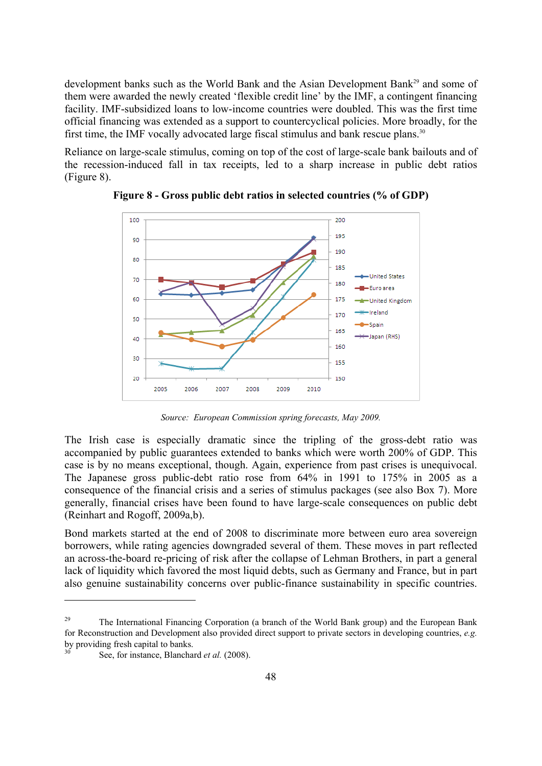development banks such as the World Bank and the Asian Development Bank<sup>29</sup> and some of them were awarded the newly created 'flexible credit line' by the IMF, a contingent financing facility. IMF-subsidized loans to low-income countries were doubled. This was the first time official financing was extended as a support to countercyclical policies. More broadly, for the first time, the IMF vocally advocated large fiscal stimulus and bank rescue plans.<sup>30</sup>

Reliance on large-scale stimulus, coming on top of the cost of large-scale bank bailouts and of the recession-induced fall in tax receipts, led to a sharp increase in public debt ratios (Figure 8).



**Figure 8 - Gross public debt ratios in selected countries (% of GDP)** 

*Source: European Commission spring forecasts, May 2009.* 

The Irish case is especially dramatic since the tripling of the gross-debt ratio was accompanied by public guarantees extended to banks which were worth 200% of GDP. This case is by no means exceptional, though. Again, experience from past crises is unequivocal. The Japanese gross public-debt ratio rose from 64% in 1991 to 175% in 2005 as a consequence of the financial crisis and a series of stimulus packages (see also Box 7). More generally, financial crises have been found to have large-scale consequences on public debt (Reinhart and Rogoff, 2009a,b).

Bond markets started at the end of 2008 to discriminate more between euro area sovereign borrowers, while rating agencies downgraded several of them. These moves in part reflected an across-the-board re-pricing of risk after the collapse of Lehman Brothers, in part a general lack of liquidity which favored the most liquid debts, such as Germany and France, but in part also genuine sustainability concerns over public-finance sustainability in specific countries.

<sup>&</sup>lt;sup>29</sup> The International Financing Corporation (a branch of the World Bank group) and the European Bank for Reconstruction and Development also provided direct support to private sectors in developing countries, *e.g.* by providing fresh capital to banks.

See, for instance, Blanchard *et al.* (2008).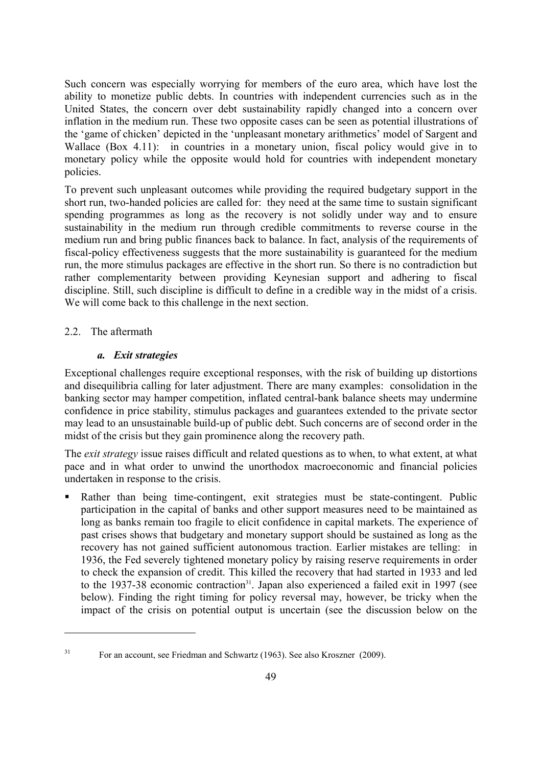Such concern was especially worrying for members of the euro area, which have lost the ability to monetize public debts. In countries with independent currencies such as in the United States, the concern over debt sustainability rapidly changed into a concern over inflation in the medium run. These two opposite cases can be seen as potential illustrations of the 'game of chicken' depicted in the 'unpleasant monetary arithmetics' model of Sargent and Wallace (Box 4.11): in countries in a monetary union, fiscal policy would give in to monetary policy while the opposite would hold for countries with independent monetary policies.

To prevent such unpleasant outcomes while providing the required budgetary support in the short run, two-handed policies are called for: they need at the same time to sustain significant spending programmes as long as the recovery is not solidly under way and to ensure sustainability in the medium run through credible commitments to reverse course in the medium run and bring public finances back to balance. In fact, analysis of the requirements of fiscal-policy effectiveness suggests that the more sustainability is guaranteed for the medium run, the more stimulus packages are effective in the short run. So there is no contradiction but rather complementarity between providing Keynesian support and adhering to fiscal discipline. Still, such discipline is difficult to define in a credible way in the midst of a crisis. We will come back to this challenge in the next section.

# 2.2 The aftermath

1

# *a. Exit strategies*

Exceptional challenges require exceptional responses, with the risk of building up distortions and disequilibria calling for later adjustment. There are many examples: consolidation in the banking sector may hamper competition, inflated central-bank balance sheets may undermine confidence in price stability, stimulus packages and guarantees extended to the private sector may lead to an unsustainable build-up of public debt. Such concerns are of second order in the midst of the crisis but they gain prominence along the recovery path.

The *exit strategy* issue raises difficult and related questions as to when, to what extent, at what pace and in what order to unwind the unorthodox macroeconomic and financial policies undertaken in response to the crisis.

 Rather than being time-contingent, exit strategies must be state-contingent. Public participation in the capital of banks and other support measures need to be maintained as long as banks remain too fragile to elicit confidence in capital markets. The experience of past crises shows that budgetary and monetary support should be sustained as long as the recovery has not gained sufficient autonomous traction. Earlier mistakes are telling: in 1936, the Fed severely tightened monetary policy by raising reserve requirements in order to check the expansion of credit. This killed the recovery that had started in 1933 and led to the 1937-38 economic contraction<sup>31</sup>. Japan also experienced a failed exit in 1997 (see below). Finding the right timing for policy reversal may, however, be tricky when the impact of the crisis on potential output is uncertain (see the discussion below on the

<sup>&</sup>lt;sup>31</sup> For an account, see Friedman and Schwartz (1963). See also Kroszner (2009).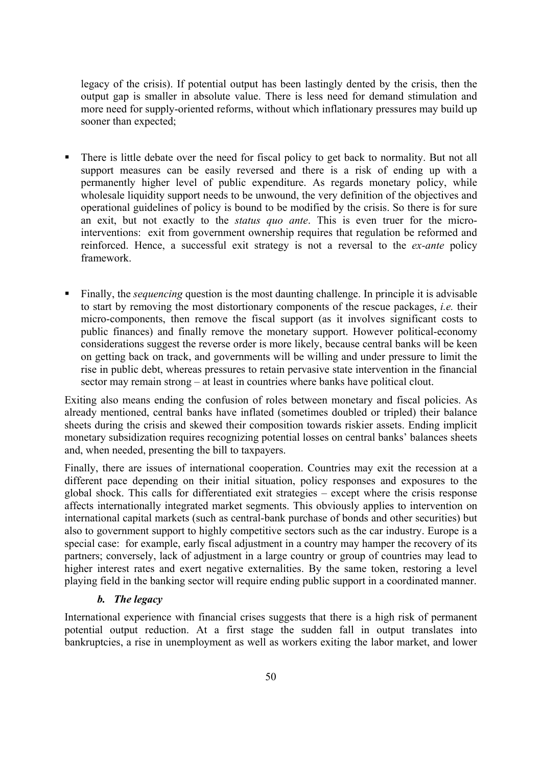legacy of the crisis). If potential output has been lastingly dented by the crisis, then the output gap is smaller in absolute value. There is less need for demand stimulation and more need for supply-oriented reforms, without which inflationary pressures may build up sooner than expected;

- There is little debate over the need for fiscal policy to get back to normality. But not all support measures can be easily reversed and there is a risk of ending up with a permanently higher level of public expenditure. As regards monetary policy, while wholesale liquidity support needs to be unwound, the very definition of the objectives and operational guidelines of policy is bound to be modified by the crisis. So there is for sure an exit, but not exactly to the *status quo ante*. This is even truer for the microinterventions: exit from government ownership requires that regulation be reformed and reinforced. Hence, a successful exit strategy is not a reversal to the *ex-ante* policy framework.
- Finally, the *sequencing* question is the most daunting challenge. In principle it is advisable to start by removing the most distortionary components of the rescue packages, *i.e.* their micro-components, then remove the fiscal support (as it involves significant costs to public finances) and finally remove the monetary support. However political-economy considerations suggest the reverse order is more likely, because central banks will be keen on getting back on track, and governments will be willing and under pressure to limit the rise in public debt, whereas pressures to retain pervasive state intervention in the financial sector may remain strong – at least in countries where banks have political clout.

Exiting also means ending the confusion of roles between monetary and fiscal policies. As already mentioned, central banks have inflated (sometimes doubled or tripled) their balance sheets during the crisis and skewed their composition towards riskier assets. Ending implicit monetary subsidization requires recognizing potential losses on central banks' balances sheets and, when needed, presenting the bill to taxpayers.

Finally, there are issues of international cooperation. Countries may exit the recession at a different pace depending on their initial situation, policy responses and exposures to the global shock. This calls for differentiated exit strategies – except where the crisis response affects internationally integrated market segments. This obviously applies to intervention on international capital markets (such as central-bank purchase of bonds and other securities) but also to government support to highly competitive sectors such as the car industry. Europe is a special case: for example, early fiscal adjustment in a country may hamper the recovery of its partners; conversely, lack of adjustment in a large country or group of countries may lead to higher interest rates and exert negative externalities. By the same token, restoring a level playing field in the banking sector will require ending public support in a coordinated manner.

# *b. The legacy*

International experience with financial crises suggests that there is a high risk of permanent potential output reduction. At a first stage the sudden fall in output translates into bankruptcies, a rise in unemployment as well as workers exiting the labor market, and lower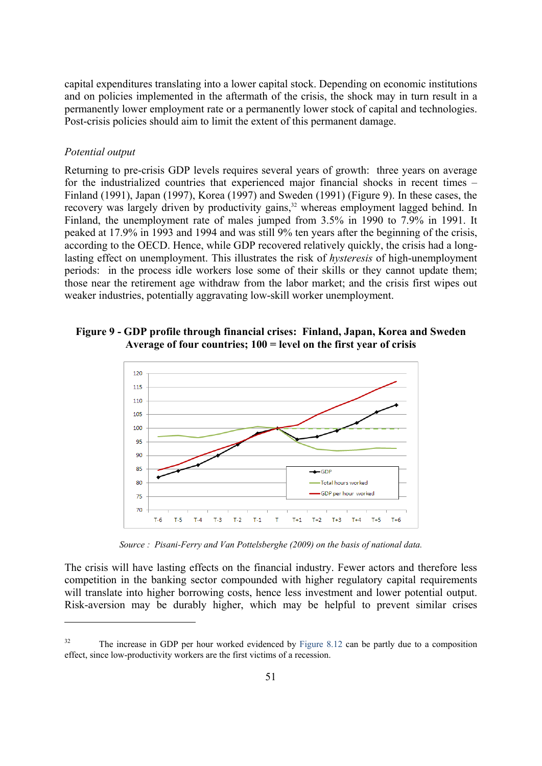capital expenditures translating into a lower capital stock. Depending on economic institutions and on policies implemented in the aftermath of the crisis, the shock may in turn result in a permanently lower employment rate or a permanently lower stock of capital and technologies. Post-crisis policies should aim to limit the extent of this permanent damage.

#### *Potential output*

1

Returning to pre-crisis GDP levels requires several years of growth: three years on average for the industrialized countries that experienced major financial shocks in recent times – Finland (1991), Japan (1997), Korea (1997) and Sweden (1991) (Figure 9). In these cases, the recovery was largely driven by productivity gains,<sup>32</sup> whereas employment lagged behind. In Finland, the unemployment rate of males jumped from 3.5% in 1990 to 7.9% in 1991. It peaked at 17.9% in 1993 and 1994 and was still 9% ten years after the beginning of the crisis, according to the OECD. Hence, while GDP recovered relatively quickly, the crisis had a longlasting effect on unemployment. This illustrates the risk of *hysteresis* of high-unemployment periods: in the process idle workers lose some of their skills or they cannot update them; those near the retirement age withdraw from the labor market; and the crisis first wipes out weaker industries, potentially aggravating low-skill worker unemployment.

# **Figure 9 - GDP profile through financial crises: Finland, Japan, Korea and Sweden Average of four countries; 100 = level on the first year of crisis**



*Source : Pisani-Ferry and Van Pottelsberghe (2009) on the basis of national data.* 

The crisis will have lasting effects on the financial industry. Fewer actors and therefore less competition in the banking sector compounded with higher regulatory capital requirements will translate into higher borrowing costs, hence less investment and lower potential output. Risk-aversion may be durably higher, which may be helpful to prevent similar crises

<sup>&</sup>lt;sup>32</sup> The increase in GDP per hour worked evidenced by Figure 8.12 can be partly due to a composition effect, since low-productivity workers are the first victims of a recession.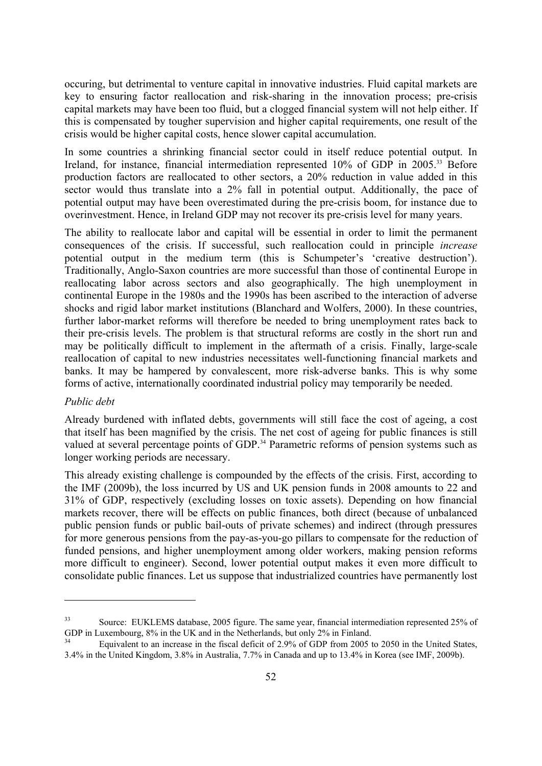occuring, but detrimental to venture capital in innovative industries. Fluid capital markets are key to ensuring factor reallocation and risk-sharing in the innovation process; pre-crisis capital markets may have been too fluid, but a clogged financial system will not help either. If this is compensated by tougher supervision and higher capital requirements, one result of the crisis would be higher capital costs, hence slower capital accumulation.

In some countries a shrinking financial sector could in itself reduce potential output. In Ireland, for instance, financial intermediation represented 10% of GDP in 2005.<sup>33</sup> Before production factors are reallocated to other sectors, a 20% reduction in value added in this sector would thus translate into a 2% fall in potential output. Additionally, the pace of potential output may have been overestimated during the pre-crisis boom, for instance due to overinvestment. Hence, in Ireland GDP may not recover its pre-crisis level for many years.

The ability to reallocate labor and capital will be essential in order to limit the permanent consequences of the crisis. If successful, such reallocation could in principle *increase* potential output in the medium term (this is Schumpeter's 'creative destruction'). Traditionally, Anglo-Saxon countries are more successful than those of continental Europe in reallocating labor across sectors and also geographically. The high unemployment in continental Europe in the 1980s and the 1990s has been ascribed to the interaction of adverse shocks and rigid labor market institutions (Blanchard and Wolfers, 2000). In these countries, further labor-market reforms will therefore be needed to bring unemployment rates back to their pre-crisis levels. The problem is that structural reforms are costly in the short run and may be politically difficult to implement in the aftermath of a crisis. Finally, large-scale reallocation of capital to new industries necessitates well-functioning financial markets and banks. It may be hampered by convalescent, more risk-adverse banks. This is why some forms of active, internationally coordinated industrial policy may temporarily be needed.

#### *Public debt*

1

Already burdened with inflated debts, governments will still face the cost of ageing, a cost that itself has been magnified by the crisis. The net cost of ageing for public finances is still valued at several percentage points of GDP.<sup>34</sup> Parametric reforms of pension systems such as longer working periods are necessary.

This already existing challenge is compounded by the effects of the crisis. First, according to the IMF (2009b), the loss incurred by US and UK pension funds in 2008 amounts to 22 and 31% of GDP, respectively (excluding losses on toxic assets). Depending on how financial markets recover, there will be effects on public finances, both direct (because of unbalanced public pension funds or public bail-outs of private schemes) and indirect (through pressures for more generous pensions from the pay-as-you-go pillars to compensate for the reduction of funded pensions, and higher unemployment among older workers, making pension reforms more difficult to engineer). Second, lower potential output makes it even more difficult to consolidate public finances. Let us suppose that industrialized countries have permanently lost

<sup>&</sup>lt;sup>33</sup> Source: EUKLEMS database, 2005 figure. The same year, financial intermediation represented 25% of GDP in Luxembourg, 8% in the UK and in the Netherlands, but only 2% in Finland.

Equivalent to an increase in the fiscal deficit of 2.9% of GDP from 2005 to 2050 in the United States, 3.4% in the United Kingdom, 3.8% in Australia, 7.7% in Canada and up to 13.4% in Korea (see IMF, 2009b).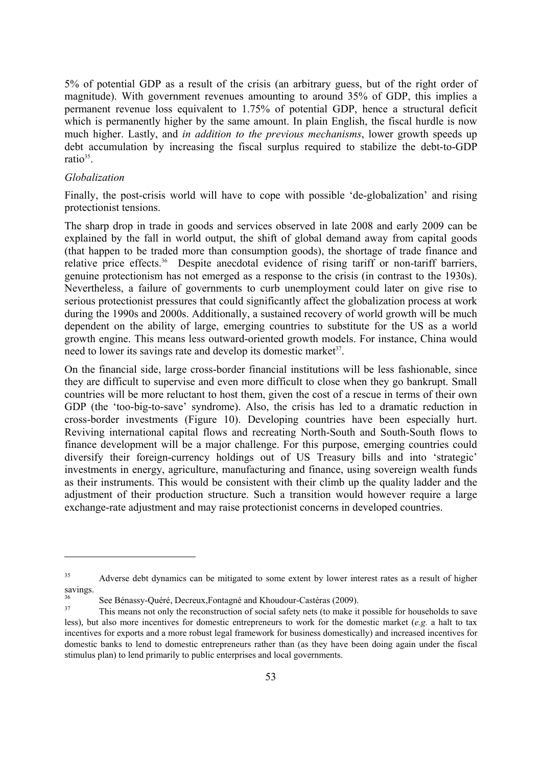5% of potential GDP as a result of the crisis (an arbitrary guess, but of the right order of magnitude). With government revenues amounting to around 35% of GDP, this implies a permanent revenue loss equivalent to 1.75% of potential GDP, hence a structural deficit which is permanently higher by the same amount. In plain English, the fiscal hurdle is now much higher. Lastly, and *in addition to the previous mechanisms*, lower growth speeds up debt accumulation by increasing the fiscal surplus required to stabilize the debt-to-GDP ratio<sup>35</sup>.

#### *Globalization*

<u>.</u>

Finally, the post-crisis world will have to cope with possible 'de-globalization' and rising protectionist tensions.

The sharp drop in trade in goods and services observed in late 2008 and early 2009 can be explained by the fall in world output, the shift of global demand away from capital goods (that happen to be traded more than consumption goods), the shortage of trade finance and relative price effects.<sup>36</sup> Despite anecdotal evidence of rising tariff or non-tariff barriers, genuine protectionism has not emerged as a response to the crisis (in contrast to the 1930s). Nevertheless, a failure of governments to curb unemployment could later on give rise to serious protectionist pressures that could significantly affect the globalization process at work during the 1990s and 2000s. Additionally, a sustained recovery of world growth will be much dependent on the ability of large, emerging countries to substitute for the US as a world growth engine. This means less outward-oriented growth models. For instance, China would need to lower its savings rate and develop its domestic market<sup>37</sup>.

On the financial side, large cross-border financial institutions will be less fashionable, since they are difficult to supervise and even more difficult to close when they go bankrupt. Small countries will be more reluctant to host them, given the cost of a rescue in terms of their own GDP (the 'too-big-to-save' syndrome). Also, the crisis has led to a dramatic reduction in cross-border investments (Figure 10). Developing countries have been especially hurt. Reviving international capital flows and recreating North-South and South-South flows to finance development will be a major challenge. For this purpose, emerging countries could diversify their foreign-currency holdings out of US Treasury bills and into 'strategic' investments in energy, agriculture, manufacturing and finance, using sovereign wealth funds as their instruments. This would be consistent with their climb up the quality ladder and the adjustment of their production structure. Such a transition would however require a large exchange-rate adjustment and may raise protectionist concerns in developed countries.

<sup>&</sup>lt;sup>35</sup> Adverse debt dynamics can be mitigated to some extent by lower interest rates as a result of higher savings.

<sup>&</sup>lt;sup>36</sup> See Bénassy-Quéré, Decreux, Fontagné and Khoudour-Castéras (2009).<br> $37$  This access and substitute the measurement is a formial of formate (to make it

This means not only the reconstruction of social safety nets (to make it possible for households to save less), but also more incentives for domestic entrepreneurs to work for the domestic market (*e.g.* a halt to tax incentives for exports and a more robust legal framework for business domestically) and increased incentives for domestic banks to lend to domestic entrepreneurs rather than (as they have been doing again under the fiscal stimulus plan) to lend primarily to public enterprises and local governments.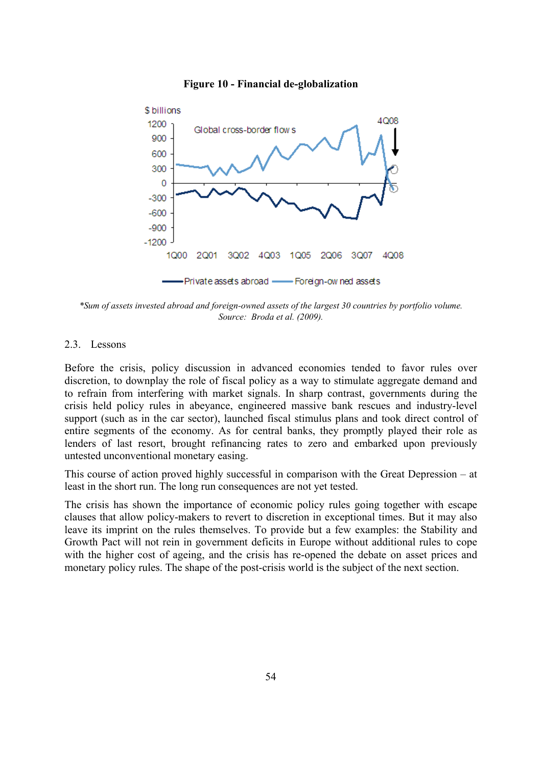

#### **Figure 10 - Financial de-globalization**

*\*Sum of assets invested abroad and foreign-owned assets of the largest 30 countries by portfolio volume. Source: Broda et al. (2009).* 

## 2.3 Lessons

Before the crisis, policy discussion in advanced economies tended to favor rules over discretion, to downplay the role of fiscal policy as a way to stimulate aggregate demand and to refrain from interfering with market signals. In sharp contrast, governments during the crisis held policy rules in abeyance, engineered massive bank rescues and industry-level support (such as in the car sector), launched fiscal stimulus plans and took direct control of entire segments of the economy. As for central banks, they promptly played their role as lenders of last resort, brought refinancing rates to zero and embarked upon previously untested unconventional monetary easing.

This course of action proved highly successful in comparison with the Great Depression – at least in the short run. The long run consequences are not yet tested.

The crisis has shown the importance of economic policy rules going together with escape clauses that allow policy-makers to revert to discretion in exceptional times. But it may also leave its imprint on the rules themselves. To provide but a few examples: the Stability and Growth Pact will not rein in government deficits in Europe without additional rules to cope with the higher cost of ageing, and the crisis has re-opened the debate on asset prices and monetary policy rules. The shape of the post-crisis world is the subject of the next section.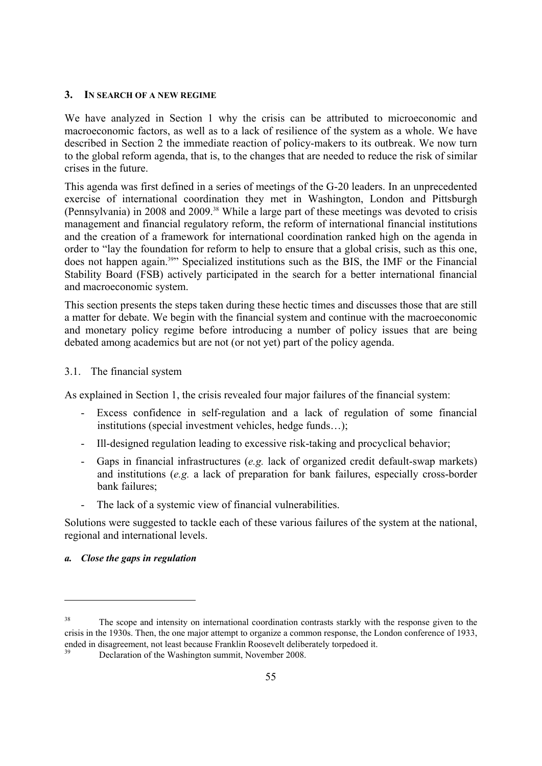## **3. IN SEARCH OF A NEW REGIME**

We have analyzed in Section 1 why the crisis can be attributed to microeconomic and macroeconomic factors, as well as to a lack of resilience of the system as a whole. We have described in Section 2 the immediate reaction of policy-makers to its outbreak. We now turn to the global reform agenda, that is, to the changes that are needed to reduce the risk of similar crises in the future.

This agenda was first defined in a series of meetings of the G-20 leaders. In an unprecedented exercise of international coordination they met in Washington, London and Pittsburgh (Pennsylvania) in 2008 and 2009.38 While a large part of these meetings was devoted to crisis management and financial regulatory reform, the reform of international financial institutions and the creation of a framework for international coordination ranked high on the agenda in order to "lay the foundation for reform to help to ensure that a global crisis, such as this one, does not happen again.<sup>39</sup> Specialized institutions such as the BIS, the IMF or the Financial Stability Board (FSB) actively participated in the search for a better international financial and macroeconomic system.

This section presents the steps taken during these hectic times and discusses those that are still a matter for debate. We begin with the financial system and continue with the macroeconomic and monetary policy regime before introducing a number of policy issues that are being debated among academics but are not (or not yet) part of the policy agenda.

## 3.1. The financial system

As explained in Section 1, the crisis revealed four major failures of the financial system:

- Excess confidence in self-regulation and a lack of regulation of some financial institutions (special investment vehicles, hedge funds…);
- Ill-designed regulation leading to excessive risk-taking and procyclical behavior;
- Gaps in financial infrastructures (*e.g.* lack of organized credit default-swap markets) and institutions (*e.g.* a lack of preparation for bank failures, especially cross-border bank failures;
- The lack of a systemic view of financial vulnerabilities.

Solutions were suggested to tackle each of these various failures of the system at the national, regional and international levels.

## *a. Close the gaps in regulation*

<sup>&</sup>lt;sup>38</sup> The scope and intensity on international coordination contrasts starkly with the response given to the crisis in the 1930s. Then, the one major attempt to organize a common response, the London conference of 1933, ended in disagreement, not least because Franklin Roosevelt deliberately torpedoed it.

Declaration of the Washington summit, November 2008.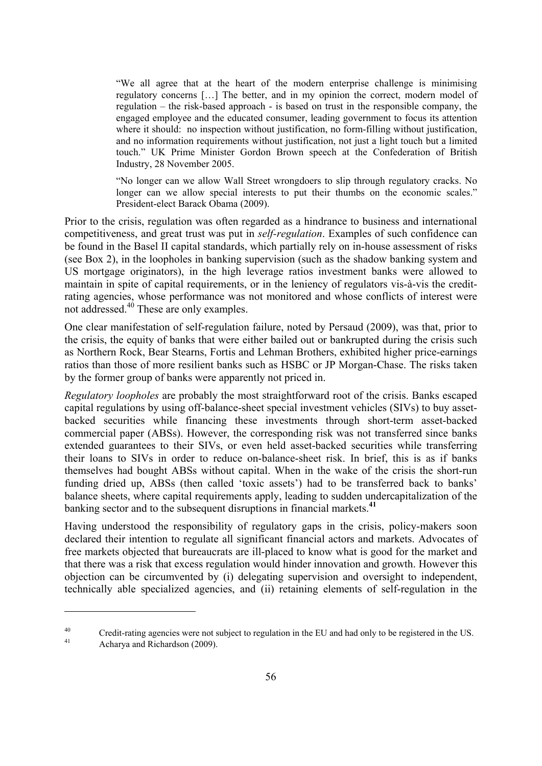"We all agree that at the heart of the modern enterprise challenge is minimising regulatory concerns […] The better, and in my opinion the correct, modern model of regulation – the risk-based approach - is based on trust in the responsible company, the engaged employee and the educated consumer, leading government to focus its attention where it should: no inspection without justification, no form-filling without justification, and no information requirements without justification, not just a light touch but a limited touch." UK Prime Minister Gordon Brown speech at the Confederation of British Industry, 28 November 2005.

"No longer can we allow Wall Street wrongdoers to slip through regulatory cracks. No longer can we allow special interests to put their thumbs on the economic scales." President-elect Barack Obama (2009).

Prior to the crisis, regulation was often regarded as a hindrance to business and international competitiveness, and great trust was put in *self-regulation*. Examples of such confidence can be found in the Basel II capital standards, which partially rely on in-house assessment of risks (see Box 2), in the loopholes in banking supervision (such as the shadow banking system and US mortgage originators), in the high leverage ratios investment banks were allowed to maintain in spite of capital requirements, or in the leniency of regulators vis-à-vis the creditrating agencies, whose performance was not monitored and whose conflicts of interest were not addressed.40 These are only examples.

One clear manifestation of self-regulation failure, noted by Persaud (2009), was that, prior to the crisis, the equity of banks that were either bailed out or bankrupted during the crisis such as Northern Rock, Bear Stearns, Fortis and Lehman Brothers, exhibited higher price-earnings ratios than those of more resilient banks such as HSBC or JP Morgan-Chase. The risks taken by the former group of banks were apparently not priced in.

*Regulatory loopholes* are probably the most straightforward root of the crisis. Banks escaped capital regulations by using off-balance-sheet special investment vehicles (SIVs) to buy assetbacked securities while financing these investments through short-term asset-backed commercial paper (ABSs). However, the corresponding risk was not transferred since banks extended guarantees to their SIVs, or even held asset-backed securities while transferring their loans to SIVs in order to reduce on-balance-sheet risk. In brief, this is as if banks themselves had bought ABSs without capital. When in the wake of the crisis the short-run funding dried up, ABSs (then called 'toxic assets') had to be transferred back to banks' balance sheets, where capital requirements apply, leading to sudden undercapitalization of the banking sector and to the subsequent disruptions in financial markets.**<sup>41</sup>**

Having understood the responsibility of regulatory gaps in the crisis, policy-makers soon declared their intention to regulate all significant financial actors and markets. Advocates of free markets objected that bureaucrats are ill-placed to know what is good for the market and that there was a risk that excess regulation would hinder innovation and growth. However this objection can be circumvented by (i) delegating supervision and oversight to independent, technically able specialized agencies, and (ii) retaining elements of self-regulation in the

<sup>40</sup> Credit-rating agencies were not subject to regulation in the EU and had only to be registered in the US.<br>Acharya and Richardson (2009).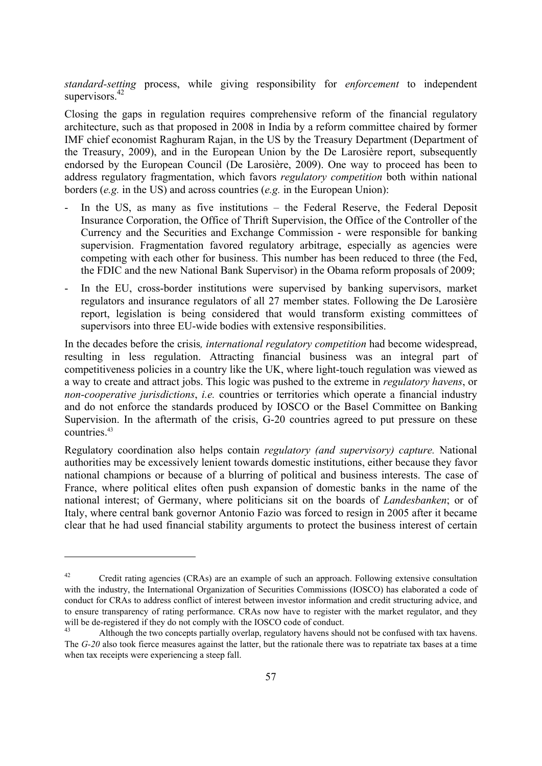*standard-setting* process, while giving responsibility for *enforcement* to independent supervisors.<sup>42</sup>

Closing the gaps in regulation requires comprehensive reform of the financial regulatory architecture, such as that proposed in 2008 in India by a reform committee chaired by former IMF chief economist Raghuram Rajan, in the US by the Treasury Department (Department of the Treasury, 2009), and in the European Union by the De Larosière report, subsequently endorsed by the European Council (De Larosière, 2009). One way to proceed has been to address regulatory fragmentation, which favors *regulatory competition* both within national borders (*e.g.* in the US) and across countries (*e.g.* in the European Union):

- In the US, as many as five institutions the Federal Reserve, the Federal Deposit Insurance Corporation, the Office of Thrift Supervision, the Office of the Controller of the Currency and the Securities and Exchange Commission - were responsible for banking supervision. Fragmentation favored regulatory arbitrage, especially as agencies were competing with each other for business. This number has been reduced to three (the Fed, the FDIC and the new National Bank Supervisor) in the Obama reform proposals of 2009;
- In the EU, cross-border institutions were supervised by banking supervisors, market regulators and insurance regulators of all 27 member states. Following the De Larosière report, legislation is being considered that would transform existing committees of supervisors into three EU-wide bodies with extensive responsibilities.

In the decades before the crisis*, international regulatory competition* had become widespread, resulting in less regulation. Attracting financial business was an integral part of competitiveness policies in a country like the UK, where light-touch regulation was viewed as a way to create and attract jobs. This logic was pushed to the extreme in *regulatory havens*, or *non-cooperative jurisdictions*, *i.e.* countries or territories which operate a financial industry and do not enforce the standards produced by IOSCO or the Basel Committee on Banking Supervision. In the aftermath of the crisis, G-20 countries agreed to put pressure on these countries.43

Regulatory coordination also helps contain *regulatory (and supervisory) capture.* National authorities may be excessively lenient towards domestic institutions, either because they favor national champions or because of a blurring of political and business interests. The case of France, where political elites often push expansion of domestic banks in the name of the national interest; of Germany, where politicians sit on the boards of *Landesbanken*; or of Italy, where central bank governor Antonio Fazio was forced to resign in 2005 after it became clear that he had used financial stability arguments to protect the business interest of certain

<u>.</u>

<sup>&</sup>lt;sup>42</sup> Credit rating agencies (CRAs) are an example of such an approach. Following extensive consultation with the industry, the International Organization of Securities Commissions (IOSCO) has elaborated a code of conduct for CRAs to address conflict of interest between investor information and credit structuring advice, and to ensure transparency of rating performance. CRAs now have to register with the market regulator, and they will be de-registered if they do not comply with the IOSCO code of conduct.<br>Although the two concepts partially overlap, regulatory havens should not be confused with tax havens.

The *G-20* also took fierce measures against the latter, but the rationale there was to repatriate tax bases at a time when tax receipts were experiencing a steep fall.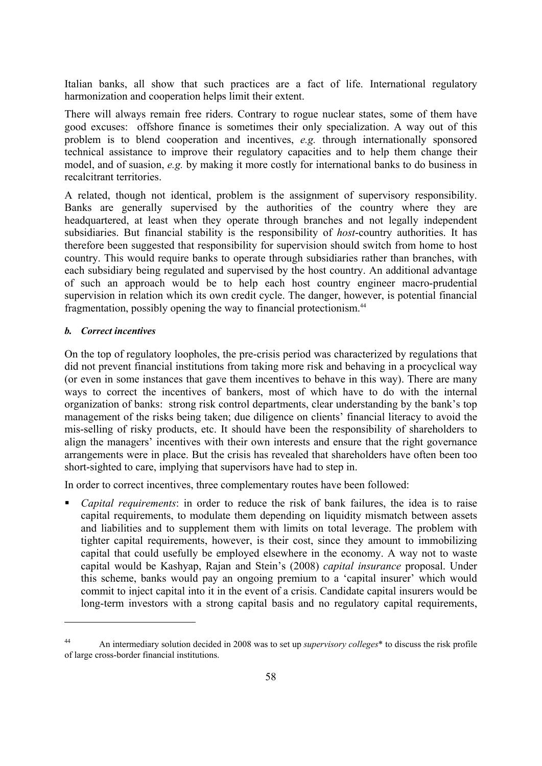Italian banks, all show that such practices are a fact of life. International regulatory harmonization and cooperation helps limit their extent.

There will always remain free riders. Contrary to rogue nuclear states, some of them have good excuses: offshore finance is sometimes their only specialization. A way out of this problem is to blend cooperation and incentives, *e.g.* through internationally sponsored technical assistance to improve their regulatory capacities and to help them change their model, and of suasion, *e.g.* by making it more costly for international banks to do business in recalcitrant territories.

A related, though not identical, problem is the assignment of supervisory responsibility. Banks are generally supervised by the authorities of the country where they are headquartered, at least when they operate through branches and not legally independent subsidiaries. But financial stability is the responsibility of *host*-country authorities. It has therefore been suggested that responsibility for supervision should switch from home to host country. This would require banks to operate through subsidiaries rather than branches, with each subsidiary being regulated and supervised by the host country. An additional advantage of such an approach would be to help each host country engineer macro-prudential supervision in relation which its own credit cycle. The danger, however, is potential financial fragmentation, possibly opening the way to financial protectionism.44

#### *b. Correct incentives*

1

On the top of regulatory loopholes, the pre-crisis period was characterized by regulations that did not prevent financial institutions from taking more risk and behaving in a procyclical way (or even in some instances that gave them incentives to behave in this way). There are many ways to correct the incentives of bankers, most of which have to do with the internal organization of banks: strong risk control departments, clear understanding by the bank's top management of the risks being taken; due diligence on clients' financial literacy to avoid the mis-selling of risky products, etc. It should have been the responsibility of shareholders to align the managers' incentives with their own interests and ensure that the right governance arrangements were in place. But the crisis has revealed that shareholders have often been too short-sighted to care, implying that supervisors have had to step in.

In order to correct incentives, three complementary routes have been followed:

 *Capital requirements*: in order to reduce the risk of bank failures, the idea is to raise capital requirements, to modulate them depending on liquidity mismatch between assets and liabilities and to supplement them with limits on total leverage. The problem with tighter capital requirements, however, is their cost, since they amount to immobilizing capital that could usefully be employed elsewhere in the economy. A way not to waste capital would be Kashyap, Rajan and Stein's (2008) *capital insurance* proposal. Under this scheme, banks would pay an ongoing premium to a 'capital insurer' which would commit to inject capital into it in the event of a crisis. Candidate capital insurers would be long-term investors with a strong capital basis and no regulatory capital requirements,

<sup>44</sup> An intermediary solution decided in 2008 was to set up *supervisory colleges*\* to discuss the risk profile of large cross-border financial institutions.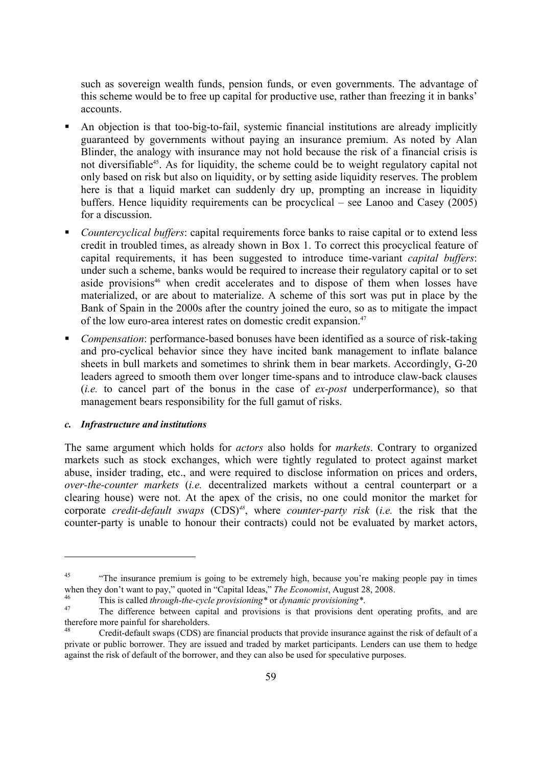such as sovereign wealth funds, pension funds, or even governments. The advantage of this scheme would be to free up capital for productive use, rather than freezing it in banks' accounts.

- An objection is that too-big-to-fail, systemic financial institutions are already implicitly guaranteed by governments without paying an insurance premium. As noted by Alan Blinder, the analogy with insurance may not hold because the risk of a financial crisis is not diversifiable<sup>45</sup>. As for liquidity, the scheme could be to weight regulatory capital not only based on risk but also on liquidity, or by setting aside liquidity reserves. The problem here is that a liquid market can suddenly dry up, prompting an increase in liquidity buffers. Hence liquidity requirements can be procyclical – see Lanoo and Casey (2005) for a discussion.
- *Countercyclical buffers*: capital requirements force banks to raise capital or to extend less credit in troubled times, as already shown in Box 1. To correct this procyclical feature of capital requirements, it has been suggested to introduce time-variant *capital buffers*: under such a scheme, banks would be required to increase their regulatory capital or to set aside provisions<sup>46</sup> when credit accelerates and to dispose of them when losses have materialized, or are about to materialize. A scheme of this sort was put in place by the Bank of Spain in the 2000s after the country joined the euro, so as to mitigate the impact of the low euro-area interest rates on domestic credit expansion.47
- *Compensation*: performance-based bonuses have been identified as a source of risk-taking and pro-cyclical behavior since they have incited bank management to inflate balance sheets in bull markets and sometimes to shrink them in bear markets. Accordingly, G-20 leaders agreed to smooth them over longer time-spans and to introduce claw-back clauses (*i.e.* to cancel part of the bonus in the case of *ex-post* underperformance), so that management bears responsibility for the full gamut of risks.

## *c. Infrastructure and institutions*

<u>.</u>

The same argument which holds for *actors* also holds for *markets*. Contrary to organized markets such as stock exchanges, which were tightly regulated to protect against market abuse, insider trading, etc., and were required to disclose information on prices and orders, *over-the-counter markets* (*i.e.* decentralized markets without a central counterpart or a clearing house) were not. At the apex of the crisis, no one could monitor the market for corporate *credit-default swaps* (CDS)*<sup>48</sup>*, where *counter-party risk* (*i.e.* the risk that the counter-party is unable to honour their contracts) could not be evaluated by market actors,

<sup>&</sup>lt;sup>45</sup> "The insurance premium is going to be extremely high, because you're making people pay in times when they don't want to pay," quoted in "Capital Ideas," *The Economist*, August 28, 2008.<br>
This is called *through-the-cycle provisioning*<sup>\*</sup> or *dynamic provisioning*<sup>\*</sup>.<br>
The difference between capital and provisions is

therefore more painful for shareholders.

Credit-default swaps (CDS) are financial products that provide insurance against the risk of default of a private or public borrower. They are issued and traded by market participants. Lenders can use them to hedge against the risk of default of the borrower, and they can also be used for speculative purposes.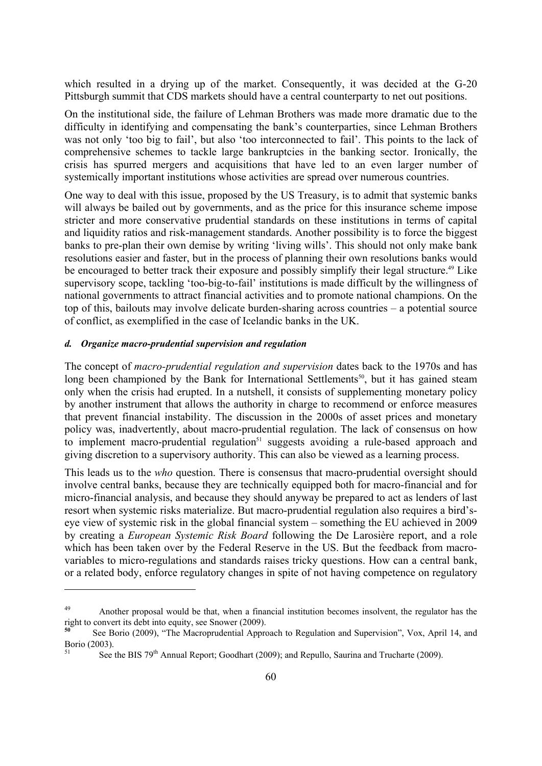which resulted in a drying up of the market. Consequently, it was decided at the G-20 Pittsburgh summit that CDS markets should have a central counterparty to net out positions.

On the institutional side, the failure of Lehman Brothers was made more dramatic due to the difficulty in identifying and compensating the bank's counterparties, since Lehman Brothers was not only 'too big to fail', but also 'too interconnected to fail'. This points to the lack of comprehensive schemes to tackle large bankruptcies in the banking sector. Ironically, the crisis has spurred mergers and acquisitions that have led to an even larger number of systemically important institutions whose activities are spread over numerous countries.

One way to deal with this issue, proposed by the US Treasury, is to admit that systemic banks will always be bailed out by governments, and as the price for this insurance scheme impose stricter and more conservative prudential standards on these institutions in terms of capital and liquidity ratios and risk-management standards. Another possibility is to force the biggest banks to pre-plan their own demise by writing 'living wills'. This should not only make bank resolutions easier and faster, but in the process of planning their own resolutions banks would be encouraged to better track their exposure and possibly simplify their legal structure.<sup>49</sup> Like supervisory scope, tackling 'too-big-to-fail' institutions is made difficult by the willingness of national governments to attract financial activities and to promote national champions. On the top of this, bailouts may involve delicate burden-sharing across countries – a potential source of conflict, as exemplified in the case of Icelandic banks in the UK.

## *d. Organize macro-prudential supervision and regulation*

1

The concept of *macro-prudential regulation and supervision* dates back to the 1970s and has long been championed by the Bank for International Settlements<sup>50</sup>, but it has gained steam only when the crisis had erupted. In a nutshell, it consists of supplementing monetary policy by another instrument that allows the authority in charge to recommend or enforce measures that prevent financial instability. The discussion in the 2000s of asset prices and monetary policy was, inadvertently, about macro-prudential regulation. The lack of consensus on how to implement macro-prudential regulation<sup>51</sup> suggests avoiding a rule-based approach and giving discretion to a supervisory authority. This can also be viewed as a learning process.

This leads us to the *who* question. There is consensus that macro-prudential oversight should involve central banks, because they are technically equipped both for macro-financial and for micro-financial analysis, and because they should anyway be prepared to act as lenders of last resort when systemic risks materialize. But macro-prudential regulation also requires a bird'seye view of systemic risk in the global financial system – something the EU achieved in 2009 by creating a *European Systemic Risk Board* following the De Larosière report, and a role which has been taken over by the Federal Reserve in the US. But the feedback from macrovariables to micro-regulations and standards raises tricky questions. How can a central bank, or a related body, enforce regulatory changes in spite of not having competence on regulatory

<sup>49</sup> Another proposal would be that, when a financial institution becomes insolvent, the regulator has the right to convert its debt into equity, see Snower (2009).

**<sup>50</sup>** See Borio (2009), "The Macroprudential Approach to Regulation and Supervision", Vox, April 14, and Borio (2003).

See the BIS 79<sup>th</sup> Annual Report; Goodhart (2009); and Repullo, Saurina and Trucharte (2009).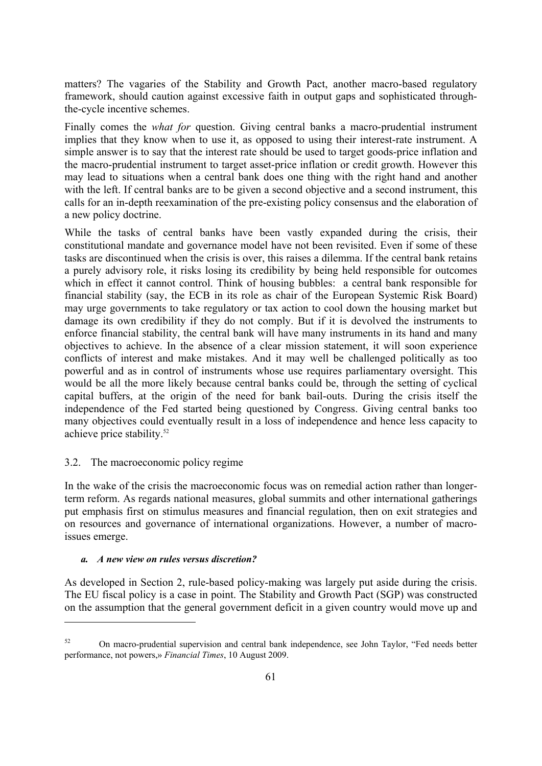matters? The vagaries of the Stability and Growth Pact, another macro-based regulatory framework, should caution against excessive faith in output gaps and sophisticated throughthe-cycle incentive schemes.

Finally comes the *what for* question. Giving central banks a macro-prudential instrument implies that they know when to use it, as opposed to using their interest-rate instrument. A simple answer is to say that the interest rate should be used to target goods-price inflation and the macro-prudential instrument to target asset-price inflation or credit growth. However this may lead to situations when a central bank does one thing with the right hand and another with the left. If central banks are to be given a second objective and a second instrument, this calls for an in-depth reexamination of the pre-existing policy consensus and the elaboration of a new policy doctrine.

While the tasks of central banks have been vastly expanded during the crisis, their constitutional mandate and governance model have not been revisited. Even if some of these tasks are discontinued when the crisis is over, this raises a dilemma. If the central bank retains a purely advisory role, it risks losing its credibility by being held responsible for outcomes which in effect it cannot control. Think of housing bubbles: a central bank responsible for financial stability (say, the ECB in its role as chair of the European Systemic Risk Board) may urge governments to take regulatory or tax action to cool down the housing market but damage its own credibility if they do not comply. But if it is devolved the instruments to enforce financial stability, the central bank will have many instruments in its hand and many objectives to achieve. In the absence of a clear mission statement, it will soon experience conflicts of interest and make mistakes. And it may well be challenged politically as too powerful and as in control of instruments whose use requires parliamentary oversight. This would be all the more likely because central banks could be, through the setting of cyclical capital buffers, at the origin of the need for bank bail-outs. During the crisis itself the independence of the Fed started being questioned by Congress. Giving central banks too many objectives could eventually result in a loss of independence and hence less capacity to achieve price stability.52

# 3.2. The macroeconomic policy regime

In the wake of the crisis the macroeconomic focus was on remedial action rather than longerterm reform. As regards national measures, global summits and other international gatherings put emphasis first on stimulus measures and financial regulation, then on exit strategies and on resources and governance of international organizations. However, a number of macroissues emerge.

## *a. A new view on rules versus discretion?*

1

As developed in Section 2, rule-based policy-making was largely put aside during the crisis. The EU fiscal policy is a case in point. The Stability and Growth Pact (SGP) was constructed on the assumption that the general government deficit in a given country would move up and

<sup>&</sup>lt;sup>52</sup> On macro-prudential supervision and central bank independence, see John Taylor, "Fed needs better performance, not powers,» *Financial Times*, 10 August 2009.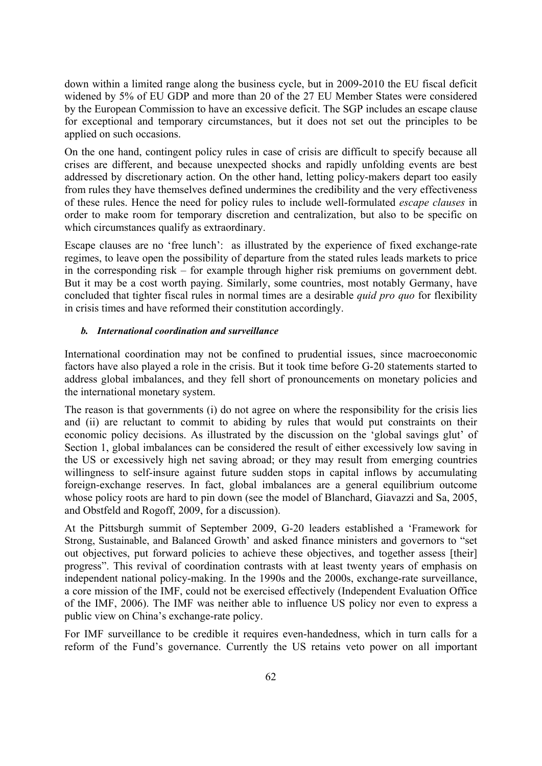down within a limited range along the business cycle, but in 2009-2010 the EU fiscal deficit widened by 5% of EU GDP and more than 20 of the 27 EU Member States were considered by the European Commission to have an excessive deficit. The SGP includes an escape clause for exceptional and temporary circumstances, but it does not set out the principles to be applied on such occasions.

On the one hand, contingent policy rules in case of crisis are difficult to specify because all crises are different, and because unexpected shocks and rapidly unfolding events are best addressed by discretionary action. On the other hand, letting policy-makers depart too easily from rules they have themselves defined undermines the credibility and the very effectiveness of these rules. Hence the need for policy rules to include well-formulated *escape clauses* in order to make room for temporary discretion and centralization, but also to be specific on which circumstances qualify as extraordinary.

Escape clauses are no 'free lunch': as illustrated by the experience of fixed exchange-rate regimes, to leave open the possibility of departure from the stated rules leads markets to price in the corresponding risk – for example through higher risk premiums on government debt. But it may be a cost worth paying. Similarly, some countries, most notably Germany, have concluded that tighter fiscal rules in normal times are a desirable *quid pro quo* for flexibility in crisis times and have reformed their constitution accordingly.

## *b. International coordination and surveillance*

International coordination may not be confined to prudential issues, since macroeconomic factors have also played a role in the crisis. But it took time before G-20 statements started to address global imbalances, and they fell short of pronouncements on monetary policies and the international monetary system.

The reason is that governments (i) do not agree on where the responsibility for the crisis lies and (ii) are reluctant to commit to abiding by rules that would put constraints on their economic policy decisions. As illustrated by the discussion on the 'global savings glut' of Section 1, global imbalances can be considered the result of either excessively low saving in the US or excessively high net saving abroad; or they may result from emerging countries willingness to self-insure against future sudden stops in capital inflows by accumulating foreign-exchange reserves. In fact, global imbalances are a general equilibrium outcome whose policy roots are hard to pin down (see the model of Blanchard, Giavazzi and Sa, 2005, and Obstfeld and Rogoff, 2009, for a discussion).

At the Pittsburgh summit of September 2009, G-20 leaders established a 'Framework for Strong, Sustainable, and Balanced Growth' and asked finance ministers and governors to "set out objectives, put forward policies to achieve these objectives, and together assess [their] progress". This revival of coordination contrasts with at least twenty years of emphasis on independent national policy-making. In the 1990s and the 2000s, exchange-rate surveillance, a core mission of the IMF, could not be exercised effectively (Independent Evaluation Office of the IMF, 2006). The IMF was neither able to influence US policy nor even to express a public view on China's exchange-rate policy.

For IMF surveillance to be credible it requires even-handedness, which in turn calls for a reform of the Fund's governance. Currently the US retains veto power on all important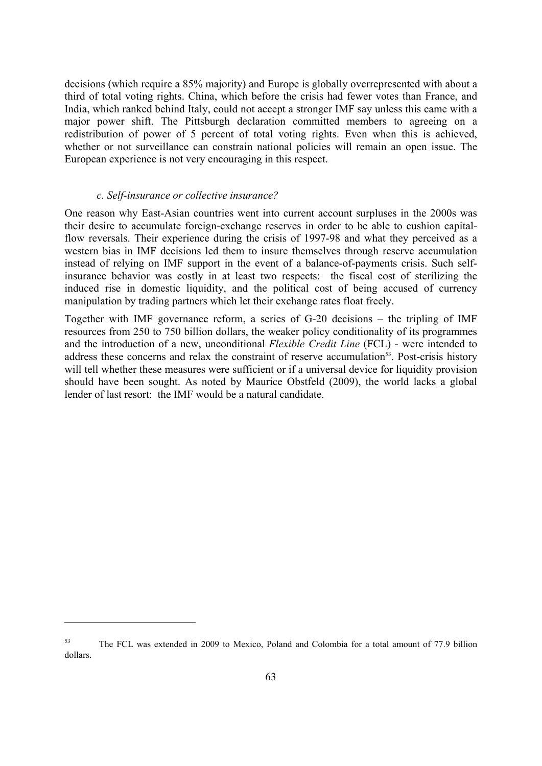decisions (which require a 85% majority) and Europe is globally overrepresented with about a third of total voting rights. China, which before the crisis had fewer votes than France, and India, which ranked behind Italy, could not accept a stronger IMF say unless this came with a major power shift. The Pittsburgh declaration committed members to agreeing on a redistribution of power of 5 percent of total voting rights. Even when this is achieved, whether or not surveillance can constrain national policies will remain an open issue. The European experience is not very encouraging in this respect.

## *c. Self-insurance or collective insurance?*

1

One reason why East-Asian countries went into current account surpluses in the 2000s was their desire to accumulate foreign-exchange reserves in order to be able to cushion capitalflow reversals. Their experience during the crisis of 1997-98 and what they perceived as a western bias in IMF decisions led them to insure themselves through reserve accumulation instead of relying on IMF support in the event of a balance-of-payments crisis. Such selfinsurance behavior was costly in at least two respects: the fiscal cost of sterilizing the induced rise in domestic liquidity, and the political cost of being accused of currency manipulation by trading partners which let their exchange rates float freely.

Together with IMF governance reform, a series of G-20 decisions – the tripling of IMF resources from 250 to 750 billion dollars, the weaker policy conditionality of its programmes and the introduction of a new, unconditional *Flexible Credit Line* (FCL) - were intended to address these concerns and relax the constraint of reserve accumulation<sup>53</sup>. Post-crisis history will tell whether these measures were sufficient or if a universal device for liquidity provision should have been sought. As noted by Maurice Obstfeld (2009), the world lacks a global lender of last resort: the IMF would be a natural candidate.

<sup>53</sup> The FCL was extended in 2009 to Mexico, Poland and Colombia for a total amount of 77.9 billion dollars.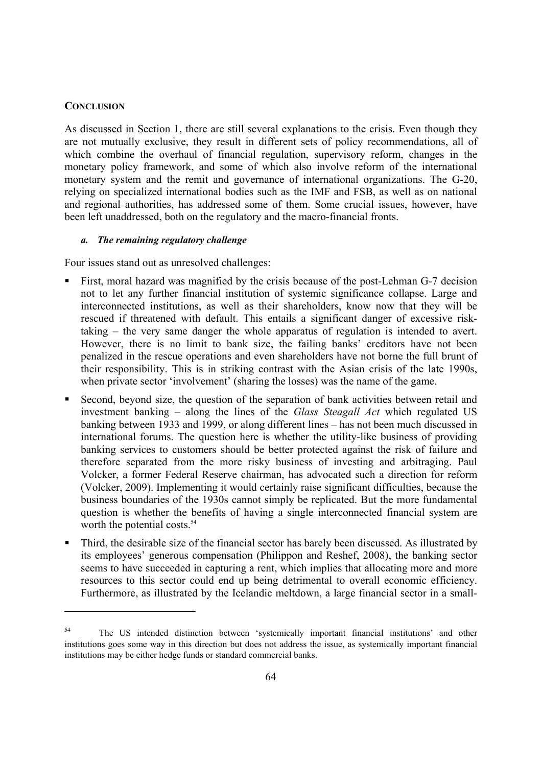## **CONCLUSION**

1

As discussed in Section 1, there are still several explanations to the crisis. Even though they are not mutually exclusive, they result in different sets of policy recommendations, all of which combine the overhaul of financial regulation, supervisory reform, changes in the monetary policy framework, and some of which also involve reform of the international monetary system and the remit and governance of international organizations. The G-20, relying on specialized international bodies such as the IMF and FSB, as well as on national and regional authorities, has addressed some of them. Some crucial issues, however, have been left unaddressed, both on the regulatory and the macro-financial fronts.

## *a. The remaining regulatory challenge*

Four issues stand out as unresolved challenges:

- First, moral hazard was magnified by the crisis because of the post-Lehman G-7 decision not to let any further financial institution of systemic significance collapse. Large and interconnected institutions, as well as their shareholders, know now that they will be rescued if threatened with default. This entails a significant danger of excessive risktaking – the very same danger the whole apparatus of regulation is intended to avert. However, there is no limit to bank size, the failing banks' creditors have not been penalized in the rescue operations and even shareholders have not borne the full brunt of their responsibility. This is in striking contrast with the Asian crisis of the late 1990s, when private sector 'involvement' (sharing the losses) was the name of the game.
- Second, beyond size, the question of the separation of bank activities between retail and investment banking – along the lines of the *Glass Steagall Act* which regulated US banking between 1933 and 1999, or along different lines – has not been much discussed in international forums. The question here is whether the utility-like business of providing banking services to customers should be better protected against the risk of failure and therefore separated from the more risky business of investing and arbitraging. Paul Volcker, a former Federal Reserve chairman, has advocated such a direction for reform (Volcker, 2009). Implementing it would certainly raise significant difficulties, because the business boundaries of the 1930s cannot simply be replicated. But the more fundamental question is whether the benefits of having a single interconnected financial system are worth the potential costs.<sup>54</sup>
- Third, the desirable size of the financial sector has barely been discussed. As illustrated by its employees' generous compensation (Philippon and Reshef, 2008), the banking sector seems to have succeeded in capturing a rent, which implies that allocating more and more resources to this sector could end up being detrimental to overall economic efficiency. Furthermore, as illustrated by the Icelandic meltdown, a large financial sector in a small-

<sup>&</sup>lt;sup>54</sup> The US intended distinction between 'systemically important financial institutions' and other institutions goes some way in this direction but does not address the issue, as systemically important financial institutions may be either hedge funds or standard commercial banks.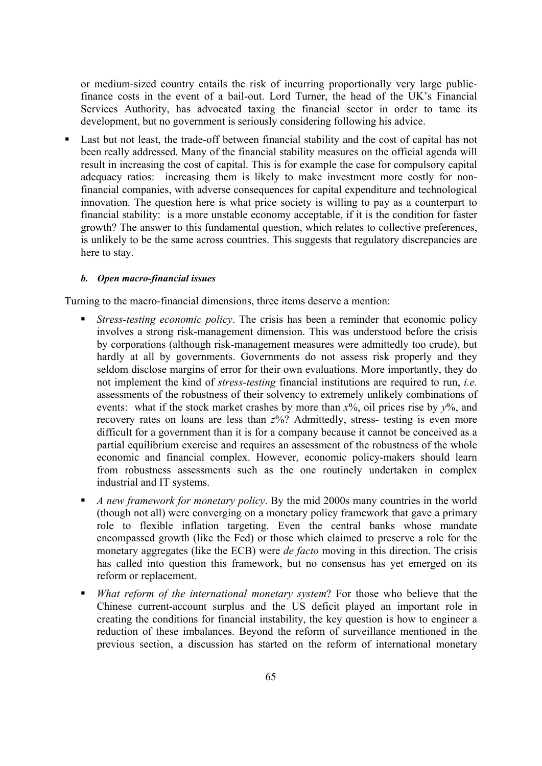or medium-sized country entails the risk of incurring proportionally very large publicfinance costs in the event of a bail-out. Lord Turner, the head of the UK's Financial Services Authority, has advocated taxing the financial sector in order to tame its development, but no government is seriously considering following his advice.

 Last but not least, the trade-off between financial stability and the cost of capital has not been really addressed. Many of the financial stability measures on the official agenda will result in increasing the cost of capital. This is for example the case for compulsory capital adequacy ratios: increasing them is likely to make investment more costly for nonfinancial companies, with adverse consequences for capital expenditure and technological innovation. The question here is what price society is willing to pay as a counterpart to financial stability: is a more unstable economy acceptable, if it is the condition for faster growth? The answer to this fundamental question, which relates to collective preferences, is unlikely to be the same across countries. This suggests that regulatory discrepancies are here to stay.

## *b. Open macro-financial issues*

Turning to the macro-financial dimensions, three items deserve a mention:

- *Stress-testing economic policy*. The crisis has been a reminder that economic policy involves a strong risk-management dimension. This was understood before the crisis by corporations (although risk-management measures were admittedly too crude), but hardly at all by governments. Governments do not assess risk properly and they seldom disclose margins of error for their own evaluations. More importantly, they do not implement the kind of *stress-testing* financial institutions are required to run, *i.e.* assessments of the robustness of their solvency to extremely unlikely combinations of events: what if the stock market crashes by more than *x*%, oil prices rise by *y*%, and recovery rates on loans are less than  $z\frac{6}{2}$ ? Admittedly, stress- testing is even more difficult for a government than it is for a company because it cannot be conceived as a partial equilibrium exercise and requires an assessment of the robustness of the whole economic and financial complex. However, economic policy-makers should learn from robustness assessments such as the one routinely undertaken in complex industrial and IT systems.
- *A new framework for monetary policy*. By the mid 2000s many countries in the world (though not all) were converging on a monetary policy framework that gave a primary role to flexible inflation targeting. Even the central banks whose mandate encompassed growth (like the Fed) or those which claimed to preserve a role for the monetary aggregates (like the ECB) were *de facto* moving in this direction. The crisis has called into question this framework, but no consensus has yet emerged on its reform or replacement.
- *What reform of the international monetary system*? For those who believe that the Chinese current-account surplus and the US deficit played an important role in creating the conditions for financial instability, the key question is how to engineer a reduction of these imbalances. Beyond the reform of surveillance mentioned in the previous section, a discussion has started on the reform of international monetary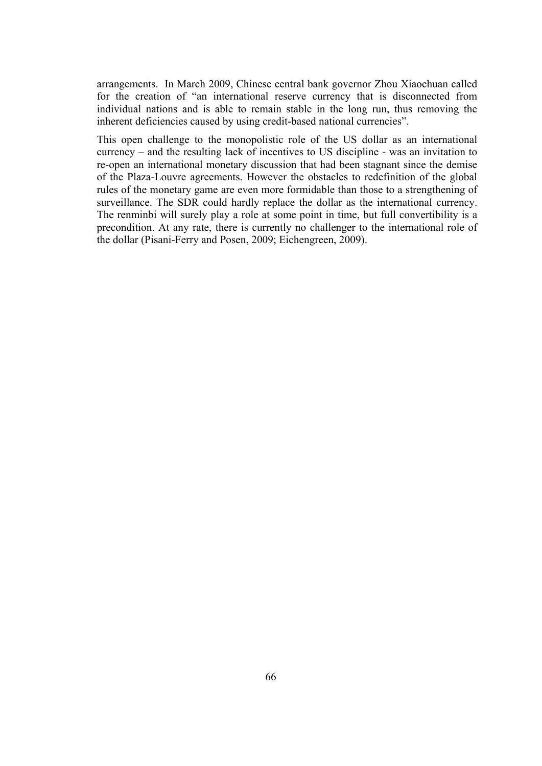arrangements. In March 2009, Chinese central bank governor Zhou Xiaochuan called for the creation of "an international reserve currency that is disconnected from individual nations and is able to remain stable in the long run, thus removing the inherent deficiencies caused by using credit-based national currencies".

This open challenge to the monopolistic role of the US dollar as an international currency – and the resulting lack of incentives to US discipline - was an invitation to re-open an international monetary discussion that had been stagnant since the demise of the Plaza-Louvre agreements. However the obstacles to redefinition of the global rules of the monetary game are even more formidable than those to a strengthening of surveillance. The SDR could hardly replace the dollar as the international currency. The renminbi will surely play a role at some point in time, but full convertibility is a precondition. At any rate, there is currently no challenger to the international role of the dollar (Pisani-Ferry and Posen, 2009; Eichengreen, 2009).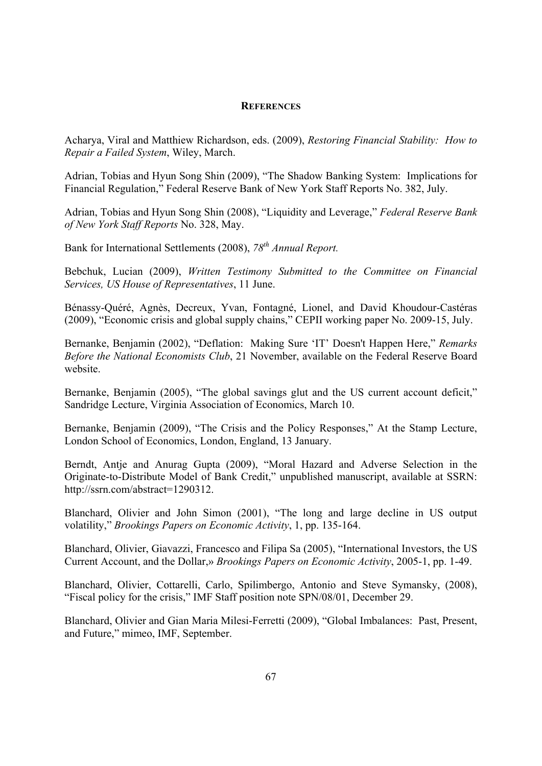#### **REFERENCES**

Acharya, Viral and Matthiew Richardson, eds. (2009), *Restoring Financial Stability: How to Repair a Failed System*, Wiley, March.

Adrian, Tobias and Hyun Song Shin (2009), "The Shadow Banking System: Implications for Financial Regulation," Federal Reserve Bank of New York Staff Reports No. 382, July.

Adrian, Tobias and Hyun Song Shin (2008), "Liquidity and Leverage," *Federal Reserve Bank of New York Staff Reports* No. 328, May.

Bank for International Settlements (2008), 78<sup>th</sup> Annual Report.

Bebchuk, Lucian (2009), *Written Testimony Submitted to the Committee on Financial Services, US House of Representatives*, 11 June.

Bénassy-Quéré, Agnès, Decreux, Yvan, Fontagné, Lionel, and David Khoudour-Castéras (2009), "Economic crisis and global supply chains," CEPII working paper No. 2009-15, July.

Bernanke, Benjamin (2002), "Deflation: Making Sure 'IT' Doesn't Happen Here," *Remarks Before the National Economists Club*, 21 November, available on the Federal Reserve Board website.

Bernanke, Benjamin (2005), "The global savings glut and the US current account deficit," Sandridge Lecture, Virginia Association of Economics, March 10.

Bernanke, Benjamin (2009), "The Crisis and the Policy Responses," At the Stamp Lecture, London School of Economics, London, England, 13 January.

Berndt, Antje and Anurag Gupta (2009), "Moral Hazard and Adverse Selection in the Originate-to-Distribute Model of Bank Credit," unpublished manuscript, available at SSRN: http://ssrn.com/abstract=1290312.

Blanchard, Olivier and John Simon (2001), "The long and large decline in US output volatility," *Brookings Papers on Economic Activity*, 1, pp. 135-164.

Blanchard, Olivier, Giavazzi, Francesco and Filipa Sa (2005), "International Investors, the US Current Account, and the Dollar,» *Brookings Papers on Economic Activity*, 2005-1, pp. 1-49.

Blanchard, Olivier, Cottarelli, Carlo, Spilimbergo, Antonio and Steve Symansky, (2008), "Fiscal policy for the crisis," IMF Staff position note SPN/08/01, December 29.

Blanchard, Olivier and Gian Maria Milesi-Ferretti (2009), "Global Imbalances: Past, Present, and Future," mimeo, IMF, September.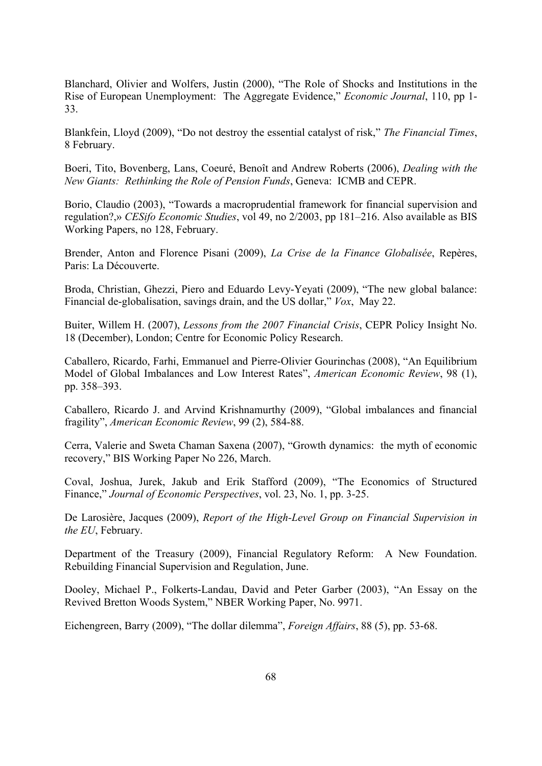Blanchard, Olivier and Wolfers, Justin (2000), "The Role of Shocks and Institutions in the Rise of European Unemployment: The Aggregate Evidence," *Economic Journal*, 110, pp 1- 33.

Blankfein, Lloyd (2009), "Do not destroy the essential catalyst of risk," *The Financial Times*, 8 February.

Boeri, Tito, Bovenberg, Lans, Coeuré, Benoît and Andrew Roberts (2006), *Dealing with the New Giants: Rethinking the Role of Pension Funds*, Geneva: ICMB and CEPR.

Borio, Claudio (2003), "Towards a macroprudential framework for financial supervision and regulation?,» *CESifo Economic Studies*, vol 49, no 2/2003, pp 181–216. Also available as BIS Working Papers, no 128, February.

Brender, Anton and Florence Pisani (2009), *La Crise de la Finance Globalisée*, Repères, Paris: La Découverte.

Broda, Christian, Ghezzi, Piero and Eduardo Levy-Yeyati (2009), "The new global balance: Financial de-globalisation, savings drain, and the US dollar," *Vox*, May 22.

Buiter, Willem H. (2007), *Lessons from the 2007 Financial Crisis*, CEPR Policy Insight No. 18 (December), London; Centre for Economic Policy Research.

Caballero, Ricardo, Farhi, Emmanuel and Pierre-Olivier Gourinchas (2008), "An Equilibrium Model of Global Imbalances and Low Interest Rates", *American Economic Review*, 98 (1), pp. 358–393.

Caballero, Ricardo J. and Arvind Krishnamurthy (2009), "Global imbalances and financial fragility", *American Economic Review*, 99 (2), 584-88.

Cerra, Valerie and Sweta Chaman Saxena (2007), "Growth dynamics: the myth of economic recovery," BIS Working Paper No 226, March.

Coval, Joshua, Jurek, Jakub and Erik Stafford (2009), "The Economics of Structured Finance," *Journal of Economic Perspectives*, vol. 23, No. 1, pp. 3-25.

De Larosière, Jacques (2009), *Report of the High-Level Group on Financial Supervision in the EU*, February.

Department of the Treasury (2009), Financial Regulatory Reform: A New Foundation. Rebuilding Financial Supervision and Regulation, June.

Dooley, Michael P., Folkerts-Landau, David and Peter Garber (2003), "An Essay on the Revived Bretton Woods System," NBER Working Paper, No. 9971.

Eichengreen, Barry (2009), "The dollar dilemma", *Foreign Affairs*, 88 (5), pp. 53-68.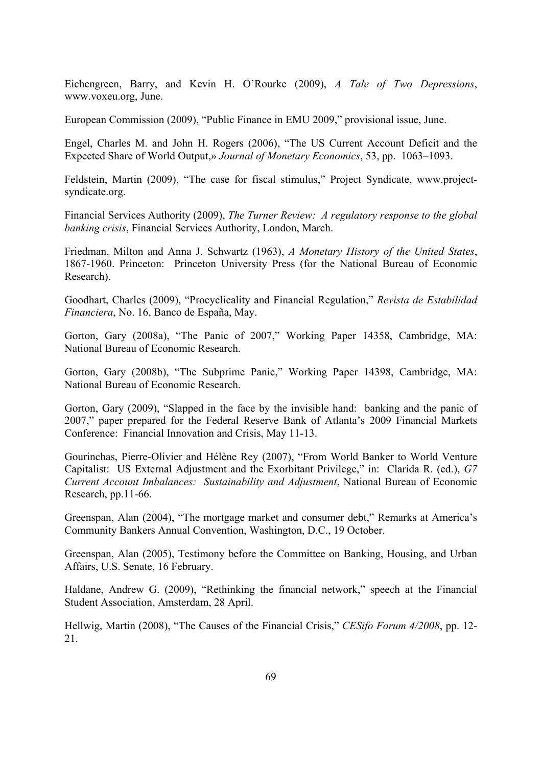Eichengreen, Barry, and Kevin H. O'Rourke (2009), *A Tale of Two Depressions*, www.voxeu.org, June.

European Commission (2009), "Public Finance in EMU 2009," provisional issue, June.

Engel, Charles M. and John H. Rogers (2006), "The US Current Account Deficit and the Expected Share of World Output,» *Journal of Monetary Economics*, 53, pp. 1063–1093.

Feldstein, Martin (2009), "The case for fiscal stimulus," Project Syndicate, www.projectsyndicate.org.

Financial Services Authority (2009), *The Turner Review: A regulatory response to the global banking crisis*, Financial Services Authority, London, March.

Friedman, Milton and Anna J. Schwartz (1963), *A Monetary History of the United States*, 1867-1960. Princeton: Princeton University Press (for the National Bureau of Economic Research).

Goodhart, Charles (2009), "Procyclicality and Financial Regulation," *Revista de Estabilidad Financiera*, No. 16, Banco de España, May.

Gorton, Gary (2008a), "The Panic of 2007," Working Paper 14358, Cambridge, MA: National Bureau of Economic Research.

Gorton, Gary (2008b), "The Subprime Panic," Working Paper 14398, Cambridge, MA: National Bureau of Economic Research.

Gorton, Gary (2009), "Slapped in the face by the invisible hand: banking and the panic of 2007," paper prepared for the Federal Reserve Bank of Atlanta's 2009 Financial Markets Conference: Financial Innovation and Crisis, May 11-13.

Gourinchas, Pierre-Olivier and Hélène Rey (2007), "From World Banker to World Venture Capitalist: US External Adjustment and the Exorbitant Privilege," in: Clarida R. (ed.), *G7 Current Account Imbalances: Sustainability and Adjustment*, National Bureau of Economic Research, pp.11-66.

Greenspan, Alan (2004), "The mortgage market and consumer debt," Remarks at America's Community Bankers Annual Convention, Washington, D.C., 19 October.

Greenspan, Alan (2005), Testimony before the Committee on Banking, Housing, and Urban Affairs, U.S. Senate, 16 February.

Haldane, Andrew G. (2009), "Rethinking the financial network," speech at the Financial Student Association, Amsterdam, 28 April.

Hellwig, Martin (2008), "The Causes of the Financial Crisis," *CESifo Forum 4/2008*, pp. 12- 21.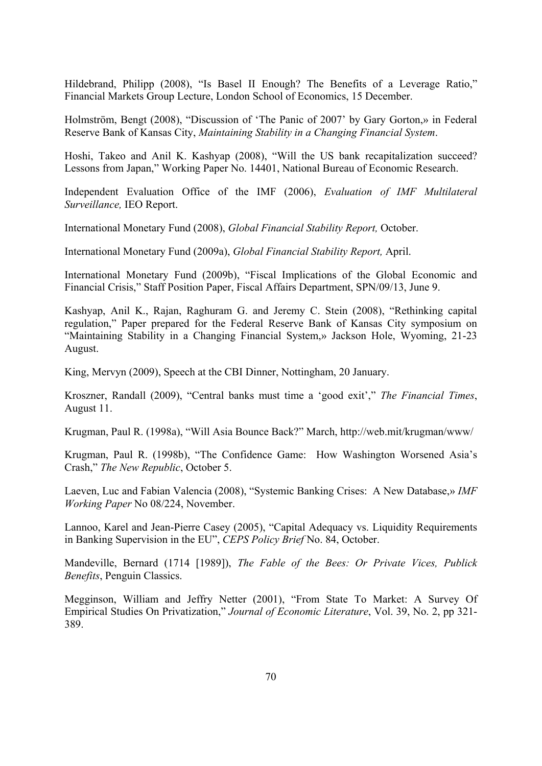Hildebrand, Philipp (2008), "Is Basel II Enough? The Benefits of a Leverage Ratio," Financial Markets Group Lecture, London School of Economics, 15 December.

Holmström, Bengt (2008), "Discussion of 'The Panic of 2007' by Gary Gorton,» in Federal Reserve Bank of Kansas City, *Maintaining Stability in a Changing Financial System*.

Hoshi, Takeo and Anil K. Kashyap (2008), "Will the US bank recapitalization succeed? Lessons from Japan," Working Paper No. 14401, National Bureau of Economic Research.

Independent Evaluation Office of the IMF (2006), *Evaluation of IMF Multilateral Surveillance,* IEO Report.

International Monetary Fund (2008), *Global Financial Stability Report,* October.

International Monetary Fund (2009a), *Global Financial Stability Report,* April.

International Monetary Fund (2009b), "Fiscal Implications of the Global Economic and Financial Crisis," Staff Position Paper, Fiscal Affairs Department, SPN/09/13, June 9.

Kashyap, Anil K., Rajan, Raghuram G. and Jeremy C. Stein (2008), "Rethinking capital regulation," Paper prepared for the Federal Reserve Bank of Kansas City symposium on "Maintaining Stability in a Changing Financial System,» Jackson Hole, Wyoming, 21-23 August.

King, Mervyn (2009), Speech at the CBI Dinner, Nottingham, 20 January.

Kroszner, Randall (2009), "Central banks must time a 'good exit'," *The Financial Times*, August 11.

Krugman, Paul R. (1998a), "Will Asia Bounce Back?" March, http://web.mit/krugman/www/

Krugman, Paul R. (1998b), "The Confidence Game: How Washington Worsened Asia's Crash," *The New Republic*, October 5.

Laeven, Luc and Fabian Valencia (2008), "Systemic Banking Crises: A New Database,» *IMF Working Paper* No 08/224, November.

Lannoo, Karel and Jean-Pierre Casey (2005), "Capital Adequacy vs. Liquidity Requirements in Banking Supervision in the EU", *CEPS Policy Brief* No. 84, October.

Mandeville, Bernard (1714 [1989]), *The Fable of the Bees: Or Private Vices, Publick Benefits*, Penguin Classics.

Megginson, William and Jeffry Netter (2001), "From State To Market: A Survey Of Empirical Studies On Privatization," *Journal of Economic Literature*, Vol. 39, No. 2, pp 321- 389.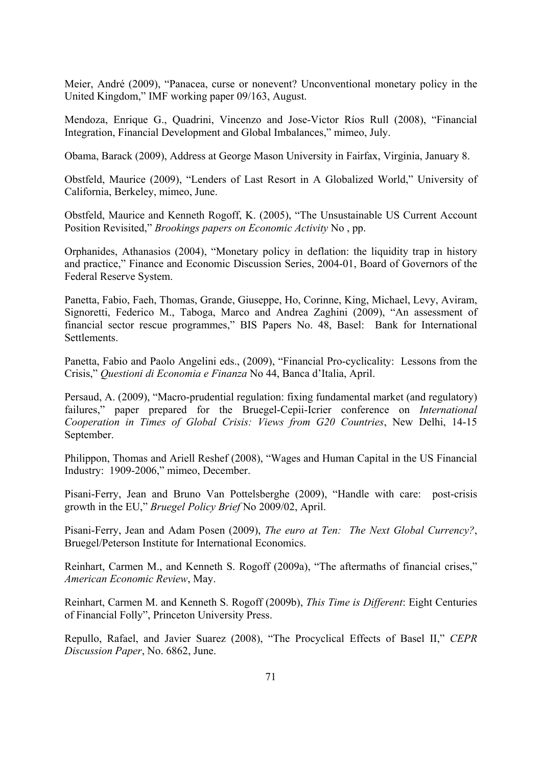Meier, André (2009), "Panacea, curse or nonevent? Unconventional monetary policy in the United Kingdom," IMF working paper 09/163, August.

Mendoza, Enrique G., Quadrini, Vincenzo and Jose-Victor Ríos Rull (2008), "Financial Integration, Financial Development and Global Imbalances," mimeo, July.

Obama, Barack (2009), Address at George Mason University in Fairfax, Virginia, January 8.

Obstfeld, Maurice (2009), "Lenders of Last Resort in A Globalized World," University of California, Berkeley, mimeo, June.

Obstfeld, Maurice and Kenneth Rogoff, K. (2005), "The Unsustainable US Current Account Position Revisited," *Brookings papers on Economic Activity* No , pp.

Orphanides, Athanasios (2004), "Monetary policy in deflation: the liquidity trap in history and practice," Finance and Economic Discussion Series, 2004-01, Board of Governors of the Federal Reserve System.

Panetta, Fabio, Faeh, Thomas, Grande, Giuseppe, Ho, Corinne, King, Michael, Levy, Aviram, Signoretti, Federico M., Taboga, Marco and Andrea Zaghini (2009), "An assessment of financial sector rescue programmes," BIS Papers No. 48, Basel: Bank for International **Settlements** 

Panetta, Fabio and Paolo Angelini eds., (2009), "Financial Pro-cyclicality: Lessons from the Crisis," *Questioni di Economia e Finanza* No 44, Banca d'Italia, April.

Persaud, A. (2009), "Macro-prudential regulation: fixing fundamental market (and regulatory) failures," paper prepared for the Bruegel-Cepii-Icrier conference on *International Cooperation in Times of Global Crisis: Views from G20 Countries*, New Delhi, 14-15 September.

Philippon, Thomas and Ariell Reshef (2008), "Wages and Human Capital in the US Financial Industry: 1909-2006," mimeo, December.

Pisani-Ferry, Jean and Bruno Van Pottelsberghe (2009), "Handle with care: post-crisis growth in the EU," *Bruegel Policy Brief* No 2009/02, April.

Pisani-Ferry, Jean and Adam Posen (2009), *The euro at Ten: The Next Global Currency?*, Bruegel/Peterson Institute for International Economics.

Reinhart, Carmen M., and Kenneth S. Rogoff (2009a), "The aftermaths of financial crises," *American Economic Review*, May.

Reinhart, Carmen M. and Kenneth S. Rogoff (2009b), *This Time is Different*: Eight Centuries of Financial Folly", Princeton University Press.

Repullo, Rafael, and Javier Suarez (2008), "The Procyclical Effects of Basel II," *CEPR Discussion Paper*, No. 6862, June.